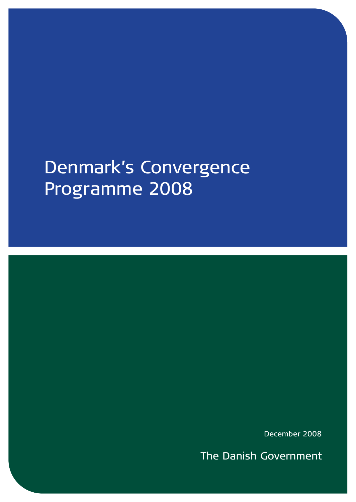# Denmark's Convergence Programme 2008

December 2008

**The Danish Government**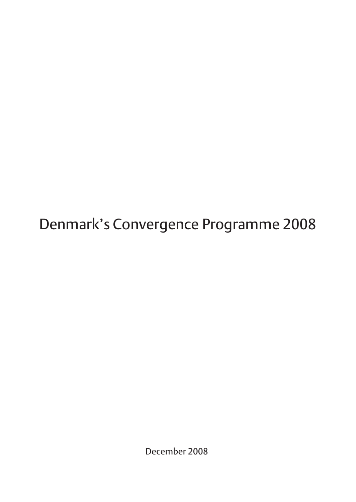Denmark's Convergence Programme 2008

December 2008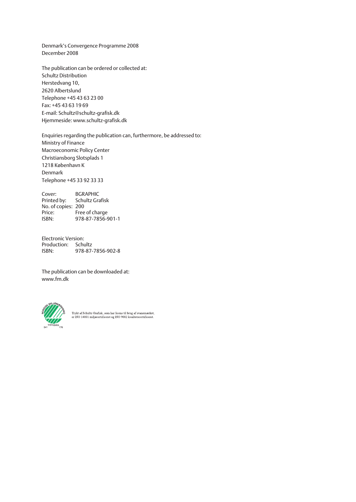Denmark's Convergence Programme 2008 December 2008

The publication can be ordered or collected at: Schultz Distribution Herstedvang 10, 2620 Albertslund Telephone +45 43 63 23 00 Fax: +45 43 63 19 69 E-mail: Schultz@schultz-grafisk.dk Hjemmeside: www.schultz-grafisk.dk

Enquiries regarding the publication can, furthermore, be addressed to: Ministry of Finance Macroeconomic Policy Center Christiansborg Slotsplads 1 1218 København K Denmark Telephone +45 33 92 33 33

Cover: BGRAPHIC Printed by: Schultz Grafisk No. of copies: 200<br>Price: Free Price: Free of charge<br>ISBN: 978-87-7856-9 ISBN: 978-87-7856-901-1

Electronic Version: Production: Schultz<br>ISBN: 978-87-ISBN: 978-87-7856-902-8

The publication can be downloaded at: www.fm.dk



Trykt af Schultz Grafisk, som har licens til brug af svanemærket,<br>er ISO 14001 miljøcertificeret og ISO 9002 kvalitetscertificeret.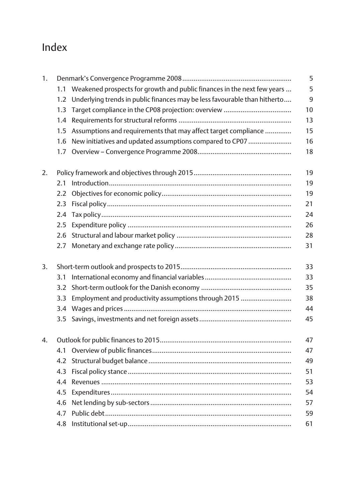## Index

| 1. |                  |                                                                           | 5            |
|----|------------------|---------------------------------------------------------------------------|--------------|
|    | 1.1              | Weakened prospects for growth and public finances in the next few years   | 5            |
|    | 1.2 <sub>1</sub> | Underlying trends in public finances may be less favourable than hitherto | $\mathsf{q}$ |
|    | 1.3              |                                                                           | 10           |
|    | 1.4              |                                                                           | 13           |
|    | $1.5\,$          | Assumptions and requirements that may affect target compliance            | 15           |
|    | 1.6              | New initiatives and updated assumptions compared to CP07                  | 16           |
|    | 1.7 <sub>z</sub> |                                                                           | 18           |
| 2. |                  |                                                                           | 19           |
|    | 2.1              |                                                                           | 19           |
|    | 2.2              |                                                                           | 19           |
|    | 2.3              |                                                                           | 21           |
|    | 2.4              |                                                                           | 24           |
|    | 2.5              |                                                                           | 26           |
|    | 2.6              |                                                                           | 28           |
|    | 2.7              |                                                                           | 31           |
| 3. |                  |                                                                           | 33           |
|    | 3.1              |                                                                           | 33           |
|    | 3.2              |                                                                           | 35           |
|    | 3.3              | Employment and productivity assumptions through 2015                      | 38           |
|    |                  |                                                                           | 44           |
|    | 3.5              |                                                                           | 45           |
| 4. |                  |                                                                           | 47           |
|    | 4.1              |                                                                           | 47           |
|    | 4.2              |                                                                           | 49           |
|    | 4.3              |                                                                           | 51           |
|    | 4.4              |                                                                           | 53           |
|    | 4.5              |                                                                           | 54           |
|    | 4.6              |                                                                           | 57           |
|    | 4.7              |                                                                           | 59           |
|    | 4.8              |                                                                           | 61           |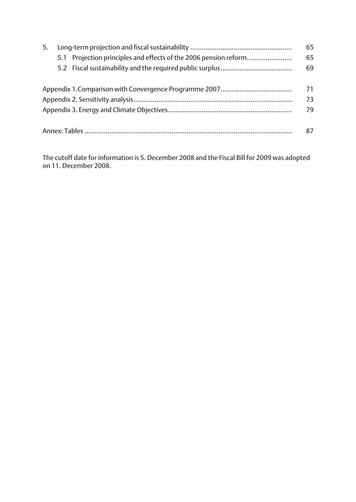| 5. |                                                                  | 65 |
|----|------------------------------------------------------------------|----|
|    | 5.1 Projection principles and effects of the 2006 pension reform | 65 |
|    |                                                                  | 69 |
|    |                                                                  | 71 |
|    |                                                                  |    |

Appendix 3. Energy and Climate Objectives.................................................................. 79

The cutoff date for information is 5. December 2008 and the Fiscal Bill for 2009 was adopted on 11. December 2008.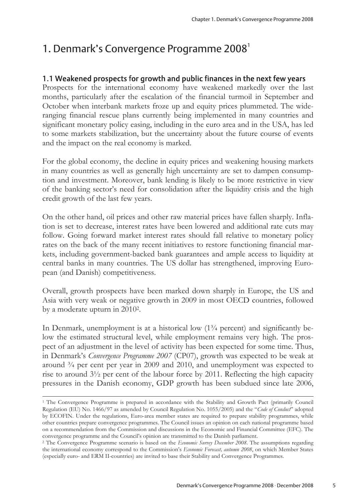## 1. Denmark's Convergence Programme 2008<sup>1</sup>

## 1.1 Weakened prospects for growth and public finances in the next few years

Prospects for the international economy have weakened markedly over the last months, particularly after the escalation of the financial turmoil in September and October when interbank markets froze up and equity prices plummeted. The wideranging financial rescue plans currently being implemented in many countries and significant monetary policy easing, including in the euro area and in the USA, has led to some markets stabilization, but the uncertainty about the future course of events and the impact on the real economy is marked.

For the global economy, the decline in equity prices and weakening housing markets in many countries as well as generally high uncertainty are set to dampen consumption and investment. Moreover, bank lending is likely to be more restrictive in view of the banking sector's need for consolidation after the liquidity crisis and the high credit growth of the last few years.

On the other hand, oil prices and other raw material prices have fallen sharply. Inflation is set to decrease, interest rates have been lowered and additional rate cuts may follow. Going forward market interest rates should fall relative to monetary policy rates on the back of the many recent initiatives to restore functioning financial markets, including government-backed bank guarantees and ample access to liquidity at central banks in many countries. The US dollar has strengthened, improving European (and Danish) competitiveness.

Overall, growth prospects have been marked down sharply in Europe, the US and Asia with very weak or negative growth in 2009 in most OECD countries, followed by a moderate upturn in 20102.

In Denmark, unemployment is at a historical low (1¾ percent) and significantly below the estimated structural level, while employment remains very high. The prospect of an adjustment in the level of activity has been expected for some time. Thus, in Denmark's *Convergence Programme 2007* (CP07), growth was expected to be weak at around  $\frac{3}{4}$  per cent per year in 2009 and 2010, and unemployment was expected to rise to around 3½ per cent of the labour force by 2011. Reflecting the high capacity pressures in the Danish economy, GDP growth has been subdued since late 2006,

<sup>1</sup> The Convergence Programme is prepared in accordance with the Stability and Growth Pact (primarily Council Regulation (EU) No. 1466/97 as amended by Council Regulation No. 1055/2005) and the "*Code of Conduct*" adopted by ECOFIN. Under the regulations, Euro-area member states are required to prepare stability programmes, while other countries prepare convergence programmes. The Council issues an opinion on each national programme based on a recommendation from the Commission and discussions in the Economic and Financial Committee (EFC). The convergence programme and the Council's opinion are transmitted to the Danish parliament. 2 The Convergence Programme scenario is based on the *Economic Survey December 2008*. The assumptions regarding

the international economy correspond to the Commission's *Economic Forecast, autumn 2008*, on which Member States (especially euro- and ERM II-countries) are invited to base their Stability and Convergence Programmes.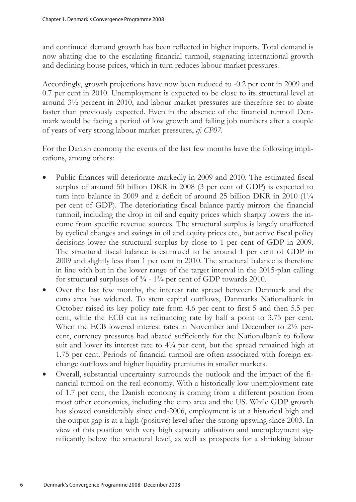and continued demand growth has been reflected in higher imports. Total demand is now abating due to the escalating financial turmoil, stagnating international growth and declining house prices, which in turn reduces labour market pressures.

Accordingly, growth projections have now been reduced to -0.2 per cent in 2009 and 0.7 per cent in 2010. Unemployment is expected to be close to its structural level at around 3½ percent in 2010, and labour market pressures are therefore set to abate faster than previously expected. Even in the absence of the financial turmoil Denmark would be facing a period of low growth and falling job numbers after a couple of years of very strong labour market pressures, *cf. CP07*.

For the Danish economy the events of the last few months have the following implications, among others:

- Public finances will deteriorate markedly in 2009 and 2010. The estimated fiscal surplus of around 50 billion DKR in 2008 (3 per cent of GDP) is expected to turn into balance in 2009 and a deficit of around 25 billion DKR in 2010 (11/4 per cent of GDP). The deterioriating fiscal balance partly mirrors the financial turmoil, including the drop in oil and equity prices which sharply lowers the income from specific revenue sources. The structural surplus is largely unaffected by cyclical changes and swings in oil and equity prices etc., but active fiscal policy decisions lower the structural surplus by close to 1 per cent of GDP in 2009. The structural fiscal balance is estimated to be around 1 per cent of GDP in 2009 and slightly less than 1 per cent in 2010. The structural balance is therefore in line with but in the lower range of the target interval in the 2015-plan calling for structural surpluses of ¾ - 1¾ per cent of GDP towards 2010.
- Over the last few months, the interest rate spread between Denmark and the euro area has widened. To stem capital outflows, Danmarks Nationalbank in October raised its key policy rate from 4.6 per cent to first 5 and then 5.5 per cent, while the ECB cut its refinancing rate by half a point to 3.75 per cent. When the ECB lowered interest rates in November and December to 2½ percent, currency pressures had abated sufficiently for the Nationalbank to follow suit and lower its interest rate to 4¼ per cent, but the spread remained high at 1.75 per cent. Periods of financial turmoil are often associated with foreign exchange outflows and higher liquidity premiums in smaller markets.
- Overall, substantial uncertainty surrounds the outlook and the impact of the financial turmoil on the real economy. With a historically low unemployment rate of 1.7 per cent, the Danish economy is coming from a different position from most other economies, including the euro area and the US. While GDP growth has slowed considerably since end-2006, employment is at a historical high and the output gap is at a high (positive) level after the strong upswing since 2003. In view of this position with very high capacity utilisation and unemployment significantly below the structural level, as well as prospects for a shrinking labour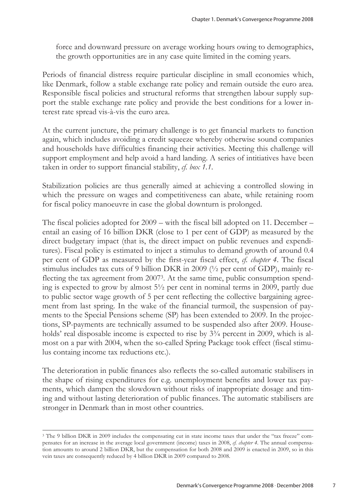force and downward pressure on average working hours owing to demographics, the growth opportunities are in any case quite limited in the coming years.

Periods of financial distress require particular discipline in small economies which, like Denmark, follow a stable exchange rate policy and remain outside the euro area. Responsible fiscal policies and structural reforms that strengthen labour supply support the stable exchange rate policy and provide the best conditions for a lower interest rate spread vis-à-vis the euro area.

At the current juncture, the primary challenge is to get financial markets to function again, which includes avoiding a credit squeeze whereby otherwise sound companies and households have difficulties financing their activities. Meeting this challenge will support employment and help avoid a hard landing. A series of intitiatives have been taken in order to support financial stability, *cf. box 1.1*.

Stabilization policies are thus generally aimed at achieving a controlled slowing in which the pressure on wages and competitiveness can abate, while retaining room for fiscal policy manoeuvre in case the global downturn is prolonged.

The fiscal policies adopted for 2009 – with the fiscal bill adopted on 11. December – entail an easing of 16 billion DKR (close to 1 per cent of GDP) as measured by the direct budgetary impact (that is, the direct impact on public revenues and expenditures). Fiscal policy is estimated to inject a stimulus to demand growth of around 0.4 per cent of GDP as measured by the first-year fiscal effect, *cf. chapter 4*. The fiscal stimulus includes tax cuts of 9 billion DKR in 2009 (½ per cent of GDP), mainly reflecting the tax agreement from 20073. At the same time, public consumption spending is expected to grow by almost 5½ per cent in nominal terms in 2009, partly due to public sector wage growth of 5 per cent reflecting the collective bargaining agreement from last spring. In the wake of the financial turmoil, the suspension of payments to the Special Pensions scheme (SP) has been extended to 2009. In the projections, SP-payments are technically assumed to be suspended also after 2009. Households' real disposable income is expected to rise by  $3\frac{3}{4}$  percent in 2009, which is almost on a par with 2004, when the so-called Spring Package took effect (fiscal stimulus containg income tax reductions etc.).

The deterioration in public finances also reflects the so-called automatic stabilisers in the shape of rising expenditures for e.g. unemployment benefits and lower tax payments, which dampen the slowdown without risks of inappropriate dosage and timing and without lasting deterioration of public finances. The automatic stabilisers are stronger in Denmark than in most other countries.

<sup>3</sup> The 9 billion DKR in 2009 includes the compensating cut in state income taxes that under the "tax freeze" compensates for an increase in the average local government (income) taxes in 2008, *cf. chapter 4*. The annual compensation amounts to around 2 billion DKR, but the compensation for both 2008 and 2009 is enacted in 2009, so in this vein taxes are consequently reduced by 4 billion DKR in 2009 compared to 2008.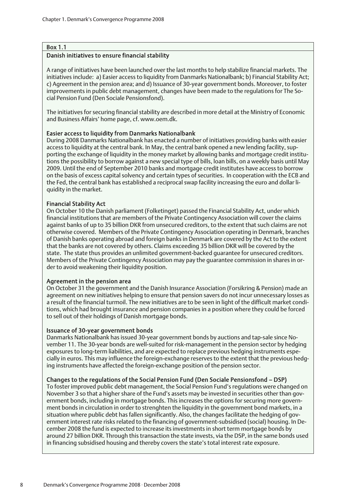#### Box 1.1

#### Danish initiatives to ensure financial stability

A range of initiatives have been launched over the last months to help stabilize financial markets. The initiatives include: a) Easier access to liquidity from Danmarks Nationalbank; b) Financial Stability Act; c) Agreement in the pension area; and d) Issuance of 30-year government bonds. Moreover, to foster improvements in public debt management, changes have been made to the regulations for The Social Pension Fund (Den Sociale Pensionsfond).

The initiatives for securing financial stability are described in more detail at the Ministry of Economic and Business Affairs' home page, cf. www.oem.dk.

#### Easier access to liquidity from Danmarks Nationalbank

During 2008 Danmarks Nationalbank has enacted a number of initiatives providing banks with easier access to liquidity at the central bank. In May, the central bank opened a new lending facility, supporting the exchange of liquidity in the money market by allowing banks and mortgage credit institutions the possibility to borrow against a new special type of bills, loan bills, on a weekly basis until May 2009. Until the end of September 2010 banks and mortgage credit institutes have access to borrow on the basis of excess capital solvency and certain types of securities. In cooperation with the ECB and the Fed, the central bank has established a reciprocal swap facility increasing the euro and dollar liquidity in the market.

#### Financial Stability Act

On October 10 the Danish parliament (Folketinget) passed the Financial Stability Act, under which financial institutions that are members of the Private Contingency Association will cover the claims against banks of up to 35 billion DKR from unsecured creditors, to the extent that such claims are not otherwise covered. Members of the Private Contingency Association operating in Denmark, branches of Danish banks operating abroad and foreign banks in Denmark are covered by the Act to the extent that the banks are not covered by others. Claims exceeding 35 billion DKR will be covered by the state. The state thus provides an unlimited government-backed guarantee for unsecured creditors. Members of the Private Contingency Association may pay the guarantee commission in shares in order to avoid weakening their liquidity position.

#### Agreement in the pension area

On October 31 the government and the Danish Insurance Association (Forsikring & Pension) made an agreement on new initiatives helping to ensure that pension savers do not incur unnecessary losses as a result of the financial turmoil. The new initiatives are to be seen in light of the difficult market conditions, which had brought insurance and pension companies in a position where they could be forced to sell out of their holdings of Danish mortgage bonds.

#### Issuance of 30-year government bonds

Danmarks Nationalbank has issued 30-year government bonds by auctions and tap-sale since November 11. The 30-year bonds are well-suited for risk-management in the pension sector by hedging exposures to long-term liabilities, and are expected to replace previous hedging instruments especially in euros. This may influence the foreign-exchange reserves to the extent that the previous hedging instruments have affected the foreign-exchange position of the pension sector.

#### Changes to the regulations of the Social Pension Fund (Den Sociale Pensionsfond – DSP)

To foster improved public debt management, the Social Pension Fund's regulations were changed on November 3 so that a higher share of the Fund's assets may be invested in securities other than government bonds, including in mortgage bonds. This increases the options for securing more government bonds in circulation in order to strenghten the liquidity in the government bond markets, in a situation where public debt has fallen significantly. Also, the changes facilitate the hedging of government interest rate risks related to the financing of government-subsidised (social) housing. In December 2008 the fund is expected to increase its investments in short term mortgage bonds by around 27 billion DKR. Through this transaction the state invests, via the DSP, in the same bonds used in financing subsidised housing and thereby covers the state's total interest rate exposure.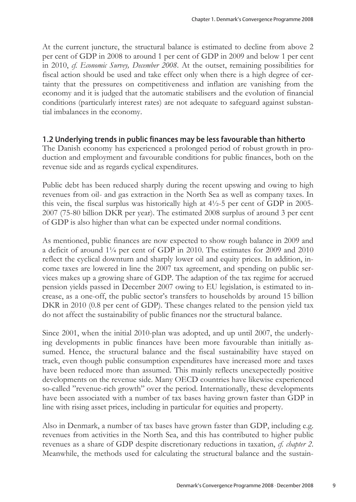At the current juncture, the structural balance is estimated to decline from above 2 per cent of GDP in 2008 to around 1 per cent of GDP in 2009 and below 1 per cent in 2010, *cf. Economic Survey, December 2008*. At the outset, remaining possibilities for fiscal action should be used and take effect only when there is a high degree of certainty that the pressures on competitiveness and inflation are vanishing from the economy and it is judged that the automatic stabilisers and the evolution of financial conditions (particularly interest rates) are not adequate to safeguard against substantial imbalances in the economy.

## 1.2 Underlying trends in public finances may be less favourable than hitherto

The Danish economy has experienced a prolonged period of robust growth in production and employment and favourable conditions for public finances, both on the revenue side and as regards cyclical expenditures.

Public debt has been reduced sharply during the recent upswing and owing to high revenues from oil- and gas extraction in the North Sea as well as company taxes. In this vein, the fiscal surplus was historically high at 4½-5 per cent of GDP in 2005- 2007 (75-80 billion DKR per year). The estimated 2008 surplus of around 3 per cent of GDP is also higher than what can be expected under normal conditions.

As mentioned, public finances are now expected to show rough balance in 2009 and a deficit of around 1¼ per cent of GDP in 2010. The estimates for 2009 and 2010 reflect the cyclical downturn and sharply lower oil and equity prices. In addition, income taxes are lowered in line the 2007 tax agreement, and spending on public services makes up a growing share of GDP. The adaption of the tax regime for accrued pension yields passed in December 2007 owing to EU legislation, is estimated to increase, as a one-off, the public sector's transfers to households by around 15 billion DKR in 2010 (0.8 per cent of GDP). These changes related to the pension yield tax do not affect the sustainability of public finances nor the structural balance.

Since 2001, when the initial 2010-plan was adopted, and up until 2007, the underlying developments in public finances have been more favourable than initially assumed. Hence, the structural balance and the fiscal sustainability have stayed on track, even though public consumption expenditures have increased more and taxes have been reduced more than assumed. This mainly reflects unexepectedly positive developments on the revenue side. Many OECD countries have likewise experienced so-called "revenue-rich growth" over the period. Internationally, these developments have been associated with a number of tax bases having grown faster than GDP in line with rising asset prices, including in particular for equities and property.

Also in Denmark, a number of tax bases have grown faster than GDP, including e.g. revenues from activities in the North Sea, and this has contributed to higher public revenues as a share of GDP despite discretionary reductions in taxation, *cf. chapter 2*. Meanwhile, the methods used for calculating the structural balance and the sustain-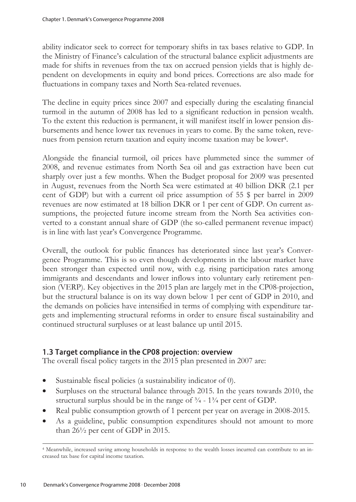ability indicator seek to correct for temporary shifts in tax bases relative to GDP. In the Ministry of Finance's calculation of the structural balance explicit adjustments are made for shifts in revenues from the tax on accrued pension yields that is highly dependent on developments in equity and bond prices. Corrections are also made for fluctuations in company taxes and North Sea-related revenues.

The decline in equity prices since 2007 and especially during the escalating financial turmoil in the autumn of 2008 has led to a significant reduction in pension wealth. To the extent this reduction is permanent, it will manifest itself in lower pension disbursements and hence lower tax revenues in years to come. By the same token, revenues from pension return taxation and equity income taxation may be lower4.

Alongside the financial turmoil, oil prices have plummeted since the summer of 2008, and revenue estimates from North Sea oil and gas extraction have been cut sharply over just a few months. When the Budget proposal for 2009 was presented in August, revenues from the North Sea were estimated at 40 billion DKR (2.1 per cent of GDP) but with a current oil price assumption of 55 \$ per barrel in 2009 revenues are now estimated at 18 billion DKR or 1 per cent of GDP. On current assumptions, the projected future income stream from the North Sea activities converted to a constant annual share of GDP (the so-called permanent revenue impact) is in line with last year's Convergence Programme.

Overall, the outlook for public finances has deteriorated since last year's Convergence Programme. This is so even though developments in the labour market have been stronger than expected until now, with e.g. rising participation rates among immigrants and descendants and lower inflows into voluntary early retirement pension (VERP). Key objectives in the 2015 plan are largely met in the CP08-projection, but the structural balance is on its way down below 1 per cent of GDP in 2010, and the demands on policies have intensified in terms of complying with expenditure targets and implementing structural reforms in order to ensure fiscal sustainability and continued structural surpluses or at least balance up until 2015.

## 1.3 Target compliance in the CP08 projection: overview

The overall fiscal policy targets in the 2015 plan presented in 2007 are:

- Sustainable fiscal policies (a sustainability indicator of 0).
- Surpluses on the structural balance through 2015. In the years towards 2010, the structural surplus should be in the range of  $\frac{3}{4}$  -  $\frac{13}{4}$  per cent of GDP.
- Real public consumption growth of 1 percent per year on average in 2008-2015.
- As a guideline, public consumption expenditures should not amount to more than 26½ per cent of GDP in 2015.

4 Meanwhile, increased saving among households in response to the wealth losses incurred can contribute to an increased tax base for capital income taxation.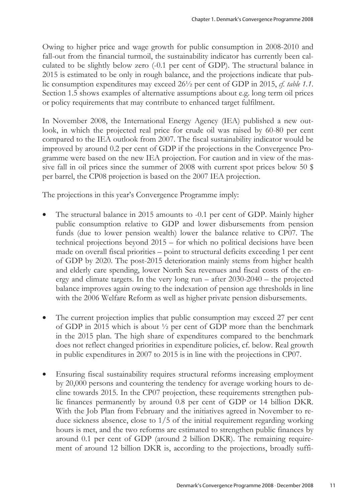Owing to higher price and wage growth for public consumption in 2008-2010 and fall-out from the financial turmoil, the sustainability indicator has currently been calculated to be slightly below zero (-0.1 per cent of GDP). The structural balance in 2015 is estimated to be only in rough balance, and the projections indicate that public consumption expenditures may exceed 26½ per cent of GDP in 2015, *cf. table 1.1*. Section 1.5 shows examples of alternative assumptions about e.g. long term oil prices or policy requirements that may contribute to enhanced target fulfilment.

In November 2008, the International Energy Agency (IEA) published a new outlook, in which the projected real price for crude oil was raised by 60-80 per cent compared to the IEA outlook from 2007. The fiscal sustainability indicator would be improved by around 0.2 per cent of GDP if the projections in the Convergence Programme were based on the new IEA projection. For caution and in view of the massive fall in oil prices since the summer of 2008 with current spot prices below 50 \$ per barrel, the CP08 projection is based on the 2007 IEA projection.

The projections in this year's Convergence Programme imply:

- The structural balance in 2015 amounts to -0.1 per cent of GDP. Mainly higher public consumption relative to GDP and lower disbursements from pension funds (due to lower pension wealth) lower the balance relative to CP07. The technical projections beyond 2015 – for which no political decisions have been made on overall fiscal priorities – point to structural deficits exceeding 1 per cent of GDP by 2020. The post-2015 deterioration mainly stems from higher health and elderly care spending, lower North Sea revenues and fiscal costs of the energy and climate targets. In the very long run – after 2030-2040 – the projected balance improves again owing to the indexation of pension age thresholds in line with the 2006 Welfare Reform as well as higher private pension disbursements.
- The current projection implies that public consumption may exceed 27 per cent of GDP in 2015 which is about ½ per cent of GDP more than the benchmark in the 2015 plan. The high share of expenditures compared to the benchmark does not reflect changed priorities in expenditure policies, cf. below. Real growth in public expenditures in 2007 to 2015 is in line with the projections in CP07.
- Ensuring fiscal sustainability requires structural reforms increasing employment by 20,000 persons and countering the tendency for average working hours to decline towards 2015. In the CP07 projection, these requirements strengthen public finances permanently by around 0.8 per cent of GDP or 14 billion DKR. With the Job Plan from February and the initiatives agreed in November to reduce sickness absence, close to 1/5 of the initial requirement regarding working hours is met, and the two reforms are estimated to strengthen public finances by around 0.1 per cent of GDP (around 2 billion DKR). The remaining requirement of around 12 billion DKR is, according to the projections, broadly suffi-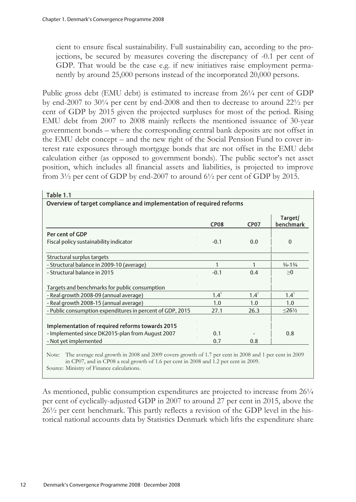cient to ensure fiscal sustainability. Full sustainability can, according to the projections, be secured by measures covering the discrepancy of -0.1 per cent of GDP. That would be the case e.g. if new initiatives raise employment permanently by around 25,000 persons instead of the incorporated 20,000 persons.

Public gross debt (EMU debt) is estimated to increase from 26¼ per cent of GDP by end-2007 to 30¼ per cent by end-2008 and then to decrease to around 22½ per cent of GDP by 2015 given the projected surpluses for most of the period. Rising EMU debt from 2007 to 2008 mainly reflects the mentioned issuance of 30-year government bonds – where the corresponding central bank deposits are not offset in the EMU debt concept – and the new right of the Social Pension Fund to cover interest rate exposures through mortgage bonds that are not offset in the EMU debt calculation either (as opposed to government bonds). The public sector's net asset position, which includes all financial assets and liabilities, is projected to improve from 3½ per cent of GDP by end-2007 to around 6½ per cent of GDP by 2015.

|                                                           | <b>CP08</b> | <b>CP07</b> | Target/<br>benchmark         |
|-----------------------------------------------------------|-------------|-------------|------------------------------|
| Per cent of GDP                                           |             |             |                              |
| Fiscal policy sustainability indicator                    | $-0.1$      | 0.0         | 0                            |
| Structural surplus targets                                |             |             |                              |
| - Structural balance in 2009-10 (average)                 |             |             | $\frac{3}{4} - \frac{13}{4}$ |
| - Structural balance in 2015                              | $-0.1$      | 0.4         | >0                           |
| Targets and benchmarks for public consumption             |             |             |                              |
| - Real growth 2008-09 (annual average)                    | $1.4^1$     | $1.4^1$     | $1.4^1$                      |
| - Real growth 2008-15 (annual average)                    | 1.0         | 1.0         | 1.0                          |
| - Public consumption expenditures in percent of GDP, 2015 | 27.1        | 26.3        | $\leq$ 26½                   |
| Implementation of required reforms towards 2015           |             |             |                              |
| - Implemented since DK2015-plan from August 2007          | 0.1         |             | 0.8                          |
| - Not yet implemented                                     | 0.7         | 0.8         |                              |

in CP07, and in CP08 a real growth of 1.6 per cent in 2008 and 1.2 per cent in 2009.

Source: Ministry of Finance calculations.

As mentioned, public consumption expenditures are projected to increase from  $26\frac{1}{4}$ per cent of cyclically-adjusted GDP in 2007 to around 27 per cent in 2015, above the 26½ per cent benchmark. This partly reflects a revision of the GDP level in the historical national accounts data by Statistics Denmark which lifts the expenditure share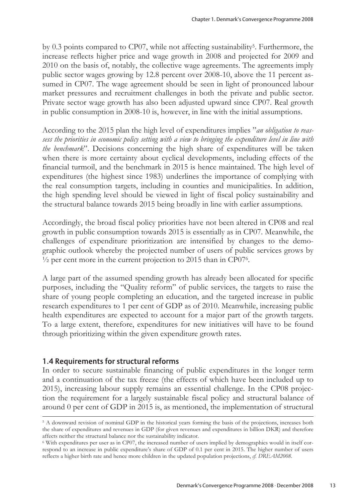by 0.3 points compared to CP07, while not affecting sustainability5. Furthermore, the increase reflects higher price and wage growth in 2008 and projected for 2009 and 2010 on the basis of, notably, the collective wage agreements. The agreements imply public sector wages growing by 12.8 percent over 2008-10, above the 11 percent assumed in CP07. The wage agreement should be seen in light of pronounced labour market pressures and recruitment challenges in both the private and public sector. Private sector wage growth has also been adjusted upward since CP07. Real growth in public consumption in 2008-10 is, however, in line with the initial assumptions.

According to the 2015 plan the high level of expenditures implies "*an obligation to reassess the priorities in economic policy setting with a view to bringing the expenditure level in line with the benchmark*". Decisions concerning the high share of expenditures will be taken when there is more certainty about cyclical developments, including effects of the financial turmoil, and the benchmark in 2015 is hence maintained. The high level of expenditures (the highest since 1983) underlines the importance of complying with the real consumption targets, including in counties and municipalities. In addition, the high spending level should be viewed in light of fiscal policy sustainability and the structural balance towards 2015 being broadly in line with earlier assumptions.

Accordingly, the broad fiscal policy priorities have not been altered in CP08 and real growth in public consumption towards 2015 is essentially as in CP07. Meanwhile, the challenges of expenditure prioritization are intensified by changes to the demographic outlook whereby the projected number of users of public services grows by  $\frac{1}{2}$  per cent more in the current projection to 2015 than in CP07<sup>6</sup>.

A large part of the assumed spending growth has already been allocated for specific purposes, including the "Quality reform" of public services, the targets to raise the share of young people completing an education, and the targeted increase in public research expenditures to 1 per cent of GDP as of 2010. Meanwhile, increasing public health expenditures are expected to account for a major part of the growth targets. To a large extent, therefore, expenditures for new initiatives will have to be found through prioritizing within the given expenditure growth rates.

## 1.4 Requirements for structural reforms

 $\overline{a}$ 

In order to secure sustainable financing of public expenditures in the longer term and a continuation of the tax freeze (the effects of which have been included up to 2015), increasing labour supply remains an essential challenge. In the CP08 projection the requirement for a largely sustainable fiscal policy and structural balance of around 0 per cent of GDP in 2015 is, as mentioned, the implementation of structural

<sup>5</sup> A downward revision of nominal GDP in the historical years forming the basis of the projections, increases both the share of expenditures and revenues in GDP (for given revenues and expenditures in billion DKR) and therefore affects neither the structural balance nor the sustainability indicator.

<sup>6</sup> With expenditures per user as in CP07, the increased number of users implied by demographics would in itself correspond to an increase in public expenditure's share of GDP of 0.1 per cent in 2015. The higher number of users reflects a higher birth rate and hence more children in the updated population projections, *cf. DREAM2008*.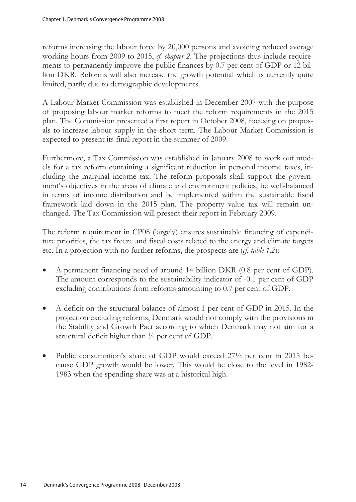reforms increasing the labour force by 20,000 persons and avoiding reduced average working hours from 2009 to 2015, *cf. chapter 2*. The projections thus include requirements to permanently improve the public finances by 0.7 per cent of GDP or 12 billion DKR. Reforms will also increase the growth potential which is currently quite limited, partly due to demographic developments.

A Labour Market Commission was established in December 2007 with the purpose of proposing labour market reforms to meet the reform requirements in the 2015 plan. The Commission presented a first report in October 2008, focusing on proposals to increase labour supply in the short term. The Labour Market Commission is expected to present its final report in the summer of 2009.

Furthermore, a Tax Commission was established in January 2008 to work out models for a tax reform containing a significant reduction in personal income taxes, including the marginal income tax. The reform proposals shall support the government's objectives in the areas of climate and environment policies, be well-balanced in terms of income distribution and be implemented within the sustainable fiscal framework laid down in the 2015 plan. The property value tax will remain unchanged. The Tax Commission will present their report in February 2009.

The reform requirement in CP08 (largely) ensures sustainable financing of expenditure priorities, the tax freeze and fiscal costs related to the energy and climate targets etc. In a projection with no further reforms, the prospects are (*cf. table 1.2*):

- A permanent financing need of around 14 billion DKR (0.8 per cent of GDP). The amount corresponds to the sustainability indicator of -0.1 per cent of GDP excluding contributions from reforms amounting to 0.7 per cent of GDP.
- A deficit on the structural balance of almost 1 per cent of GDP in 2015. In the projection excluding reforms, Denmark would not comply with the provisions in the Stability and Growth Pact according to which Denmark may not aim for a structural deficit higher than ½ per cent of GDP.
- Public consumption's share of GDP would exceed 27<sup>1</sup>/<sub>2</sub> per cent in 2015 because GDP growth would be lower. This would be close to the level in 1982- 1983 when the spending share was at a historical high.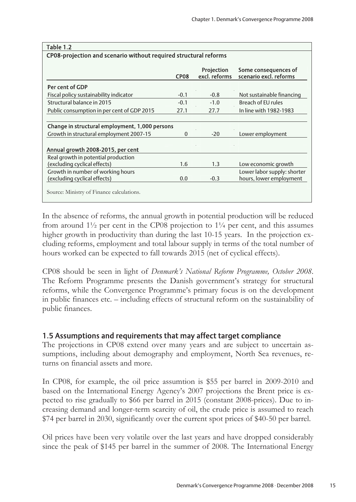| CP08-projection and scenario without required structural reforms |             |                             |                                                |  |  |  |  |  |
|------------------------------------------------------------------|-------------|-----------------------------|------------------------------------------------|--|--|--|--|--|
|                                                                  | <b>CP08</b> | Projection<br>excl. reforms | Some consequences of<br>scenario excl. reforms |  |  |  |  |  |
| <b>Per cent of GDP</b>                                           |             |                             |                                                |  |  |  |  |  |
| Fiscal policy sustainability indicator                           | $-0.1$      | $-0.8$                      | Not sustainable financing                      |  |  |  |  |  |
| Structural balance in 2015                                       | $-0.1$      | $-1.0$                      | Breach of EU rules                             |  |  |  |  |  |
| Public consumption in per cent of GDP 2015                       | 27.1        | 27.7                        | In line with 1982-1983                         |  |  |  |  |  |
| Change in structural employment, 1,000 persons                   |             |                             |                                                |  |  |  |  |  |
| Growth in structural employment 2007-15                          | $\Omega$    | $-20$                       | Lower employment                               |  |  |  |  |  |
| Annual growth 2008-2015, per cent                                |             |                             |                                                |  |  |  |  |  |
| Real growth in potential production                              |             |                             |                                                |  |  |  |  |  |
| (excluding cyclical effects)                                     | 1.6         | 1.3                         | Low economic growth                            |  |  |  |  |  |
| Growth in number of working hours                                |             |                             | Lower labor supply: shorter                    |  |  |  |  |  |
| (excluding cyclical effects)                                     | 0.0         | $-0.3$                      | hours, lower employment                        |  |  |  |  |  |
| Source: Ministry of Finance calculations.                        |             |                             |                                                |  |  |  |  |  |

## $T<sub>2</sub>$ ble 1.2

In the absence of reforms, the annual growth in potential production will be reduced from around  $1\frac{1}{2}$  per cent in the CP08 projection to  $1\frac{1}{4}$  per cent, and this assumes higher growth in productivity than during the last 10-15 years. In the projection excluding reforms, employment and total labour supply in terms of the total number of hours worked can be expected to fall towards 2015 (net of cyclical effects).

CP08 should be seen in light of *Denmark's National Reform Programme, October 2008*. The Reform Programme presents the Danish government's strategy for structural reforms, while the Convergence Programme's primary focus is on the development in public finances etc. – including effects of structural reform on the sustainability of public finances.

## 1.5 Assumptions and requirements that may affect target compliance

The projections in CP08 extend over many years and are subject to uncertain assumptions, including about demography and employment, North Sea revenues, returns on financial assets and more.

In CP08, for example, the oil price assumtion is \$55 per barrel in 2009-2010 and based on the International Energy Agency's 2007 projections the Brent price is expected to rise gradually to \$66 per barrel in 2015 (constant 2008-prices). Due to increasing demand and longer-term scarcity of oil, the crude price is assumed to reach \$74 per barrel in 2030, significantly over the current spot prices of \$40-50 per barrel.

Oil prices have been very volatile over the last years and have dropped considerably since the peak of \$145 per barrel in the summer of 2008. The International Energy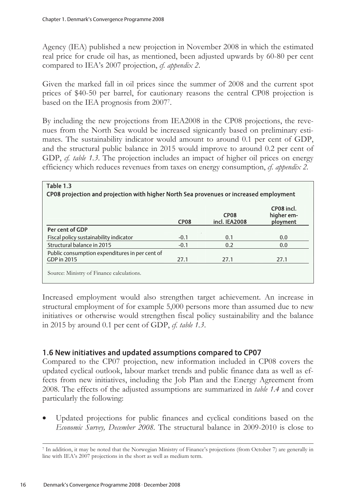$T_{\text{sub}}$ 

Agency (IEA) published a new projection in November 2008 in which the estimated real price for crude oil has, as mentioned, been adjusted upwards by 60-80 per cent compared to IEA's 2007 projection, *cf. appendix 2*.

Given the marked fall in oil prices since the summer of 2008 and the current spot prices of \$40-50 per barrel, for cautionary reasons the central CP08 projection is based on the IEA prognosis from 20077.

By including the new projections from IEA2008 in the CP08 projections, the revenues from the North Sea would be increased signicantly based on preliminary estimates. The sustainability indicator would amount to around 0.1 per cent of GDP, and the structural public balance in 2015 would improve to around 0.2 per cent of GDP, *cf. table 1.3*. The projection includes an impact of higher oil prices on energy efficiency which reduces revenues from taxes on energy consumption, *cf. appendix 2.*

|                                                | CP <sub>08</sub> | <b>CP08</b><br>incl. IEA2008 | CP08 incl.<br>higher em-<br>ployment |
|------------------------------------------------|------------------|------------------------------|--------------------------------------|
| Per cent of GDP                                |                  |                              |                                      |
| Fiscal policy sustainability indicator         | $-0.1$           | 0.1                          | 0.0                                  |
| Structural balance in 2015                     | $-0.1$           | 0.2                          | 0.0                                  |
| Public consumption expenditures in per cent of |                  |                              |                                      |
| GDP in 2015                                    | 27.1             | 27.1                         | 27.1                                 |

Increased employment would also strengthen target achievement. An increase in structural employment of for example 5,000 persons more than assumed due to new initiatives or otherwise would strengthen fiscal policy sustainability and the balance in 2015 by around 0.1 per cent of GDP, *cf. table 1.3*.

#### 1.6 New initiatives and updated assumptions compared to CP07

Compared to the CP07 projection, new information included in CP08 covers the updated cyclical outlook, labour market trends and public finance data as well as effects from new initiatives, including the Job Plan and the Energy Agreement from 2008. The effects of the adjusted assumptions are summarized in *table 1.4* and cover particularly the following:

Updated projections for public finances and cyclical conditions based on the *Economic Survey, December 2008*. The structural balance in 2009-2010 is close to

<sup>7</sup> In addition, it may be noted that the Norwegian Ministry of Finance's projections (from October 7) are generally in line with IEA's 2007 projections in the short as well as medium term.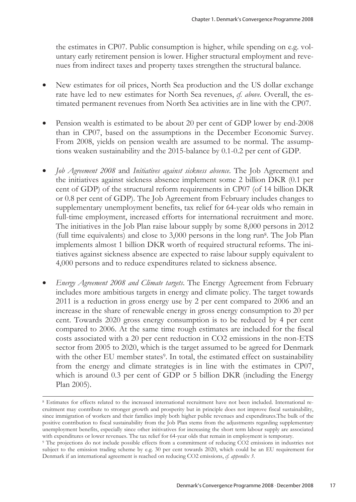the estimates in CP07. Public consumption is higher, while spending on e.g. voluntary early retirement pension is lower. Higher structural employment and revenues from indirect taxes and property taxes strengthen the structural balance.

- New estimates for oil prices, North Sea production and the US dollar exchange rate have led to new estimates for North Sea revenues, *cf. above*. Overall, the estimated permanent revenues from North Sea activities are in line with the CP07.
- Pension wealth is estimated to be about 20 per cent of GDP lower by end-2008 than in CP07, based on the assumptions in the December Economic Survey. From 2008, yields on pension wealth are assumed to be normal. The assumptions weaken sustainability and the 2015-balance by 0.1-0.2 per cent of GDP.
- *Job Agreement 2008* and *Initiatives against sickness absence*. The Job Agreement and the initiatives against sickness absence implement some 2 billion DKR (0.1 per cent of GDP) of the structural reform requirements in CP07 (of 14 billion DKR or 0.8 per cent of GDP). The Job Agreement from February includes changes to supplementary unemployment benefits, tax relief for 64-year olds who remain in full-time employment, increased efforts for international recruitment and more. The initiatives in the Job Plan raise labour supply by some 8,000 persons in 2012 (full time equivalents) and close to  $3,000$  persons in the long run<sup>8</sup>. The Job Plan implements almost 1 billion DKR worth of required structural reforms. The initiatives against sickness absence are expected to raise labour supply equivalent to 4,000 persons and to reduce expenditures related to sickness absence.
- *Energy Agreement 2008 and Climate targets*. The Energy Agreement from February includes more ambitious targets in energy and climate policy. The target towards 2011 is a reduction in gross energy use by 2 per cent compared to 2006 and an increase in the share of renewable energy in gross energy consumption to 20 per cent. Towards 2020 gross energy consumption is to be reduced by 4 per cent compared to 2006. At the same time rough estimates are included for the fiscal costs associated with a 20 per cent reduction in CO2 emissions in the non-ETS sector from 2005 to 2020, which is the target assumed to be agreed for Denmark with the other EU member states<sup>9</sup>. In total, the estimated effect on sustainability from the energy and climate strategies is in line with the estimates in CP07, which is around 0.3 per cent of GDP or 5 billion DKR (including the Energy Plan 2005).

<sup>8</sup> Estimates for effects related to the increased international recruitment have not been included. International recruitment may contribute to stronger growth and prosperity but in principle does not improve fiscal sustainability, since immigration of workers and their families imply both higher public revenues and expenditures.The bulk of the positive contribution to fiscal sustainability from the Job Plan stems from the adjustments regarding supplementary unemployment benefits, especially since other initivatives for increasing the short term labour supply are associated with expenditures or lower revenues. The tax relief for 64-year olds that remain in employment is temporary.<br><sup>9</sup> The projections do not include possible effects from a commitment of reducing CO2 emissions in industries not

subject to the emission trading scheme by e.g. 30 per cent towards 2020, which could be an EU requirement for Denmark if an international agreement is reached on reducing CO2 emissions, *cf. appendix 3*.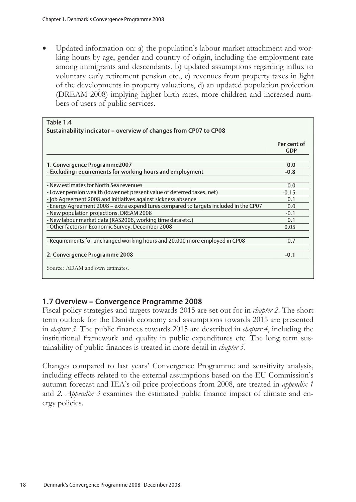Updated information on: a) the population's labour market attachment and working hours by age, gender and country of origin, including the employment rate among immigrants and descendants, b) updated assumptions regarding influx to voluntary early retirement pension etc., c) revenues from property taxes in light of the developments in property valuations, d) an updated population projection (DREAM 2008) implying higher birth rates, more children and increased numbers of users of public services.

| Table 1.4                                                                             |                           |
|---------------------------------------------------------------------------------------|---------------------------|
| Sustainability indicator - overview of changes from CP07 to CP08                      |                           |
|                                                                                       | Per cent of<br><b>GDP</b> |
| 1. Convergence Programme2007                                                          | 0.0                       |
| - Excluding requirements for working hours and employment                             | $-0.8$                    |
|                                                                                       |                           |
| - New estimates for North Sea revenues                                                | 0.0                       |
| - Lower pension wealth (lower net present value of deferred taxes, net)               | $-0.15$                   |
| - Job Agreement 2008 and initiatives against sickness absence                         | 0.1                       |
| - Energy Agreement 2008 - extra expenditures compared to targets included in the CP07 | 0.0                       |
| - New population projections, DREAM 2008                                              | $-0.1$                    |
| - New labour market data (RAS2006, working time data etc.)                            | 0.1                       |
| - Other factors in Economic Survey, December 2008                                     | 0.05                      |
|                                                                                       |                           |
| - Requirements for unchanged working hours and 20,000 more employed in CP08           | 0.7                       |
|                                                                                       |                           |
| 2. Convergence Programme 2008                                                         | $-0.1$                    |
| Source: ADAM and own estimates.                                                       |                           |

#### 1.7 Overview – Convergence Programme 2008

Fiscal policy strategies and targets towards 2015 are set out for in *chapter 2*. The short term outlook for the Danish economy and assumptions towards 2015 are presented in *chapter 3*. The public finances towards 2015 are described in *chapter 4*, including the institutional framework and quality in public expenditures etc. The long term sustainability of public finances is treated in more detail in *chapter 5*.

Changes compared to last years' Convergence Programme and sensitivity analysis, including effects related to the external assumptions based on the EU Commission's autumn forecast and IEA's oil price projections from 2008, are treated in *appendix 1* and *2*. *Appendix 3* examines the estimated public finance impact of climate and energy policies.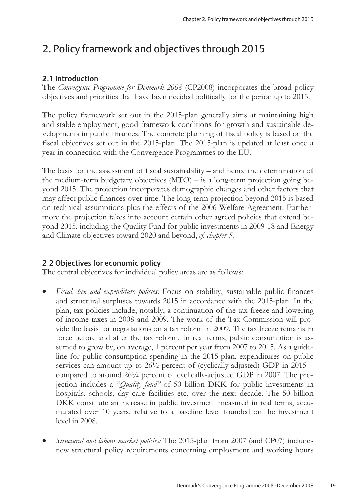## 2. Policy framework and objectives through 2015

## 2.1 Introduction

The *Convergence Programme for Denmark 2008* (CP2008) incorporates the broad policy objectives and priorities that have been decided politically for the period up to 2015.

The policy framework set out in the 2015-plan generally aims at maintaining high and stable employment, good framework conditions for growth and sustainable developments in public finances. The concrete planning of fiscal policy is based on the fiscal objectives set out in the 2015-plan. The 2015-plan is updated at least once a year in connection with the Convergence Programmes to the EU.

The basis for the assessment of fiscal sustainability – and hence the determination of the medium-term budgetary objectives (MTO) – is a long-term projection going beyond 2015. The projection incorporates demographic changes and other factors that may affect public finances over time. The long-term projection beyond 2015 is based on technical assumptions plus the effects of the 2006 Welfare Agreement. Furthermore the projection takes into account certain other agreed policies that extend beyond 2015, including the Quality Fund for public investments in 2009-18 and Energy and Climate objectives toward 2020 and beyond, *cf. chapter 5*.

## 2.2 Objectives for economic policy

The central objectives for individual policy areas are as follows:

- *Fiscal, tax and expenditure policies*: Focus on stability, sustainable public finances and structural surpluses towards 2015 in accordance with the 2015-plan. In the plan, tax policies include, notably, a continuation of the tax freeze and lowering of income taxes in 2008 and 2009. The work of the Tax Commission will provide the basis for negotiations on a tax reform in 2009. The tax freeze remains in force before and after the tax reform. In real terms, public consumption is assumed to grow by, on average, 1 percent per year from 2007 to 2015. As a guideline for public consumption spending in the 2015-plan, expenditures on public services can amount up to 26½ percent of (cyclically-adjusted) GDP in 2015 – compared to around 26¼ percent of cyclically-adjusted GDP in 2007. The projection includes a "*Quality fund"* of 50 billion DKK for public investments in hospitals, schools, day care facilities etc. over the next decade. The 50 billion DKK constitute an increase in public investment measured in real terms, accumulated over 10 years, relative to a baseline level founded on the investment level in 2008.
- *Structural and labour market policies:* The 2015-plan from 2007 (and CP07) includes new structural policy requirements concerning employment and working hours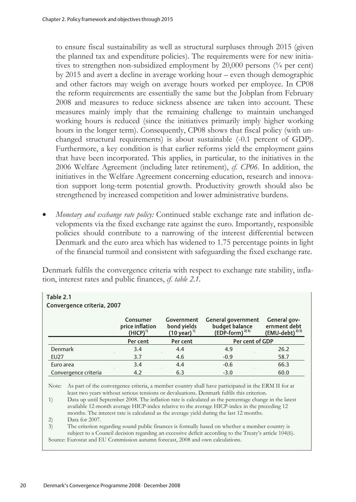to ensure fiscal sustainability as well as structural surpluses through 2015 (given the planned tax and expenditure policies). The requirements were for new initiatives to strengthen non-subsidized employment by  $20,000$  persons  $(3/4$  per cent) by 2015 and avert a decline in average working hour – even though demographic and other factors may weigh on average hours worked per employee. In CP08 the reform requirements are essentially the same but the Jobplan from February 2008 and measures to reduce sickness absence are taken into account. These measures mainly imply that the remaining challenge to maintain unchanged working hours is reduced (since the initiatives primarily imply higher working hours in the longer term). Consequently, CP08 shows that fiscal policy (with unchanged structural requirements) is about sustainable (-0.1 percent of GDP). Furthermore, a key condition is that earlier reforms yield the employment gains that have been incorporated. This applies, in particular, to the initiatives in the 2006 Welfare Agreement (including later retirement), *cf. CP06.* In addition, the initiatives in the Welfare Agreement concerning education, research and innovation support long-term potential growth. Productivity growth should also be strengthened by increased competition and lower administrative burdens.

• *Monetary and exchange rate policy:* Continued stable exchange rate and inflation developments via the fixed exchange rate against the euro. Importantly, responsible policies should contribute to a narrowing of the interest differential between Denmark and the euro area which has widened to 1.75 percentage points in light of the financial turmoil and consistent with safeguarding the fixed exchange rate.

Denmark fulfils the convergence criteria with respect to exchange rate stability, inflation, interest rates and public finances, *cf. table 2.1.*

| Table 2.1<br>Convergence criteria, 2007 |                      |                                                     |                                                      |                                                                                                                                                                                                                                                                                                                                                                                                                                                                                                     |                                                            |  |  |  |  |
|-----------------------------------------|----------------------|-----------------------------------------------------|------------------------------------------------------|-----------------------------------------------------------------------------------------------------------------------------------------------------------------------------------------------------------------------------------------------------------------------------------------------------------------------------------------------------------------------------------------------------------------------------------------------------------------------------------------------------|------------------------------------------------------------|--|--|--|--|
|                                         |                      | Consumer<br>price inflation<br>(HICP) <sup>1)</sup> | Government<br>bond yields<br>(10 year) <sup>1)</sup> | <b>General government</b><br>budget balance<br>$(EDP-form)^{2/3}$                                                                                                                                                                                                                                                                                                                                                                                                                                   | General gov-<br>ernment debt<br>(EMU-debt) <sup>2)3)</sup> |  |  |  |  |
|                                         |                      | Per cent                                            | Per cent                                             | Per cent of GDP                                                                                                                                                                                                                                                                                                                                                                                                                                                                                     |                                                            |  |  |  |  |
| Denmark                                 |                      | 3.4                                                 | 4.4                                                  | 4.9                                                                                                                                                                                                                                                                                                                                                                                                                                                                                                 | 26.2                                                       |  |  |  |  |
| EU27                                    |                      | 3.7                                                 | 4.6                                                  | $-0.9$                                                                                                                                                                                                                                                                                                                                                                                                                                                                                              | 58.7                                                       |  |  |  |  |
| Euro area                               |                      | 3.4                                                 | 4.4                                                  | $-0.6$                                                                                                                                                                                                                                                                                                                                                                                                                                                                                              | 66.3                                                       |  |  |  |  |
|                                         | Convergence criteria | 4.2                                                 | 6.3                                                  | $-3.0$                                                                                                                                                                                                                                                                                                                                                                                                                                                                                              | 60.0                                                       |  |  |  |  |
| Note:<br>1)                             |                      |                                                     |                                                      | As part of the convergence criteria, a member country shall have participated in the ERM II for at<br>least two years without serious tensions or devaluations. Denmark fulfils this criterion.<br>Data up until September 2008. The inflation rate is calculated as the percentage change in the latest<br>available 12-month average HICP-index relative to the average HICP-index in the preceding 12<br>months. The interest rate is calculated as the average yield during the last 12 months. |                                                            |  |  |  |  |

2) Data for 2007.

3) The criterion regarding sound public finances is formally based on whether a member country is subject to a Council decision regarding an excessive deficit according to the Treaty's article 104(6). Source: Eurostat and EU Commission autumn forecast, 2008 and own calculations.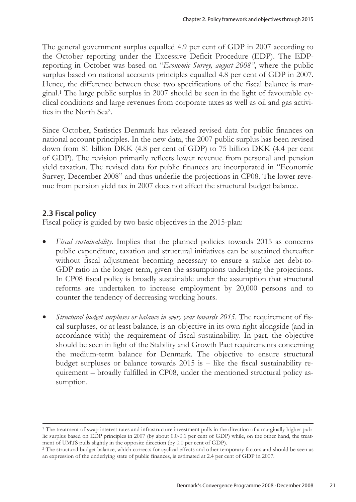The general government surplus equalled 4.9 per cent of GDP in 2007 according to the October reporting under the Excessive Deficit Procedure (EDP). The EDPreporting in October was based on "*Economic Survey, august 2008"*, where the public surplus based on national accounts principles equalled 4.8 per cent of GDP in 2007. Hence, the difference between these two specifications of the fiscal balance is marginal.1 The large public surplus in 2007 should be seen in the light of favourable cyclical conditions and large revenues from corporate taxes as well as oil and gas activities in the North Sea2.

Since October, Statistics Denmark has released revised data for public finances on national account principles. In the new data, the 2007 public surplus has been revised down from 81 billion DKK (4.8 per cent of GDP) to 75 billion DKK (4.4 per cent of GDP). The revision primarily reflects lower revenue from personal and pension yield taxation. The revised data for public finances are incorporated in "Economic Survey, December 2008" and thus underlie the projections in CP08. The lower revenue from pension yield tax in 2007 does not affect the structural budget balance.

#### 2.3 Fiscal policy

 $\overline{a}$ 

Fiscal policy is guided by two basic objectives in the 2015-plan:

- *Fiscal sustainability*. Implies that the planned policies towards 2015 as concerns public expenditure, taxation and structural initiatives can be sustained thereafter without fiscal adjustment becoming necessary to ensure a stable net debt-to-GDP ratio in the longer term, given the assumptions underlying the projections. In CP08 fiscal policy is broadly sustainable under the assumption that structural reforms are undertaken to increase employment by 20,000 persons and to counter the tendency of decreasing working hours.
- *Structural budget surpluses or balance in every year towards 2015*. The requirement of fiscal surpluses, or at least balance, is an objective in its own right alongside (and in accordance with) the requirement of fiscal sustainability. In part, the objective should be seen in light of the Stability and Growth Pact requirements concerning the medium-term balance for Denmark. The objective to ensure structural budget surpluses or balance towards 2015 is – like the fiscal sustainability requirement – broadly fulfilled in CP08, under the mentioned structural policy assumption.

<sup>1</sup> The treatment of swap interest rates and infrastructure investment pulls in the direction of a marginally higher public surplus based on EDP principles in 2007 (by about 0.0-0.1 per cent of GDP) while, on the other hand, the treatment of UMTS pulls slightly in the opposite direction (by 0.0 per cent of GDP). 2 The structural budget balance, which corrects for cyclical effects and other temporary factors and should be seen as

an expression of the underlying state of public finances, is estimated at 2.4 per cent of GDP in 2007.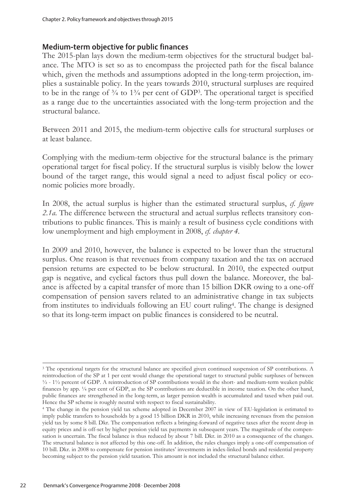#### Medium-term objective for public finances

The 2015-plan lays down the medium-term objectives for the structural budget balance. The MTO is set so as to encompass the projected path for the fiscal balance which, given the methods and assumptions adopted in the long-term projection, implies a sustainable policy. In the years towards 2010, structural surpluses are required to be in the range of  $\frac{3}{4}$  to  $\frac{13}{4}$  per cent of GDP<sup>3</sup>. The operational target is specified as a range due to the uncertainties associated with the long-term projection and the structural balance.

Between 2011 and 2015, the medium-term objective calls for structural surpluses or at least balance.

Complying with the medium-term objective for the structural balance is the primary operational target for fiscal policy. If the structural surplus is visibly below the lower bound of the target range, this would signal a need to adjust fiscal policy or economic policies more broadly.

In 2008, the actual surplus is higher than the estimated structural surplus, *cf. figure 2.1a*. The difference between the structural and actual surplus reflects transitory contributions to public finances. This is mainly a result of business cycle conditions with low unemployment and high employment in 2008, *cf. chapter 4.*

In 2009 and 2010, however, the balance is expected to be lower than the structural surplus. One reason is that revenues from company taxation and the tax on accrued pension returns are expected to be below structural. In 2010, the expected output gap is negative, and cyclical factors thus pull down the balance. Moreover, the balance is affected by a capital transfer of more than 15 billion DKR owing to a one-off compensation of pension savers related to an administrative change in tax subjects from institutes to individuals following an EU court ruling4. The change is designed so that its long-term impact on public finances is considered to be neutral.

 $\overline{a}$ <sup>3</sup> The operational targets for the structural balance are specified given continued suspension of SP contributions. A reintroduction of the SP at 1 per cent would change the operational target to structural public surpluses of between ½ - 1½ percent of GDP. A reintroduction of SP contributions would in the short- and medium-term weaken public finances by app. ¼ per cent of GDP, as the SP contributions are deductible in income taxation. On the other hand, public finances are strengthened in the long-term, as larger pension wealth is accumulated and taxed when paid out. Hence the SP scheme is roughly neutral with respect to fiscal sustainability.

<sup>4</sup> The change in the pension yield tax scheme adopted in December 2007 in view of EU-legislation is estimated to imply public transfers to households by a good 15 billion DKR in 2010, while increasing revenues from the pension yield tax by some 8 bill. Dkr. The compensation reflects a bringing-forward of negative taxes after the recent drop in equity prices and is off-set by higher pension yield tax payments in subsequent years. The magnitude of the compensation is uncertain. The fiscal balance is thus reduced by about 7 bill. Dkr. in 2010 as a consequence of the changes. The structural balance is not affected by this one-off. In addition, the rules changes imply a one-off compensation of 10 bill. Dkr. in 2008 to compensate for pension institutes' investments in index-linked bonds and residential property becoming subject to the pension yield taxation. This amount is not included the structural balance either.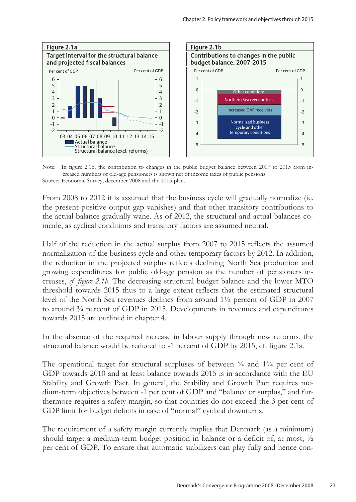

Note: In figure 2.1b, the contribution to changes in the public budget balance between 2007 to 2015 from increased numbers of old-age pensioners is shown net of income taxes of public pensions. Source: Economic Survey, december 2008 and the 2015-plan.

From 2008 to 2012 it is assumed that the business cycle will gradually normalize (ie. the present positive output gap vanishes) and that other transitory contributions to the actual balance gradually wane. As of 2012, the structural and actual balances coincide, as cyclical conditions and transitory factors are assumed neutral.

Half of the reduction in the actual surplus from 2007 to 2015 reflects the assumed normalization of the business cycle and other temporary factors by 2012. In addition, the reduction in the projected surplus reflects declining North Sea production and growing expenditures for public old-age pension as the number of pensioners increases, *cf. figure 2.1b*. The decreasing structural budget balance and the lower MTO threshold towards 2015 thus to a large extent reflects that the estimated structural level of the North Sea revenues declines from around 1½ percent of GDP in 2007 to around  $\frac{3}{4}$  percent of GDP in 2015. Developments in revenues and expenditures towards 2015 are outlined in chapter 4.

In the absence of the required increase in labour supply through new reforms, the structural balance would be reduced to -1 percent of GDP by 2015, cf. figure 2.1a.

The operational target for structural surpluses of between  $\frac{3}{4}$  and  $\frac{13}{4}$  per cent of GDP towards 2010 and at least balance towards 2015 is in accordance with the EU Stability and Growth Pact. In general, the Stability and Growth Pact requires medium-term objectives between -1 per cent of GDP and "balance or surplus," and furthermore requires a safety margin, so that countries do not exceed the 3 per cent of GDP limit for budget deficits in case of "normal" cyclical downturns.

The requirement of a safety margin currently implies that Denmark (as a minimum) should target a medium-term budget position in balance or a deficit of, at most,  $\frac{1}{2}$ per cent of GDP. To ensure that automatic stabilizers can play fully and hence con-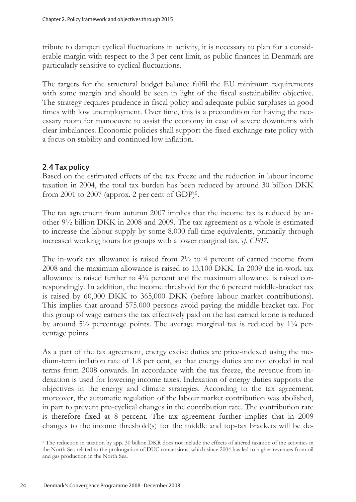tribute to dampen cyclical fluctuations in activity, it is necessary to plan for a considerable margin with respect to the 3 per cent limit, as public finances in Denmark are particularly sensitive to cyclical fluctuations.

The targets for the structural budget balance fulfil the EU minimum requirements with some margin and should be seen in light of the fiscal sustainability objective. The strategy requires prudence in fiscal policy and adequate public surpluses in good times with low unemployment. Over time, this is a precondition for having the necessary room for manoeuvre to assist the economy in case of severe downturns with clear imbalances. Economic policies shall support the fixed exchange rate policy with a focus on stability and continued low inflation.

## 2.4 Tax policy

Based on the estimated effects of the tax freeze and the reduction in labour income taxation in 2004, the total tax burden has been reduced by around 30 billion DKK from 2001 to 2007 (approx. 2 per cent of  $GDP$ )<sup>5</sup>.

The tax agreement from autumn 2007 implies that the income tax is reduced by another 9½ billion DKK in 2008 and 2009. The tax agreement as a whole is estimated to increase the labour supply by some 8,000 full-time equivalents, primarily through increased working hours for groups with a lower marginal tax, *cf. CP07*.

The in-work tax allowance is raised from  $2\frac{1}{2}$  to 4 percent of earned income from 2008 and the maximum allowance is raised to 13,100 DKK. In 2009 the in-work tax allowance is raised further to  $4\frac{1}{4}$  percent and the maximum allowance is raised correspondingly. In addition, the income threshold for the 6 percent middle-bracket tax is raised by 60,000 DKK to 365,000 DKK (before labour market contributions). This implies that around 575.000 persons avoid paying the middle-bracket tax. For this group of wage earners the tax effectively paid on the last earned krone is reduced by around  $5\frac{1}{2}$  percentage points. The average marginal tax is reduced by  $1\frac{1}{4}$  percentage points.

As a part of the tax agreement, energy excise duties are price-indexed using the medium-term inflation rate of 1.8 per cent, so that energy duties are not eroded in real terms from 2008 onwards. In accordance with the tax freeze, the revenue from indexation is used for lowering income taxes. Indexation of energy duties supports the objectives in the energy and climate strategies. According to the tax agreement, moreover, the automatic regulation of the labour market contribution was abolished, in part to prevent pro-cyclical changes in the contribution rate. The contribution rate is therefore fixed at 8 percent. The tax agreement further implies that in 2009 changes to the income threshold(s) for the middle and top-tax brackets will be de-

<sup>5</sup> The reduction in taxation by app. 30 billion DKR does not include the effects of altered taxation of the activities in the North Sea related to the prolongation of DUC concessions, which since 2004 has led to higher revenues from oil and gas production in the North Sea.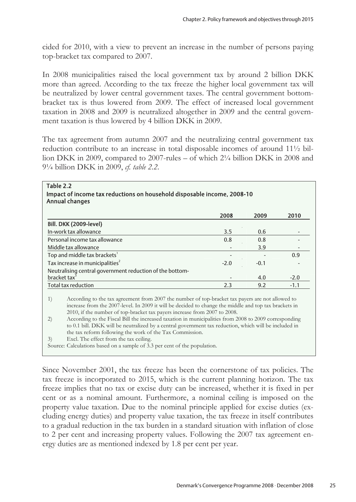cided for 2010, with a view to prevent an increase in the number of persons paying top-bracket tax compared to 2007.

In 2008 municipalities raised the local government tax by around 2 billion DKK more than agreed. According to the tax freeze the higher local government tax will be neutralized by lower central government taxes. The central government bottombracket tax is thus lowered from 2009. The effect of increased local government taxation in 2008 and 2009 is neutralized altogether in 2009 and the central government taxation is thus lowered by 4 billion DKK in 2009.

The tax agreement from autumn 2007 and the neutralizing central government tax reduction contribute to an increase in total disposable incomes of around 11½ billion DKK in 2009, compared to 2007-rules – of which 2¼ billion DKK in 2008 and 9¼ billion DKK in 2009, *cf. table 2.2*.

|                                                          | 2008   | 2009   | 2010   |
|----------------------------------------------------------|--------|--------|--------|
| <b>Bill. DKK (2009-level)</b>                            |        |        |        |
| In-work tax allowance                                    | 3.5    | 0.6    |        |
| Personal income tax allowance                            | 0.8    | 0.8    |        |
| Middle tax allowance                                     |        | 3.9    |        |
| Top and middle tax brackets'                             |        |        | 0.9    |
| Tax increase in municipalities <sup>2</sup>              | $-2.0$ | $-0.1$ |        |
| Neutralising central government reduction of the bottom- |        |        |        |
| bracket tax <sup>3</sup>                                 |        | 4.0    | $-2.0$ |
| <b>Total tax reduction</b>                               | 2.3    | 9.2    | $-1.1$ |

## Table 2.2 Impact of income tax reductions on household disposable income, 2008-10

increase from the 2007-level. In 2009 it will be decided to change the middle and top tax brackets in 2010, if the number of top-bracket tax payers increase from 2007 to 2008.

2) According to the Fiscal Bill the increased taxation in municipalities from 2008 to 2009 corresponding to 0.1 bill. DKK will be neutralized by a central government tax reduction, which will be included in the tax reform following the work of the Tax Commission.

3) Excl. The effect from the tax ceiling.

Source: Calculations based on a sample of 3.3 per cent of the population.

Since November 2001, the tax freeze has been the cornerstone of tax policies. The tax freeze is incorporated to 2015, which is the current planning horizon. The tax freeze implies that no tax or excise duty can be increased, whether it is fixed in per cent or as a nominal amount. Furthermore, a nominal ceiling is imposed on the property value taxation. Due to the nominal principle applied for excise duties (excluding energy duties) and property value taxation, the tax freeze in itself contributes to a gradual reduction in the tax burden in a standard situation with inflation of close to 2 per cent and increasing property values. Following the 2007 tax agreement energy duties are as mentioned indexed by 1.8 per cent per year.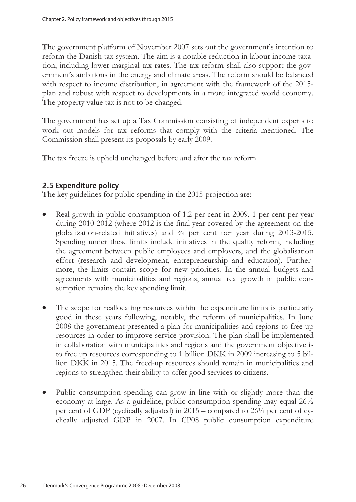The government platform of November 2007 sets out the government's intention to reform the Danish tax system. The aim is a notable reduction in labour income taxation, including lower marginal tax rates. The tax reform shall also support the government's ambitions in the energy and climate areas. The reform should be balanced with respect to income distribution, in agreement with the framework of the 2015 plan and robust with respect to developments in a more integrated world economy. The property value tax is not to be changed.

The government has set up a Tax Commission consisting of independent experts to work out models for tax reforms that comply with the criteria mentioned. The Commission shall present its proposals by early 2009.

The tax freeze is upheld unchanged before and after the tax reform.

## 2.5 Expenditure policy

The key guidelines for public spending in the 2015-projection are:

- Real growth in public consumption of 1.2 per cent in 2009, 1 per cent per year during 2010-2012 (where 2012 is the final year covered by the agreement on the globalization-related initiatives) and ¾ per cent per year during 2013-2015. Spending under these limits include initiatives in the quality reform, including the agreement between public employees and employers, and the globalisation effort (research and development, entrepreneurship and education). Furthermore, the limits contain scope for new priorities. In the annual budgets and agreements with municipalities and regions, annual real growth in public consumption remains the key spending limit.
- The scope for reallocating resources within the expenditure limits is particularly good in these years following, notably, the reform of municipalities. In June 2008 the government presented a plan for municipalities and regions to free up resources in order to improve service provision. The plan shall be implemented in collaboration with municipalities and regions and the government objective is to free up resources corresponding to 1 billion DKK in 2009 increasing to 5 billion DKK in 2015. The freed-up resources should remain in municipalities and regions to strengthen their ability to offer good services to citizens.
- Public consumption spending can grow in line with or slightly more than the economy at large. As a guideline, public consumption spending may equal 26½ per cent of GDP (cyclically adjusted) in 2015 – compared to 26¼ per cent of cyclically adjusted GDP in 2007. In CP08 public consumption expenditure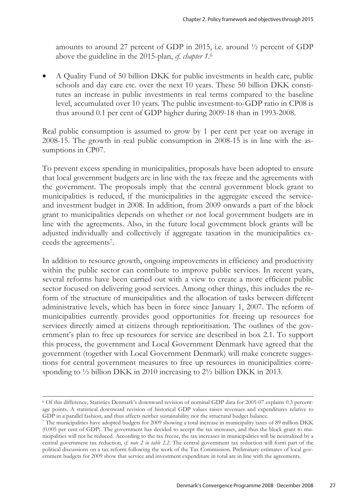amounts to around 27 percent of GDP in 2015, i.e. around ½ percent of GDP above the guideline in the 2015-plan, *cf. chapter 1*. 6

• A Quality Fund of 50 billion DKK for public investments in health care, public schools and day care etc. over the next 10 years. These 50 billion DKK constitutes an increase in public investments in real terms compared to the baseline level, accumulated over 10 years. The public investment-to-GDP ratio in CP08 is thus around 0.1 per cent of GDP higher during 2009-18 than in 1993-2008.

Real public consumption is assumed to grow by 1 per cent per year on average in 2008-15. The growth in real public consumption in 2008-15 is in line with the assumptions in CP07.

To prevent excess spending in municipalities, proposals have been adopted to ensure that local government budgets are in line with the tax freeze and the agreements with the government. The proposals imply that the central government block grant to municipalities is reduced, if the municipalities in the aggregate exceed the serviceand investment budget in 2008. In addition, from 2009 onwards a part of the block grant to municipalities depends on whether or not local government budgets are in line with the agreements. Also, in the future local government block grants will be adjusted individually and collectively if aggregate taxation in the municipalities exceeds the agreements7.

In addition to resource growth, ongoing improvements in efficiency and productivity within the public sector can contribute to improve public services. In recent years, several reforms have been carried out with a view to create a more efficient public sector focused on delivering good services. Among other things, this includes the reform of the structure of municipalities and the allocation of tasks between different administrative levels, which has been in force since January 1, 2007. The reform of municipalities currently provides good opportunities for freeing up resources for services directly aimed at citizens through reprioritisation. The outlines of the government's plan to free up resources for service are described in box 2.1. To support this process, the government and Local Government Denmark have agreed that the government (together with Local Government Denmark) will make concrete suggestions for central government measures to free up resources in municipalities corresponding to  $\frac{1}{2}$  billion DKK in 2010 increasing to  $2\frac{1}{2}$  billion DKK in 2013.

<sup>6</sup> Of this difference, Statistics Denmark's downward revision of nominal GDP data for 2005-07 explains 0.3 percentage points. A statistical downward revision of historical GDP values raises revenues and expenditures relative to GDP in a parallel fashion, and thus affects neither sustainability nor the structural budget balance.

<sup>7</sup> The municipalities have adopted budgets for 2009 showing a total increase in municipality taxes of 89 million DKK (0.005 per cent of GDP). The government has decided to accept the tax increases, and thus the block grant to municipalities will not be reduced. According to the tax freeze, the tax increases in municipalities will be neutralized by a central government tax reduction, *cf. note 2 in table 2.2*. The central government tax reduction will form part of the political discussions on a tax reform following the work of the Tax Commission. Preliminary estimates of local government budgets for 2009 show that service and investment expenditure in total are in line with the agreements.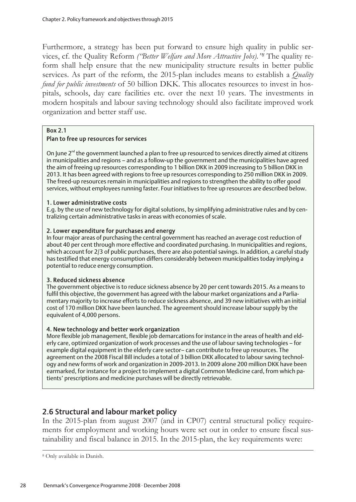Furthermore, a strategy has been put forward to ensure high quality in public services, cf. the Quality Reform *("Better Welfare and More Attractive Jobs)."8* The quality reform shall help ensure that the new municipality structure results in better public services. As part of the reform, the 2015-plan includes means to establish a *Quality fund for public investments* of 50 billion DKK. This allocates resources to invest in hospitals, schools, day care facilities etc. over the next 10 years. The investments in modern hospitals and labour saving technology should also facilitate improved work organization and better staff use.

#### Box 2.1

#### Plan to free up resources for services

On June  $2^{nd}$  the government launched a plan to free up resourced to services directly aimed at citizens in municipalities and regions – and as a follow-up the government and the municipalities have agreed the aim of freeing up resources corresponding to 1 billion DKK in 2009 increasing to 5 billion DKK in 2013. It has been agreed with regions to free up resources corresponding to 250 million DKK in 2009. The freed-up resources remain in municipalities and regions to strengthen the ability to offer good services, without employees running faster. Four initiatives to free up resources are described below.

#### 1. Lower administrative costs

E.g. by the use of new technology for digital solutions, by simplifying administrative rules and by centralizing certain administrative tasks in areas with economies of scale.

#### 2. Lower expenditure for purchases and energy

In four major areas of purchasing the central government has reached an average cost reduction of about 40 per cent through more effective and coordinated purchasing. In municipalities and regions, which account for 2/3 of public purchases, there are also potential savings. In addition, a careful study has testified that energy consumption differs considerably between municipalities today implying a potential to reduce energy consumption.

#### 3. Reduced sickness absence

The government objective is to reduce sickness absence by 20 per cent towards 2015. As a means to fulfil this objective, the government has agreed with the labour market organizations and a Parliamentary majority to increase efforts to reduce sickness absence, and 39 new initiatives with an initial cost of 170 million DKK have been launched. The agreement should increase labour supply by the equivalent of 4,000 persons.

#### 4. New technology and better work organization

More flexible job management, flexible job demarcations for instance in the areas of health and elderly care, optimized organization of work processes and the use of labour saving technologies – for example digital equipment in the elderly care sector– can contribute to free up resources. The agreement on the 2008 Fiscal Bill includes a total of 3 billion DKK allocated to labour saving technology and new forms of work and organization in 2009-2013. In 2009 alone 200 million DKK have been earmarked, for instance for a project to implement a digital Common Medicine card, from which patients' prescriptions and medicine purchases will be directly retrievable.

## 2.6 Structural and labour market policy

In the 2015-plan from august 2007 (and in CP07) central structural policy requirements for employment and working hours were set out in order to ensure fiscal sustainability and fiscal balance in 2015. In the 2015-plan, the key requirements were:

<sup>8</sup> Only available in Danish.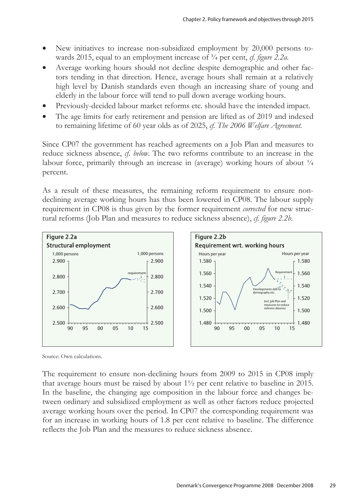- New initiatives to increase non-subsidized employment by 20,000 persons towards 2015, equal to an employment increase of ¾ per cent, *cf. figure 2.2a*.
- Average working hours should not decline despite demographic and other factors tending in that direction. Hence, average hours shall remain at a relatively high level by Danish standards even though an increasing share of young and elderly in the labour force will tend to pull down average working hours.
- Previously-decided labour market reforms etc. should have the intended impact.
- The age limits for early retirement and pension are lifted as of 2019 and indexed to remaining lifetime of 60 year olds as of 2025, *cf. The 2006 Welfare Agreement*.

Since CP07 the government has reached agreements on a Job Plan and measures to reduce sickness absence, *cf. below*. The two reforms contribute to an increase in the labour force, primarily through an increase in (average) working hours of about  $\frac{1}{4}$ percent.

As a result of these measures, the remaining reform requirement to ensure nondeclining average working hours has thus been lowered in CP08. The labour supply requirement in CP08 is thus given by the former requirement *corrected* for new structural reforms (Job Plan and measures to reduce sickness absence), *cf. figure 2.2b*.



Source: Own calculations.

The requirement to ensure non-declining hours from 2009 to 2015 in CP08 imply that average hours must be raised by about 1½ per cent relative to baseline in 2015. In the baseline, the changing age composition in the labour force and changes between ordinary and subsidized employment as well as other factors reduce projected average working hours over the period. In CP07 the corresponding requirement was for an increase in working hours of 1.8 per cent relative to baseline. The difference reflects the Job Plan and the measures to reduce sickness absence.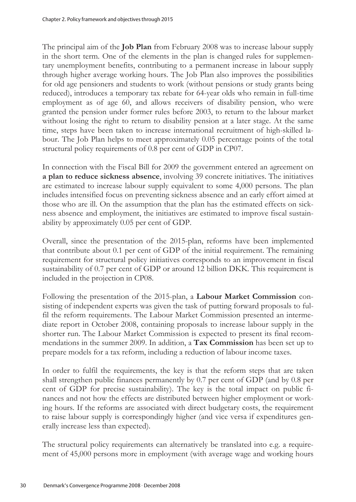The principal aim of the **Job Plan** from February 2008 was to increase labour supply in the short term. One of the elements in the plan is changed rules for supplementary unemployment benefits, contributing to a permanent increase in labour supply through higher average working hours. The Job Plan also improves the possibilities for old age pensioners and students to work (without pensions or study grants being reduced), introduces a temporary tax rebate for 64-year olds who remain in full-time employment as of age 60, and allows receivers of disability pension, who were granted the pension under former rules before 2003, to return to the labour market without losing the right to return to disability pension at a later stage. At the same time, steps have been taken to increase international recruitment of high-skilled labour. The Job Plan helps to meet approximately 0.05 percentage points of the total structural policy requirements of 0.8 per cent of GDP in CP07.

In connection with the Fiscal Bill for 2009 the government entered an agreement on **a plan to reduce sickness absence**, involving 39 concrete initiatives. The initiatives are estimated to increase labour supply equivalent to some 4,000 persons. The plan includes intensified focus on preventing sickness absence and an early effort aimed at those who are ill. On the assumption that the plan has the estimated effects on sickness absence and employment, the initiatives are estimated to improve fiscal sustainability by approximately 0.05 per cent of GDP.

Overall, since the presentation of the 2015-plan, reforms have been implemented that contribute about 0.1 per cent of GDP of the initial requirement. The remaining requirement for structural policy initiatives corresponds to an improvement in fiscal sustainability of 0.7 per cent of GDP or around 12 billion DKK. This requirement is included in the projection in CP08.

Following the presentation of the 2015-plan, a **Labour Market Commission** consisting of independent experts was given the task of putting forward proposals to fulfil the reform requirements. The Labour Market Commission presented an intermediate report in October 2008, containing proposals to increase labour supply in the shorter run. The Labour Market Commission is expected to present its final recommendations in the summer 2009. In addition, a **Tax Commission** has been set up to prepare models for a tax reform, including a reduction of labour income taxes.

In order to fulfil the requirements, the key is that the reform steps that are taken shall strengthen public finances permanently by 0.7 per cent of GDP (and by 0.8 per cent of GDP for precise sustainability). The key is the total impact on public finances and not how the effects are distributed between higher employment or working hours. If the reforms are associated with direct budgetary costs, the requirement to raise labour supply is correspondingly higher (and vice versa if expenditures generally increase less than expected).

The structural policy requirements can alternatively be translated into e.g. a requirement of 45,000 persons more in employment (with average wage and working hours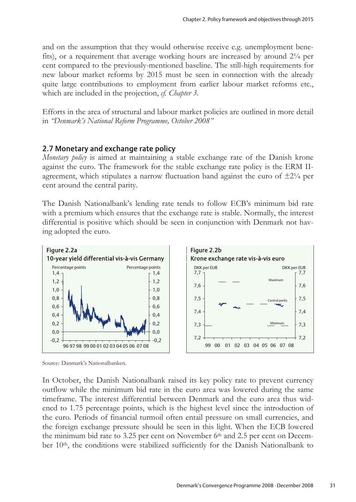and on the assumption that they would otherwise receive e.g. unemployment benefits), or a requirement that average working hours are increased by around 2¼ per cent compared to the previously-mentioned baseline. The still-high requirements for new labour market reforms by 2015 must be seen in connection with the already quite large contributions to employment from earlier labour market reforms etc., which are included in the projection, *cf. Chapter 3*.

Efforts in the area of structural and labour market policies are outlined in more detail in *"Denmark's National Reform Programme, October 2008"* 

#### 2.7 Monetary and exchange rate policy

*Monetary policy* is aimed at maintaining a stable exchange rate of the Danish krone against the euro. The framework for the stable exchange rate policy is the ERM IIagreement, which stipulates a narrow fluctuation band against the euro of  $\pm 2\frac{1}{4}$  per cent around the central parity.

The Danish Nationalbank's lending rate tends to follow ECB's minimum bid rate with a premium which ensures that the exchange rate is stable. Normally, the interest differential is positive which should be seen in conjunction with Denmark not having adopted the euro.



Source: Danmark's Nationalbanken.

In October, the Danish Nationalbank raised its key policy rate to prevent currency outflow while the minimum bid rate in the euro area was lowered during the same timeframe. The interest differential between Denmark and the euro area thus widened to 1.75 percentage points, which is the highest level since the introduction of the euro. Periods of financial turmoil often entail pressure on small currencies, and the foreign exchange pressure should be seen in this light. When the ECB lowered the minimum bid rate to 3.25 per cent on November  $6<sup>th</sup>$  and 2.5 per cent on December 10<sup>th</sup>, the conditions were stabilized sufficiently for the Danish Nationalbank to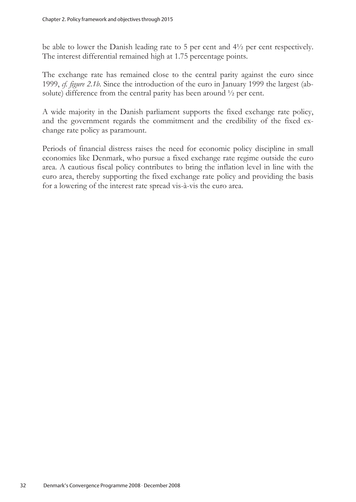be able to lower the Danish leading rate to 5 per cent and 4½ per cent respectively. The interest differential remained high at 1.75 percentage points.

The exchange rate has remained close to the central parity against the euro since 1999, *cf. figure 2.1b*. Since the introduction of the euro in January 1999 the largest (absolute) difference from the central parity has been around ½ per cent.

A wide majority in the Danish parliament supports the fixed exchange rate policy, and the government regards the commitment and the credibility of the fixed exchange rate policy as paramount.

Periods of financial distress raises the need for economic policy discipline in small economies like Denmark, who pursue a fixed exchange rate regime outside the euro area. A cautious fiscal policy contributes to bring the inflation level in line with the euro area, thereby supporting the fixed exchange rate policy and providing the basis for a lowering of the interest rate spread vis-à-vis the euro area.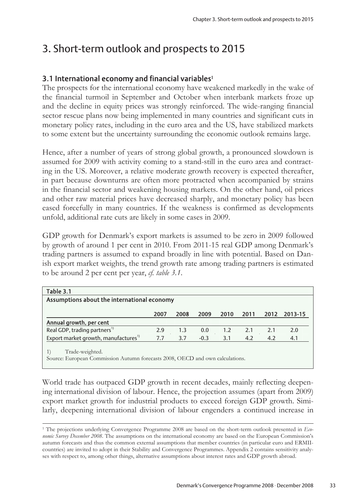## 3. Short-term outlook and prospects to 2015

## 3.1 International economy and financial variables**<sup>1</sup>**

The prospects for the international economy have weakened markedly in the wake of the financial turmoil in September and October when interbank markets froze up and the decline in equity prices was strongly reinforced. The wide-ranging financial sector rescue plans now being implemented in many countries and significant cuts in monetary policy rates, including in the euro area and the US, have stabilized markets to some extent but the uncertainty surrounding the economic outlook remains large.

Hence, after a number of years of strong global growth, a pronounced slowdown is assumed for 2009 with activity coming to a stand-still in the euro area and contracting in the US. Moreover, a relative moderate growth recovery is expected thereafter, in part because downturns are often more protracted when accompanied by strains in the financial sector and weakening housing markets. On the other hand, oil prices and other raw material prices have decreased sharply, and monetary policy has been eased forcefully in many countries. If the weakness is confirmed as developments unfold, additional rate cuts are likely in some cases in 2009.

GDP growth for Denmark's export markets is assumed to be zero in 2009 followed by growth of around 1 per cent in 2010. From 2011-15 real GDP among Denmark's trading partners is assumed to expand broadly in line with potential. Based on Danish export market weights, the trend growth rate among trading partners is estimated to be around 2 per cent per year, *cf. table 3.1*.

| Table 3.1                                                                                        |      |      |        |           |      |      |         |  |
|--------------------------------------------------------------------------------------------------|------|------|--------|-----------|------|------|---------|--|
| Assumptions about the international economy                                                      |      |      |        |           |      |      |         |  |
|                                                                                                  | 2007 | 2008 | 2009   | 2010      | 2011 | 2012 | 2013-15 |  |
| Annual growth, per cent                                                                          |      |      |        |           |      |      |         |  |
| Real GDP, trading partners <sup>1)</sup>                                                         | 2.9  | 1.3  |        | $0.0$ 1.2 | 2.1  | 2.1  | 2.0     |  |
| Export market growth, manufactures <sup>1)</sup>                                                 | 7.7  | 3.7  | $-0.3$ | 3.1       | 4.2  | 4.2  | 4.1     |  |
| Trade-weighted.<br>Source: European Commission Autumn forecasts 2008, OECD and own calculations. |      |      |        |           |      |      |         |  |

World trade has outpaced GDP growth in recent decades, mainly reflecting deepening international division of labour. Hence, the projection assumes (apart from 2009) export market growth for industrial products to exceed foreign GDP growth. Similarly, deepening international division of labour engenders a continued increase in

<sup>1</sup> The projections underlying Convergence Programme 2008 are based on the short-term outlook presented in *Economic Survey December 2008*. The assumptions on the international economy are based on the European Commission's autumn forecasts and thus the common external assumptions that member countries (in particular euro and ERMIIcountries) are invited to adopt in their Stability and Convergence Programmes. Appendix 2 contains sensitivity analyses with respect to, among other things, alternative assumptions about interest rates and GDP growth abroad.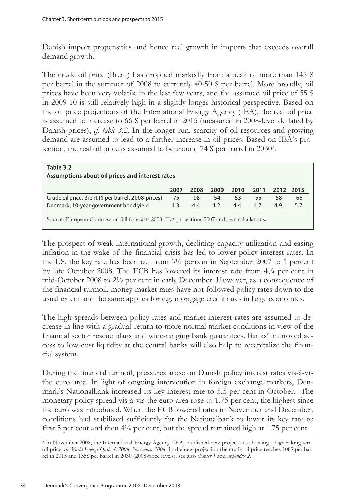Danish import propensities and hence real growth in imports that exceeds overall demand growth.

The crude oil price (Brent) has dropped markedly from a peak of more than 145 \$ per barrel in the summer of 2008 to currently 40-50 \$ per barrel. More broadly, oil prices have been very volatile in the last few years, and the assumed oil price of 55 \$ in 2009-10 is still relatively high in a slightly longer historical perspective. Based on the oil price projections of the International Energy Agency (IEA), the real oil price is assumed to increase to 66 \$ per barrel in 2015 (measured in 2008-level deflated by Danish prices), *cf. table 3.2*. In the longer run, scarcity of oil resources and growing demand are assumed to lead to a further increase in oil prices. Based on IEA's projection, the real oil price is assumed to be around 74 \$ per barrel in 20302.

| Table 3.2<br>Assumptions about oil prices and interest rates |      |      |      |      |      |      |      |  |
|--------------------------------------------------------------|------|------|------|------|------|------|------|--|
|                                                              | 2007 | 2008 | 2009 | 2010 | 2011 | 2012 | 2015 |  |
| Crude oil price, Brent (\$ per barrel, 2008-prices)          | 75   | 98   | 54   | 53   | 55   | 58   | 66   |  |
| Denmark, 10-year government bond yield                       |      | 4.4  | 4.2  | 4.4  | 4.7  | 4.9  | 5.7  |  |
|                                                              |      |      |      |      |      |      |      |  |

Source: European Commission fall forecasts 2008, IEA projections 2007 and own calculations.

The prospect of weak international growth, declining capacity utilization and easing inflation in the wake of the financial crisis has led to lower policy interest rates. In the US, the key rate has been cut from 5¼ percent in September 2007 to 1 percent by late October 2008. The ECB has lowered its interest rate from 4¼ per cent in mid-October 2008 to 2½ per cent in early December. However, as a consequence of the financial turmoil, money market rates have not followed policy rates down to the usual extent and the same applies for e.g. mortgage credit rates in large economies.

The high spreads between policy rates and market interest rates are assumed to decrease in line with a gradual return to more normal market conditions in view of the financial sector rescue plans and wide-ranging bank guarantees. Banks' improved access to low-cost liquidity at the central banks will also help to recapitalize the financial system.

During the financial turmoil, pressures arose on Danish policy interest rates vis-à-vis the euro area. In light of ongoing intervention in foreign exchange markets, Denmark's Nationalbank increased its key interest rate to 5.5 per cent in October. The monetary policy spread vis-à-vis the euro area rose to 1.75 per cent, the highest since the euro was introduced. When the ECB lowered rates in November and December, conditions had stabilized sufficiently for the Nationalbank to lower its key rate to first 5 per cent and then 4¼ per cent, but the spread remained high at 1.75 per cent.<br>  $\frac{1}{2}$  In November 2008, the International Energy Agency (IEA) published new projections showing a higher long term

oil price, *cf. World Energy Outlook 2008, November 2008*. In the new projection the crude oil price reaches 108\$ per barrel in 2015 and 135\$ per barrel in 2030 (2008-price levels), see also *chapter 1* and *appendix 2*.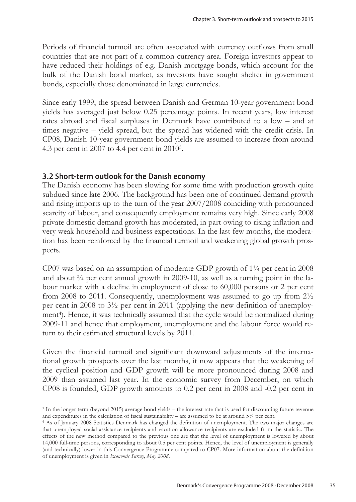Periods of financial turmoil are often associated with currency outflows from small countries that are not part of a common currency area. Foreign investors appear to have reduced their holdings of e.g. Danish mortgage bonds, which account for the bulk of the Danish bond market, as investors have sought shelter in government bonds, especially those denominated in large currencies.

Since early 1999, the spread between Danish and German 10-year government bond yields has averaged just below 0.25 percentage points. In recent years, low interest rates abroad and fiscal surpluses in Denmark have contributed to a low – and at times negative – yield spread, but the spread has widened with the credit crisis. In CP08, Danish 10-year government bond yields are assumed to increase from around 4.3 per cent in 2007 to 4.4 per cent in 20103.

## 3.2 Short-term outlook for the Danish economy

 $\overline{a}$ 

The Danish economy has been slowing for some time with production growth quite subdued since late 2006. The background has been one of continued demand growth and rising imports up to the turn of the year 2007/2008 coinciding with pronounced scarcity of labour, and consequently employment remains very high. Since early 2008 private domestic demand growth has moderated, in part owing to rising inflation and very weak household and business expectations. In the last few months, the moderation has been reinforced by the financial turmoil and weakening global growth prospects.

CP07 was based on an assumption of moderate GDP growth of 1¼ per cent in 2008 and about  $\frac{3}{4}$  per cent annual growth in 2009-10, as well as a turning point in the labour market with a decline in employment of close to 60,000 persons or 2 per cent from 2008 to 2011. Consequently, unemployment was assumed to go up from 2½ per cent in 2008 to  $3\frac{1}{2}$  per cent in 2011 (applying the new definition of unemployment<sup>4</sup>). Hence, it was technically assumed that the cycle would be normalized during 2009-11 and hence that employment, unemployment and the labour force would return to their estimated structural levels by 2011.

Given the financial turmoil and significant downward adjustments of the international growth prospects over the last months, it now appears that the weakening of the cyclical position and GDP growth will be more pronounced during 2008 and 2009 than assumed last year. In the economic survey from December, on which CP08 is founded, GDP growth amounts to 0.2 per cent in 2008 and -0.2 per cent in

<sup>3</sup> In the longer term (beyond 2015) average bond yields – the interest rate that is used for discounting future revenue and expenditures in the calculation of fiscal sustainability – are assumed to be at around 5¾ per cent.<br>4 As of January 2008 Statistics Denmark has changed the definition of unemployment. The two major changes are

that unemployed social assistance recipients and vacation allowance recipients are excluded from the statistic. The effects of the new method compared to the previous one are that the level of unemployment is lowered by about 14,000 full-time persons, corresponding to about 0.5 per cent points. Hence, the level of unemployment is generally (and technically) lower in this Convergence Programme compared to CP07. More information about the definition of unemployment is given in *Economic Survey, May 2008.*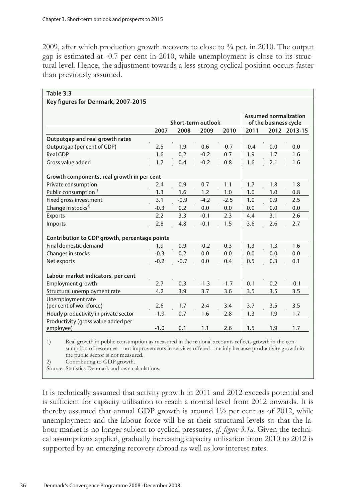2009, after which production growth recovers to close to  $\frac{3}{4}$  pct. in 2010. The output gap is estimated at -0.7 per cent in 2010, while unemployment is close to its structural level. Hence, the adjustment towards a less strong cyclical position occurs faster than previously assumed.

|                                                  |        | <b>Assumed normalization</b><br>of the business cycle |                            |        |        |     |              |
|--------------------------------------------------|--------|-------------------------------------------------------|----------------------------|--------|--------|-----|--------------|
|                                                  | 2007   | 2008                                                  | Short-term outlook<br>2009 | 2010   | 2011   |     | 2012 2013-15 |
| Outputgap and real growth rates                  |        |                                                       |                            |        |        |     |              |
| Outputgap (per cent of GDP)                      | 2.5    | 1.9                                                   | 0.6                        | $-0.7$ | $-0.4$ | 0.0 | 0.0          |
| Real GDP                                         | 1.6    | 0.2                                                   | $-0.2$                     | 0.7    | 1.9    | 1.7 | 1.6          |
| Gross value added                                | 1.7    | 0.4                                                   | $-0.2$                     | 0.8    | 1.6    | 2.1 | 1.6          |
| Growth components, real growth in per cent       |        |                                                       |                            |        |        |     |              |
| Private consumption                              | 2.4    | 0.9                                                   | 0.7                        | 1.1    | 1.7    | 1.8 | 1.8          |
| Public consumption <sup>1)</sup>                 | 1.3    | 1.6                                                   | 1.2                        | 1.0    | 1.0    | 1.0 | 0.8          |
| Fixed gross investment                           | 3.1    | $-0.9$                                                | $-4.2$                     | $-2.5$ | 1.0    | 0.9 | 2.5          |
| Change in stocks <sup>2)</sup>                   | $-0.3$ | 0.2                                                   | 0.0                        | 0.0    | 0.0    | 0.0 | 0.0          |
| <b>Exports</b>                                   | 2.2    | 3.3                                                   | $-0.1$                     | 2.3    | 4.4    | 3.1 | 2.6          |
| Imports                                          | 2.8    | 4.8                                                   | $-0.1$                     | 1.5    | 3.6    | 2.6 | 2.7          |
| Contribution to GDP growth, percentage points    |        |                                                       |                            |        |        |     |              |
| Final domestic demand                            | 1.9    | 0.9                                                   | $-0.2$                     | 0.3    | 1.3    | 1.3 | 1.6          |
| Changes in stocks                                | $-0.3$ | 0.2                                                   | 0.0                        | 0.0    | 0.0    | 0.0 | 0.0          |
| Net exports                                      | $-0.2$ | $-0.7$                                                | 0.0                        | 0.4    | 0.5    | 0.3 | 0.1          |
| Labour market indicators, per cent               |        |                                                       |                            |        |        |     |              |
| Employment growth                                | 2.7    | 0.3                                                   | $-1.3$                     | $-1.7$ | 0.1    | 0.2 | $-0.1$       |
| Structural unemployment rate                     | 4.2    | 3.9                                                   | 3.7                        | 3.6    | 3.5    | 3.5 | 3.5          |
| Unemployment rate                                |        |                                                       |                            |        |        |     |              |
| (per cent of workforce)                          | 2.6    | 1.7                                                   | 2.4                        | 3.4    | 3.7    | 3.5 | 3.5          |
| Hourly productivity in private sector            | $-1.9$ | 0.7                                                   | 1.6                        | 2.8    | 1.3    | 1.9 | 1.7          |
| Productivity (gross value added per<br>employee) | $-1.0$ | 0.1                                                   | 1.1                        | 2.6    | 1.5    | 1.9 | 1.7          |

#### Table 3.3 Key figures for Denmark, 2007-2015

1) Real growth in public consumption as measured in the national accounts reflects growth in the consumption of resources – not improvements in services offered – mainly because productivity growth in the public sector is not measured.

2) Contributing to GDP growth.

Source: Statistics Denmark and own calculations.

It is technically assumed that activity growth in 2011 and 2012 exceeds potential and is sufficient for capacity utilisation to reach a normal level from 2012 onwards. It is thereby assumed that annual GDP growth is around 1½ per cent as of 2012, while unemployment and the labour force will be at their structural levels so that the labour market is no longer subject to cyclical pressures, *cf. figure 3.1a*. Given the technical assumptions applied, gradually increasing capacity utilisation from 2010 to 2012 is supported by an emerging recovery abroad as well as low interest rates.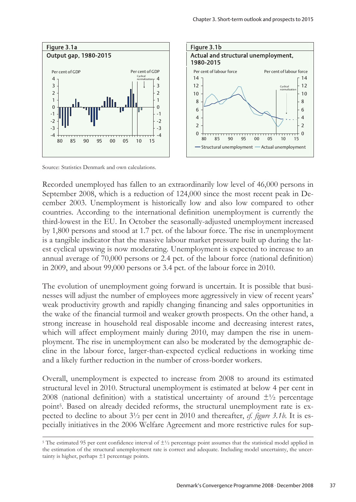

Source: Statistics Denmark and own calculations.

 $\overline{a}$ 

Recorded unemployed has fallen to an extraordinarily low level of 46,000 persons in September 2008, which is a reduction of 124,000 since the most recent peak in December 2003. Unemployment is historically low and also low compared to other countries. According to the international definition unemployment is currently the third-lowest in the EU. In October the seasonally-adjusted unemployment increased by 1,800 persons and stood at 1.7 pct. of the labour force. The rise in unemployment is a tangible indicator that the massive labour market pressure built up during the latest cyclical upswing is now moderating. Unemployment is expected to increase to an annual average of 70,000 persons or 2.4 pct. of the labour force (national definition) in 2009, and about 99,000 persons or 3.4 pct. of the labour force in 2010.

The evolution of unemployment going forward is uncertain. It is possible that businesses will adjust the number of employees more aggressively in view of recent years' weak productivity growth and rapidly changing financing and sales opportunities in the wake of the financial turmoil and weaker growth prospects. On the other hand, a strong increase in household real disposable income and decreasing interest rates, which will affect employment mainly during 2010, may dampen the rise in unemployment. The rise in unemployment can also be moderated by the demographic decline in the labour force, larger-than-expected cyclical reductions in working time and a likely further reduction in the number of cross-border workers.

Overall, unemployment is expected to increase from 2008 to around its estimated structural level in 2010. Structural unemployment is estimated at below 4 per cent in 2008 (national definition) with a statistical uncertainty of around  $\pm\frac{1}{2}$  percentage point<sup>5</sup>. Based on already decided reforms, the structural unemployment rate is expected to decline to about 3½ per cent in 2010 and thereafter, *cf. figure 3.1b*. It is especially initiatives in the 2006 Welfare Agreement and more restrictive rules for sup-

<sup>&</sup>lt;sup>5</sup> The estimated 95 per cent confidence interval of  $\pm\frac{1}{2}$  percentage point assumes that the statistical model applied in the estimation of the structural unemployment rate is correct and adequate. Including model uncertainty, the uncertainty is higher, perhaps  $\pm 1$  percentage points.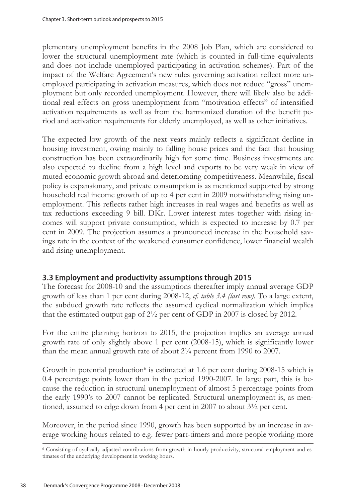plementary unemployment benefits in the 2008 Job Plan, which are considered to lower the structural unemployment rate (which is counted in full-time equivalents and does not include unemployed participating in activation schemes). Part of the impact of the Welfare Agreement's new rules governing activation reflect more unemployed participating in activation measures, which does not reduce "gross" unemployment but only recorded unemployment. However, there will likely also be additional real effects on gross unemployment from "motivation effects" of intensified activation requirements as well as from the harmonized duration of the benefit period and activation requirements for elderly unemployed, as well as other initiatives.

The expected low growth of the next years mainly reflects a significant decline in housing investment, owing mainly to falling house prices and the fact that housing construction has been extraordinarily high for some time. Business investments are also expected to decline from a high level and exports to be very weak in view of muted economic growth abroad and deteriorating competitiveness. Meanwhile, fiscal policy is expansionary, and private consumption is as mentioned supported by strong household real income growth of up to 4 per cent in 2009 notwithstanding rising unemployment. This reflects rather high increases in real wages and benefits as well as tax reductions exceeding 9 bill. DKr. Lower interest rates together with rising incomes will support private consumption, which is expected to increase by 0.7 per cent in 2009. The projection assumes a pronounced increase in the household savings rate in the context of the weakened consumer confidence, lower financial wealth and rising unemployment.

# 3.3 Employment and productivity assumptions through 2015

The forecast for 2008-10 and the assumptions thereafter imply annual average GDP growth of less than 1 per cent during 2008-12, *cf. table 3.4 (last row)*. To a large extent, the subdued growth rate reflects the assumed cyclical normalization which implies that the estimated output gap of 2½ per cent of GDP in 2007 is closed by 2012.

For the entire planning horizon to 2015, the projection implies an average annual growth rate of only slightly above 1 per cent (2008-15), which is significantly lower than the mean annual growth rate of about 2¼ percent from 1990 to 2007.

Growth in potential production<sup>6</sup> is estimated at 1.6 per cent during 2008-15 which is 0.4 percentage points lower than in the period 1990-2007. In large part, this is because the reduction in structural unemployment of almost 5 percentage points from the early 1990's to 2007 cannot be replicated. Structural unemployment is, as mentioned, assumed to edge down from 4 per cent in 2007 to about 3½ per cent.

Moreover, in the period since 1990, growth has been supported by an increase in average working hours related to e.g. fewer part-timers and more people working more<br>
<sup>6</sup> Consisting of cyclically-adjusted contributions from growth in hourly productivity, structural employment and es-

timates of the underlying development in working hours.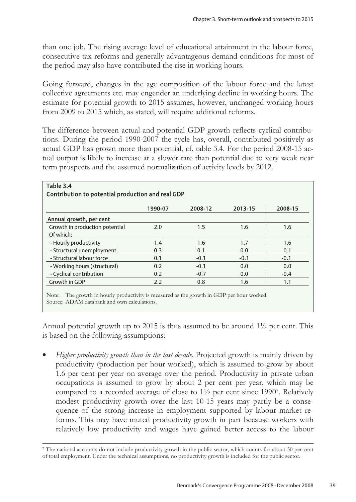than one job. The rising average level of educational attainment in the labour force, consecutive tax reforms and generally advantageous demand conditions for most of the period may also have contributed the rise in working hours.

Going forward, changes in the age composition of the labour force and the latest collective agreements etc. may engender an underlying decline in working hours. The estimate for potential growth to 2015 assumes, however, unchanged working hours from 2009 to 2015 which, as stated, will require additional reforms.

The difference between actual and potential GDP growth reflects cyclical contributions. During the period 1990-2007 the cycle has, overall, contributed positively as actual GDP has grown more than potential, cf. table 3.4. For the period 2008-15 actual output is likely to increase at a slower rate than potential due to very weak near term prospects and the assumed normalization of activity levels by 2012.

|                                | 1990-07 | 2008-12 | 2013-15 | 2008-15 |
|--------------------------------|---------|---------|---------|---------|
| Annual growth, per cent        |         |         |         |         |
| Growth in production potential | 2.0     | $1.5\,$ | 1.6     | 1.6     |
| Of which:                      |         |         |         |         |
| - Hourly productivity          | 1.4     | 1.6     | 1.7     | 1.6     |
| - Structural unemployment      | 0.3     | 0.1     | 0.0     | 0.1     |
| - Structural labour force      | 0.1     | $-0.1$  | $-0.1$  | $-0.1$  |
| - Working hours (structural)   | 0.2     | $-0.1$  | 0.0     | 0.0     |
| - Cyclical contribution        | 0.2     | $-0.7$  | 0.0     | $-0.4$  |
| Growth in GDP                  | 2.2     | 0.8     | 1.6     | 1.1     |

# Table 3.4

 $\overline{a}$ 

Note: The growth in hourly productivity is measured as the growth in GDP per hour worked. Source: ADAM databank and own calculations.

Annual potential growth up to 2015 is thus assumed to be around  $1\frac{1}{2}$  per cent. This is based on the following assumptions:

• *Higher productivity growth than in the last decade*. Projected growth is mainly driven by productivity (production per hour worked), which is assumed to grow by about 1.6 per cent per year on average over the period. Productivity in private urban occupations is assumed to grow by about 2 per cent per year, which may be compared to a recorded average of close to 1½ per cent since 19907. Relatively modest productivity growth over the last 10-15 years may partly be a consequence of the strong increase in employment supported by labour market reforms. This may have muted productivity growth in part because workers with relatively low productivity and wages have gained better access to the labour

<sup>7</sup> The national accounts do not include productivity growth in the public sector, which counts for about 30 per cent of total employment. Under the technical assumptions, no productivity growth is included for the public sector.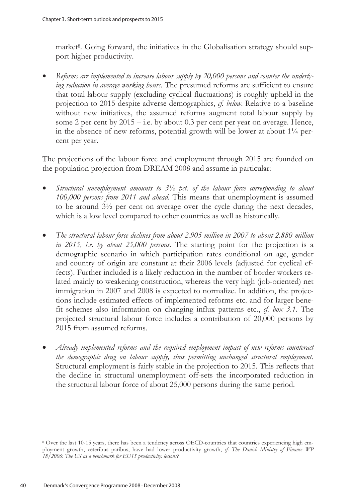market<sup>8</sup>. Going forward, the initiatives in the Globalisation strategy should support higher productivity.

• *Reforms are implemented to increase labour supply by 20,000 persons and counter the underlying reduction in average working hours.* The presumed reforms are sufficient to ensure that total labour supply (excluding cyclical fluctuations) is roughly upheld in the projection to 2015 despite adverse demographics, *cf. below*. Relative to a baseline without new initiatives, the assumed reforms augment total labour supply by some 2 per cent by  $2015 - i.e.$  by about 0.3 per cent per year on average. Hence, in the absence of new reforms, potential growth will be lower at about  $1\frac{1}{4}$  percent per year.

The projections of the labour force and employment through 2015 are founded on the population projection from DREAM 2008 and assume in particular:

- *Structural unemployment amounts to 3½ pct. of the labour force corresponding to about 100,000 persons from 2011 and ahead.* This means that unemployment is assumed to be around 3½ per cent on average over the cycle during the next decades, which is a low level compared to other countries as well as historically.
- *The structural labour force declines from about 2.905 million in 2007 to about 2.880 million in 2015, i.e. by about 25,000 persons*. The starting point for the projection is a demographic scenario in which participation rates conditional on age, gender and country of origin are constant at their 2006 levels (adjusted for cyclical effects). Further included is a likely reduction in the number of border workers related mainly to weakening construction, whereas the very high (job-oriented) net immigration in 2007 and 2008 is expected to normalize. In addition, the projections include estimated effects of implemented reforms etc. and for larger benefit schemes also information on changing influx patterns etc., *cf. box 3.1*. The projected structural labour force includes a contribution of 20,000 persons by 2015 from assumed reforms.
- *Already implemented reforms and the required employment impact of new reforms counteract the demographic drag on labour supply, thus permitting unchanged structural employment.* Structural employment is fairly stable in the projection to 2015. This reflects that the decline in structural unemployment off-sets the incorporated reduction in the structural labour force of about 25,000 persons during the same period.

<sup>8</sup> Over the last 10-15 years, there has been a tendency across OECD-countries that countries experiencing high employment growth, ceteribus paribus, have had lower productivity growth, *cf. The Danish Ministry of Finance WP 18/2006*: *The US as a benchmark for EU15 productivity: lessons?*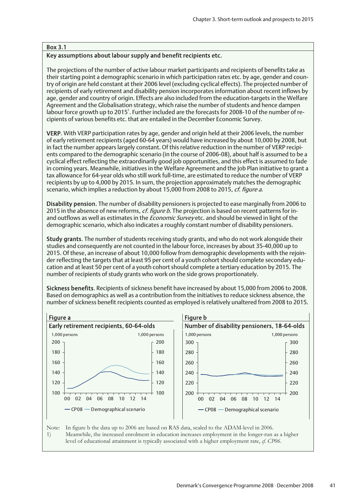#### Box 3.1

#### Key assumptions about labour supply and benefit recipients etc.

The projections of the number of active labour market participants and recipients of benefits take as their starting point a demographic scenario in which participation rates etc. by age, gender and country of origin are held constant at their 2006 level (excluding cyclical effects). The projected number of recipients of early retirement and disability pension incorporates information about recent inflows by age, gender and country of origin. Effects are also included from the education-targets in the Welfare Agreement and the Globalisation strategy, which raise the number of students and hence dampen labour force growth up to 2015<sup>1</sup>. Further included are the forecasts for 2008-10 of the number of recipients of various benefits etc. that are entailed in the December Economic Survey.

VERP. With VERP participation rates by age, gender and origin held at their 2006 levels, the number of early retirement recipients (aged 60-64 years) would have increased by about 10,000 by 2008, but in fact the number appears largely constant. Of this relative reduction in the number of VERP recipients compared to the demographic scenario (in the course of 2006-08), about half is assumed to be a cyclical effect reflecting the extraordinarily good job opportunities, and this effect is assumed to fade in coming years. Meanwhile, initiatives in the Welfare Agreement and the Job Plan initiative to grant a tax allowance for 64-year olds who still work full-time, are estimated to reduce the number of VERP recipients by up to 4,000 by 2015. In sum, the projection approximately matches the demographic scenario, which implies a reduction by about 15,000 from 2008 to 2015, cf. figure a.

Disability pension. The number of disability pensioners is projected to ease marginally from 2006 to 2015 in the absence of new reforms, *cf. figure b*. The projection is based on recent patterns for inand outflows as well as estimates in the *Economic Survey* etc. and should be viewed in light of the demographic scenario, which also indicates a roughly constant number of disability pensioners.

Study grants. The number of students receiving study grants, and who do not work alongside their studies and consequently are not counted in the labour force, increases by about 35-40,000 up to 2015. Of these, an increase of about 10,000 follow from demographic developments with the rejoinder reflecting the targets that at least 95 per cent of a youth cohort should complete secondary education and at least 50 per cent of a youth cohort should complete a tertiary education by 2015. The number of recipients of study grants who work on the side grows proportionately.

Sickness benefits. Recipients of sickness benefit have increased by about 15,000 from 2006 to 2008. Based on demographics as well as a contribution from the initiatives to reduce sickness absence, the number of sickness benefit recipients counted as employed is relatively unaltered from 2008 to 2015.



Note: In figure b the data up to 2006 are based on RAS data, scaled to the ADAM-level in 2006.

1) Meanwhile, the increased enrolment in education increases employment in the longer-run as a higher level of educational attainment is typically associated with a higher employment rate, *cf. CP06*.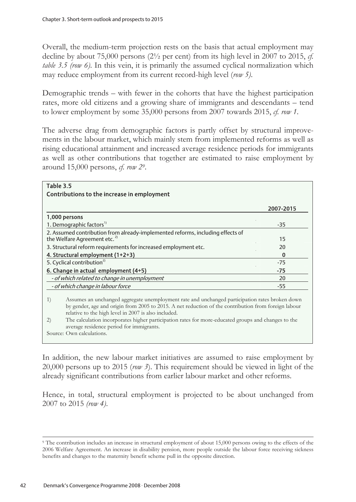Overall, the medium-term projection rests on the basis that actual employment may decline by about 75,000 persons (2½ per cent) from its high level in 2007 to 2015, *cf. table 3.5 (row 6)*. In this vein, it is primarily the assumed cyclical normalization which may reduce employment from its current record-high level (*row 5)*.

Demographic trends – with fewer in the cohorts that have the highest participation rates, more old citizens and a growing share of immigrants and descendants – tend to lower employment by some 35,000 persons from 2007 towards 2015, *cf. row 1*.

The adverse drag from demographic factors is partly offset by structural improvements in the labour market, which mainly stem from implemented reforms as well as rising educational attainment and increased average residence periods for immigrants as well as other contributions that together are estimated to raise employment by around 15,000 persons, *cf. row 29*.

| Table 3.5                                                                                                                                                                                                                                                                                                                                                                                                                                                                 |           |
|---------------------------------------------------------------------------------------------------------------------------------------------------------------------------------------------------------------------------------------------------------------------------------------------------------------------------------------------------------------------------------------------------------------------------------------------------------------------------|-----------|
| Contributions to the increase in employment                                                                                                                                                                                                                                                                                                                                                                                                                               |           |
|                                                                                                                                                                                                                                                                                                                                                                                                                                                                           | 2007-2015 |
| 1,000 persons                                                                                                                                                                                                                                                                                                                                                                                                                                                             |           |
| 1. Demographic factors <sup>1)</sup>                                                                                                                                                                                                                                                                                                                                                                                                                                      | $-35$     |
| 2. Assumed contribution from already-implemented reforms, including effects of<br>the Welfare Agreement etc. <sup>2)</sup>                                                                                                                                                                                                                                                                                                                                                | 15        |
| 3. Structural reform requirements for increased employment etc.                                                                                                                                                                                                                                                                                                                                                                                                           | 20        |
| 4. Structural employment (1+2+3)                                                                                                                                                                                                                                                                                                                                                                                                                                          | 0         |
| 5. Cyclical contribution <sup>2)</sup>                                                                                                                                                                                                                                                                                                                                                                                                                                    | $-75$     |
| 6. Change in actual employment (4+5)                                                                                                                                                                                                                                                                                                                                                                                                                                      | -75       |
| - of which related to change in unemployment                                                                                                                                                                                                                                                                                                                                                                                                                              | 20        |
| - of which change in labour force                                                                                                                                                                                                                                                                                                                                                                                                                                         | $-55$     |
| Assumes an unchanged aggregate unemployment rate and unchanged participation rates broken down<br>1)<br>by gender, age and origin from 2005 to 2015. A net reduction of the contribution from foreign labour<br>relative to the high level in 2007 is also included.<br>The calculation incorporates higher participation rates for more-educated groups and changes to the<br>$\left( 2\right)$<br>average residence period for immigrants.<br>Source: Own calculations. |           |

In addition, the new labour market initiatives are assumed to raise employment by 20,000 persons up to 2015 (*row 3*). This requirement should be viewed in light of the already significant contributions from earlier labour market and other reforms.

Hence, in total, structural employment is projected to be about unchanged from 2007 to 2015 *(row 4)*.

<sup>9</sup> The contribution includes an increase in structural employment of about 15,000 persons owing to the effects of the 2006 Welfare Agreement. An increase in disability pension, more people outside the labour force receiving sickness benefits and changes to the maternity benefit scheme pull in the opposite direction.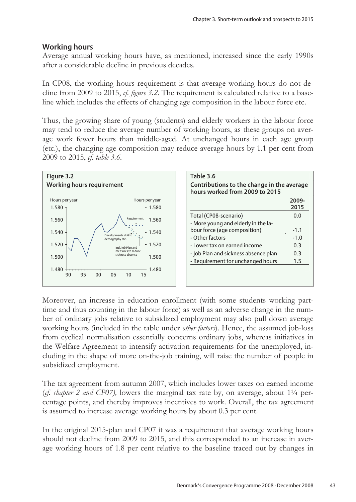# Working hours

Average annual working hours have, as mentioned, increased since the early 1990s after a considerable decline in previous decades.

In CP08, the working hours requirement is that average working hours do not decline from 2009 to 2015, *cf. figure 3.2*. The requirement is calculated relative to a baseline which includes the effects of changing age composition in the labour force etc.

Thus, the growing share of young (students) and elderly workers in the labour force may tend to reduce the average number of working hours, as these groups on average work fewer hours than middle-aged. At unchanged hours in each age group (etc.), the changing age composition may reduce average hours by 1.1 per cent from 2009 to 2015, *cf. table 3.6*.



| Table 3.6<br>Contributions to the change in the average<br>hours worked from 2009 to 2015 |               |  |  |  |  |  |  |
|-------------------------------------------------------------------------------------------|---------------|--|--|--|--|--|--|
|                                                                                           | 2009-<br>2015 |  |  |  |  |  |  |
| Total (CP08-scenario)                                                                     | 0.0           |  |  |  |  |  |  |
| - More young and elderly in the la-                                                       |               |  |  |  |  |  |  |
| bour force (age composition)                                                              | $-1.1$        |  |  |  |  |  |  |
| - Other factors                                                                           | $-1.0$        |  |  |  |  |  |  |
| - Lower tax on earned income                                                              | 0.3           |  |  |  |  |  |  |
| - Job Plan and sickness absence plan                                                      | 0.3           |  |  |  |  |  |  |
| - Requirement for unchanged hours                                                         | $1.5\,$       |  |  |  |  |  |  |

Moreover, an increase in education enrollment (with some students working parttime and thus counting in the labour force) as well as an adverse change in the number of ordinary jobs relative to subsidized employment may also pull down average working hours (included in the table under *other factors*). Hence, the assumed job-loss from cyclical normalisation essentially concerns ordinary jobs, whereas initiatives in the Welfare Agreement to intensify activation requirements for the unemployed, including in the shape of more on-the-job training, will raise the number of people in subsidized employment.

The tax agreement from autumn 2007, which includes lower taxes on earned income ( $cf.$  *chapter 2 and CP07*), lowers the marginal tax rate by, on average, about  $1\frac{1}{4}$  percentage points, and thereby improves incentives to work. Overall, the tax agreement is assumed to increase average working hours by about 0.3 per cent.

In the original 2015-plan and CP07 it was a requirement that average working hours should not decline from 2009 to 2015, and this corresponded to an increase in average working hours of 1.8 per cent relative to the baseline traced out by changes in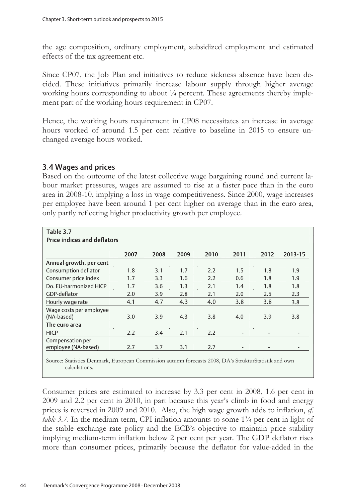the age composition, ordinary employment, subsidized employment and estimated effects of the tax agreement etc.

Since CP07, the Job Plan and initiatives to reduce sickness absence have been decided. These initiatives primarily increase labour supply through higher average working hours corresponding to about ¼ percent. These agreements thereby implement part of the working hours requirement in CP07.

Hence, the working hours requirement in CP08 necessitates an increase in average hours worked of around 1.5 per cent relative to baseline in 2015 to ensure unchanged average hours worked.

# 3.4 Wages and prices

Based on the outcome of the latest collective wage bargaining round and current labour market pressures, wages are assumed to rise at a faster pace than in the euro area in 2008-10, implying a loss in wage competitiveness. Since 2000, wage increases per employee have been around 1 per cent higher on average than in the euro area, only partly reflecting higher productivity growth per employee.

| Table 3.7                          |      |      |      |      |                          |      |         |
|------------------------------------|------|------|------|------|--------------------------|------|---------|
| <b>Price indices and deflators</b> |      |      |      |      |                          |      |         |
|                                    |      |      |      |      |                          |      |         |
|                                    | 2007 | 2008 | 2009 | 2010 | 2011                     | 2012 | 2013-15 |
| Annual growth, per cent            |      |      |      |      |                          |      |         |
| Consumption deflator               | 1.8  | 3.1  | 1.7  | 2.2  | 1.5                      | 1.8  | 1.9     |
| Consumer price index               | 1.7  | 3.3  | 1.6  | 2.2  | 0.6                      | 1.8  | 1.9     |
| Do. EU-harmonized HICP             | 1.7  | 3.6  | 1.3  | 2.1  | 1.4                      | 1.8  | 1.8     |
| GDP-deflator                       | 2.0  | 3.9  | 2.8  | 2.1  | 2.0                      | 2.5  | 2.3     |
| Hourly wage rate                   | 4.1  | 4.7  | 4.3  | 4.0  | 3.8                      | 3.8  | 3.8     |
| Wage costs per employee            |      |      |      |      |                          |      |         |
| (NA-based)                         | 3.0  | 3.9  | 4.3  | 3.8  | 4.0                      | 3.9  | 3.8     |
| The euro area                      |      |      |      |      |                          |      |         |
| <b>HICP</b>                        | 2.2  | 3.4  | 2.1  | 2.2  |                          |      |         |
| Compensation per                   |      |      |      |      |                          |      |         |
| employee (NA-based)                | 2.7  | 3.7  | 3.1  | 2.7  | $\overline{\phantom{0}}$ |      |         |
|                                    |      |      |      |      |                          |      |         |

Source: Statistics Denmark, European Commission autumn forecasts 2008, DA's StrukturStatistik and own calculations.

Consumer prices are estimated to increase by 3.3 per cent in 2008, 1.6 per cent in 2009 and 2.2 per cent in 2010, in part because this year's climb in food and energy prices is reversed in 2009 and 2010. Also, the high wage growth adds to inflation, *cf. table 3.7.* In the medium term, CPI inflation amounts to some 1<sup>3</sup>/4 per cent in light of the stable exchange rate policy and the ECB's objective to maintain price stability implying medium-term inflation below 2 per cent per year. The GDP deflator rises more than consumer prices, primarily because the deflator for value-added in the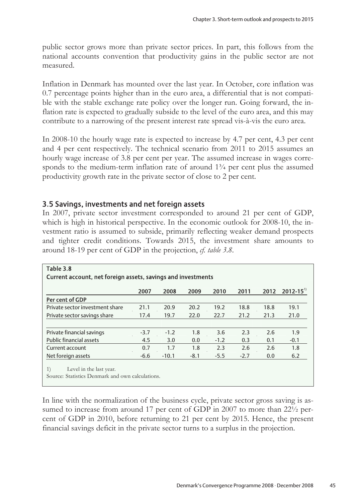public sector grows more than private sector prices. In part, this follows from the national accounts convention that productivity gains in the public sector are not measured.

Inflation in Denmark has mounted over the last year. In October, core inflation was 0.7 percentage points higher than in the euro area, a differential that is not compatible with the stable exchange rate policy over the longer run. Going forward, the inflation rate is expected to gradually subside to the level of the euro area, and this may contribute to a narrowing of the present interest rate spread vis-à-vis the euro area.

In 2008-10 the hourly wage rate is expected to increase by 4.7 per cent, 4.3 per cent and 4 per cent respectively. The technical scenario from 2011 to 2015 assumes an hourly wage increase of 3.8 per cent per year. The assumed increase in wages corresponds to the medium-term inflation rate of around  $1\frac{3}{4}$  per cent plus the assumed productivity growth rate in the private sector of close to 2 per cent.

## 3.5 Savings, investments and net foreign assets

In 2007, private sector investment corresponded to around 21 per cent of GDP, which is high in historical perspective. In the economic outlook for 2008-10, the investment ratio is assumed to subside, primarily reflecting weaker demand prospects and tighter credit conditions. Towards 2015, the investment share amounts to around 18-19 per cent of GDP in the projection, *cf. table 3.8*.

| Table 3.8                                                                                                      |        |         |        |        |        |      |                           |  |  |
|----------------------------------------------------------------------------------------------------------------|--------|---------|--------|--------|--------|------|---------------------------|--|--|
| Current account, net foreign assets, savings and investments                                                   |        |         |        |        |        |      |                           |  |  |
|                                                                                                                |        |         |        |        |        |      |                           |  |  |
|                                                                                                                | 2007   | 2008    | 2009   | 2010   | 2011   | 2012 | $2012 - 15$ <sup>11</sup> |  |  |
| Per cent of GDP                                                                                                |        |         |        |        |        |      |                           |  |  |
| Private sector investment share                                                                                | 21.1   | 20.9    | 20.2   | 19.2   | 18.8   | 18.8 | 19.1                      |  |  |
| Private sector savings share                                                                                   | 17.4   | 19.7    | 22.0   | 22.7   | 21.2   | 21.3 | 21.0                      |  |  |
|                                                                                                                |        |         |        |        |        |      |                           |  |  |
| Private financial savings                                                                                      | $-3.7$ | $-1.2$  | 1.8    | 3.6    | 2.3    | 2.6  | 1.9                       |  |  |
| <b>Public financial assets</b>                                                                                 | 4.5    | 3.0     | 0.0    | $-1.2$ | 0.3    | 0.1  | $-0.1$                    |  |  |
| Current account                                                                                                | 0.7    | 1.7     | 1.8    | 2.3    | 2.6    | 2.6  | 1.8                       |  |  |
| Net foreign assets                                                                                             | $-6.6$ | $-10.1$ | $-8.1$ | $-5.5$ | $-2.7$ | 0.0  | 6.2                       |  |  |
|                                                                                                                |        |         |        |        |        |      |                           |  |  |
| 1)<br>Level in the last year.<br>$\mathbf{r}$ $\mathbf{r}$ $\mathbf{r}$ $\mathbf{r}$ $\mathbf{r}$ $\mathbf{r}$ |        |         |        |        |        |      |                           |  |  |

Source: Statistics Denmark and own calculations.

In line with the normalization of the business cycle, private sector gross saving is assumed to increase from around 17 per cent of GDP in 2007 to more than 22<sup>1</sup>/<sub>2</sub> percent of GDP in 2010, before returning to 21 per cent by 2015. Hence, the present financial savings deficit in the private sector turns to a surplus in the projection.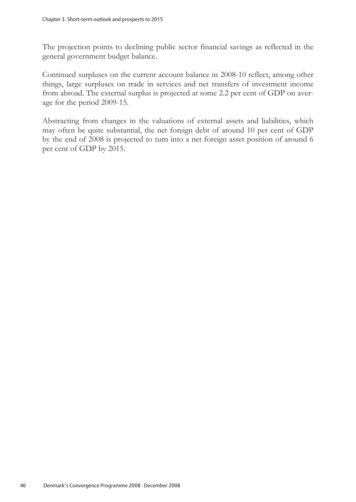The projection points to declining public sector financial savings as reflected in the general government budget balance.

Continued surpluses on the current account balance in 2008-10 reflect, among other things, large surpluses on trade in services and net transfers of investment income from abroad. The external surplus is projected at some 2.2 per cent of GDP on average for the period 2009-15.

Abstracting from changes in the valuations of external assets and liabilities, which may often be quite substantial, the net foreign debt of around 10 per cent of GDP by the end of 2008 is projected to turn into a net foreign asset position of around 6 per cent of GDP by 2015.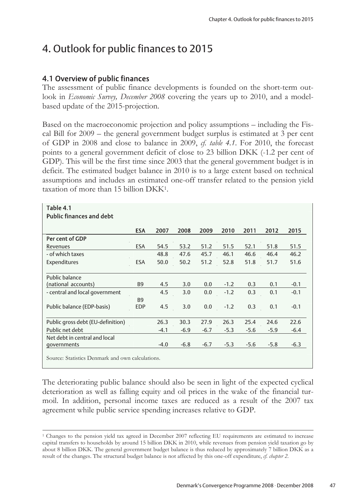# 4. Outlook for public finances to 2015

# 4.1 Overview of public finances

The assessment of public finance developments is founded on the short-term outlook in *Economic Survey, December 2008* covering the years up to 2010, and a modelbased update of the 2015-projection.

Based on the macroeconomic projection and policy assumptions – including the Fiscal Bill for 2009 – the general government budget surplus is estimated at 3 per cent of GDP in 2008 and close to balance in 2009, *cf. table 4.1*. For 2010, the forecast points to a general government deficit of close to 23 billion DKK (-1.2 per cent of GDP). This will be the first time since 2003 that the general government budget is in deficit. The estimated budget balance in 2010 is to a large extent based on technical assumptions and includes an estimated one-off transfer related to the pension yield taxation of more than 15 billion DKK1.

| Table 4.1                         |                |        |        |        |        |        |        |        |
|-----------------------------------|----------------|--------|--------|--------|--------|--------|--------|--------|
| <b>Public finances and debt</b>   |                |        |        |        |        |        |        |        |
|                                   | <b>ESA</b>     | 2007   | 2008   | 2009   | 2010   | 2011   | 2012   | 2015   |
| Per cent of GDP                   |                |        |        |        |        |        |        |        |
|                                   |                |        |        |        |        |        |        |        |
| Revenues                          | <b>ESA</b>     | 54.5   | 53.2   | 51.2   | 51.5   | 52.1   | 51.8   | 51.5   |
| - of which taxes                  |                | 48.8   | 47.6   | 45.7   | 46.1   | 46.6   | 46.4   | 46.2   |
| Expenditures                      | <b>ESA</b>     | 50.0   | 50.2   | 51.2   | 52.8   | 51.8   | 51.7   | 51.6   |
|                                   |                |        |        |        |        |        |        |        |
| Public balance                    |                |        |        |        |        |        |        |        |
| (national accounts)               | B <sub>9</sub> | 4.5    | 3.0    | 0.0    | $-1.2$ | 0.3    | 0.1    | $-0.1$ |
| - central and local government    |                | 4.5    | 3.0    | 0.0    | $-1.2$ | 0.3    | 0.1    | $-0.1$ |
|                                   | <b>B9</b>      |        |        |        |        |        |        |        |
| Public balance (EDP-basis)        | <b>EDP</b>     | 4.5    | 3.0    | 0.0    | $-1.2$ | 0.3    | 0.1    | $-0.1$ |
|                                   |                |        |        |        |        |        |        |        |
| Public gross debt (EU-definition) |                | 26.3   | 30.3   | 27.9   | 26.3   | 25.4   | 24.6   | 22.6   |
| Public net debt                   |                | $-4.1$ | $-6.9$ | $-6.7$ | $-5.3$ | $-5.6$ | $-5.9$ | $-6.4$ |
| Net debt in central and local     |                |        |        |        |        |        |        |        |
| qovernments                       |                | $-4.0$ | $-6.8$ | $-6.7$ | $-5.3$ | $-5.6$ | $-5.8$ | $-6.3$ |

Source: Statistics Denmark and own calculations.

 $\overline{a}$ 

The deteriorating public balance should also be seen in light of the expected cyclical deterioration as well as falling equity and oil prices in the wake of the financial turmoil. In addition, personal income taxes are reduced as a result of the 2007 tax agreement while public service spending increases relative to GDP.

<sup>1</sup> Changes to the pension yield tax agreed in December 2007 reflecting EU requirements are estimated to increase capital transfers to households by around 15 billion DKK in 2010, while revenues from pension yield taxation go by about 8 billion DKK. The general government budget balance is thus reduced by approximately 7 billion DKK as a result of the changes. The structural budget balance is not affected by this one-off expenditure, *cf. chapter 2*.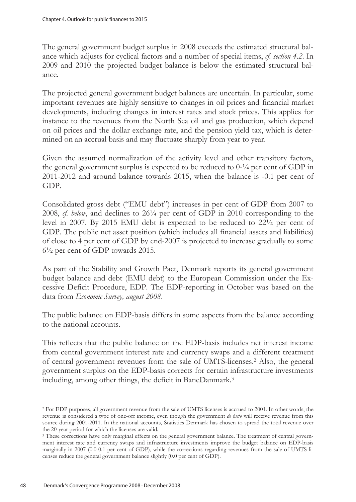The general government budget surplus in 2008 exceeds the estimated structural balance which adjusts for cyclical factors and a number of special items, *cf. section 4.2*. In 2009 and 2010 the projected budget balance is below the estimated structural balance.

The projected general government budget balances are uncertain. In particular, some important revenues are highly sensitive to changes in oil prices and financial market developments, including changes in interest rates and stock prices. This applies for instance to the revenues from the North Sea oil and gas production, which depend on oil prices and the dollar exchange rate, and the pension yield tax, which is determined on an accrual basis and may fluctuate sharply from year to year.

Given the assumed normalization of the activity level and other transitory factors, the general government surplus is expected to be reduced to 0-¼ per cent of GDP in 2011-2012 and around balance towards 2015, when the balance is -0.1 per cent of GDP.

Consolidated gross debt ("EMU debt") increases in per cent of GDP from 2007 to 2008, *cf. below*, and declines to 26¼ per cent of GDP in 2010 corresponding to the level in 2007. By 2015 EMU debt is expected to be reduced to 22½ per cent of GDP. The public net asset position (which includes all financial assets and liabilities) of close to 4 per cent of GDP by end-2007 is projected to increase gradually to some 6½ per cent of GDP towards 2015.

As part of the Stability and Growth Pact, Denmark reports its general government budget balance and debt (EMU debt) to the European Commission under the Excessive Deficit Procedure, EDP. The EDP-reporting in October was based on the data from *Economic Survey, august 2008*.

The public balance on EDP-basis differs in some aspects from the balance according to the national accounts.

This reflects that the public balance on the EDP-basis includes net interest income from central government interest rate and currency swaps and a different treatment of central government revenues from the sale of UMTS-licenses.2 Also, the general government surplus on the EDP-basis corrects for certain infrastructure investments including, among other things, the deficit in BaneDanmark.3

<sup>2</sup> For EDP purposes, all government revenue from the sale of UMTS licenses is accrued to 2001. In other words, the revenue is considered a type of one-off income, even though the government *de facto* will receive revenue from this source during 2001-2011. In the national accounts, Statistics Denmark has chosen to spread the total revenue over the 20-year period for which the licenses are valid.

<sup>&</sup>lt;sup>3</sup> These corrections have only marginal effects on the general government balance. The treatment of central government interest rate and currency swaps and infrastructure investments improve the budget balance on EDP-basis marginally in 2007 (0.0-0.1 per cent of GDP), while the corrections regarding revenues from the sale of UMTS licenses reduce the general government balance slightly (0.0 per cent of GDP).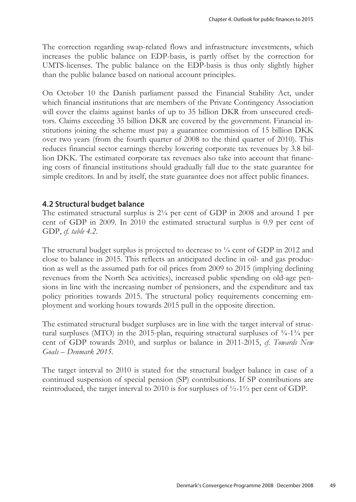The correction regarding swap-related flows and infrastructure investments, which increases the public balance on EDP-basis, is partly offset by the correction for UMTS-licenses. The public balance on the EDP-basis is thus only slightly higher than the public balance based on national account principles.

On October 10 the Danish parliament passed the Financial Stability Act, under which financial institutions that are members of the Private Contingency Association will cover the claims against banks of up to 35 billion DKR from unsecured creditors. Claims exceeding 35 billion DKR are covered by the government. Financial institutions joining the scheme must pay a guarantee commission of 15 billion DKK over two years (from the fourth quarter of 2008 to the third quarter of 2010). This reduces financial sector earnings thereby lowering corporate tax revenues by 3.8 billion DKK. The estimated corporate tax revenues also take into account that financing costs of financial institutions should gradually fall due to the state guarantee for simple creditors. In and by itself, the state guarantee does not affect public finances.

## 4.2 Structural budget balance

The estimated structural surplus is 2¼ per cent of GDP in 2008 and around 1 per cent of GDP in 2009. In 2010 the estimated structural surplus is 0.9 per cent of GDP, *cf. table 4.2*.

The structural budget surplus is projected to decrease to  $\frac{1}{4}$  cent of GDP in 2012 and close to balance in 2015. This reflects an anticipated decline in oil- and gas production as well as the assumed path for oil prices from 2009 to 2015 (implying declining revenues from the North Sea activities), increased public spending on old-age pensions in line with the increasing number of pensioners, and the expenditure and tax policy priorities towards 2015. The structural policy requirements concerning employment and working hours towards 2015 pull in the opposite direction.

The estimated structural budget surpluses are in line with the target interval of structural surpluses (MTO) in the 2015-plan, requiring structural surpluses of  $\frac{3}{4}$ -1 $\frac{3}{4}$  per cent of GDP towards 2010, and surplus or balance in 2011-2015, *cf. Towards New Goals – Denmark 2015*.

The target interval to 2010 is stated for the structural budget balance in case of a continued suspension of special pension (SP) contributions. If SP contributions are reintroduced, the target interval to 2010 is for surpluses of ½-1½ per cent of GDP.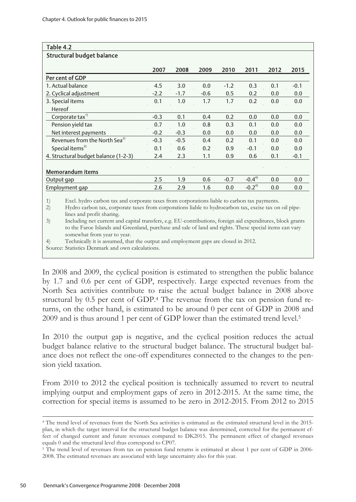| Table 4.2                                 |        |        |        |        |            |      |        |
|-------------------------------------------|--------|--------|--------|--------|------------|------|--------|
| <b>Structural budget balance</b>          |        |        |        |        |            |      |        |
|                                           | 2007   | 2008   | 2009   | 2010   | 2011       | 2012 | 2015   |
| Per cent of GDP                           |        |        |        |        |            |      |        |
| 1. Actual balance                         | 4.5    | 3.0    | 0.0    | $-1.2$ | 0.3        | 0.1  | $-0.1$ |
| 2. Cyclical adjustment                    | $-2.2$ | $-1.7$ | $-0.6$ | 0.5    | 0.2        | 0.0  | 0.0    |
| 3. Special items                          | 0.1    | 1.0    | 1.7    | 1.7    | 0.2        | 0.0  | 0.0    |
| Hereof                                    |        |        |        |        |            |      |        |
| Corporate tax <sup>1)</sup>               | $-0.3$ | 0.1    | 0.4    | 0.2    | 0.0        | 0.0  | 0.0    |
| Pension yield tax                         | 0.7    | 1.0    | 0.8    | 0.3    | 0.1        | 0.0  | 0.0    |
| Net interest payments                     | $-0.2$ | $-0.3$ | 0.0    | 0.0    | 0.0        | 0.0  | 0.0    |
| Revenues from the North Sea <sup>2)</sup> | $-0.3$ | $-0.5$ | 0.4    | 0.2    | 0.1        | 0.0  | 0.0    |
| Special items <sup>3)</sup>               | 0.1    | 0.6    | 0.2    | 0.9    | $-0.1$     | 0.0  | 0.0    |
| 4. Structural budget balance (1-2-3)      | 2.4    | 2.3    | 1.1    | 0.9    | 0.6        | 0.1  | $-0.1$ |
|                                           |        |        |        |        |            |      |        |
| <b>Memorandum items</b>                   |        |        |        |        |            |      |        |
| Output gap                                | 2.5    | 1.9    | 0.6    | $-0.7$ | $-0.4^{4}$ | 0.0  | 0.0    |
| Employment gap                            | 2.6    | 2.9    | 1.6    | 0.0    | $-0.24$    | 0.0  | 0.0    |

1) Excl. hydro carbon tax and corporate taxes from corporations liable to carbon tax payments.

2) Hydro carbon tax, corporate taxes from corporations liable to hydrocarbon tax, excise tax on oil pipelines and profit sharing.

3) Including net current and capital transfers, e.g. EU-contributions, foreign aid expenditures, block grants to the Faroe Islands and Greenland, purchase and sale of land and rights. These special items can vary somewhat from year to year.

4) Technically it is assumed, that the output and employment gaps are closed in 2012.

Source: Statistics Denmark and own calculations.

In 2008 and 2009, the cyclical position is estimated to strengthen the public balance by 1.7 and 0.6 per cent of GDP, respectively. Large expected revenues from the North Sea activities contribute to raise the actual budget balance in 2008 above structural by 0.5 per cent of GDP.4 The revenue from the tax on pension fund returns, on the other hand, is estimated to be around 0 per cent of GDP in 2008 and 2009 and is thus around 1 per cent of GDP lower than the estimated trend level.5

In 2010 the output gap is negative, and the cyclical position reduces the actual budget balance relative to the structural budget balance. The structural budget balance does not reflect the one-off expenditures connected to the changes to the pension yield taxation.

From 2010 to 2012 the cyclical position is technically assumed to revert to neutral implying output and employment gaps of zero in 2012-2015. At the same time, the correction for special items is assumed to be zero in 2012-2015. From 2012 to 2015

<sup>4</sup> The trend level of revenues from the North Sea activities is estimated as the estimated structural level in the 2015 plan, in which the target interval for the structural budget balance was determined, corrected for the permanent effect of changed current and future revenues compared to DK2015. The permanent effect of changed revenues equals 0 and the structural level thus correspond to CP07.<br><sup>5</sup> The trend level of revenues from tax on pension fund returns is estimated at about 1 per cent of GDP in 2006-

<sup>2008.</sup> The estimated revenues are associated with large uncertainty also for this year.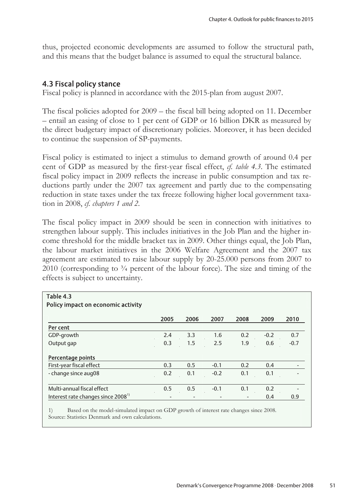thus, projected economic developments are assumed to follow the structural path, and this means that the budget balance is assumed to equal the structural balance.

# 4.3 Fiscal policy stance

Fiscal policy is planned in accordance with the 2015-plan from august 2007.

The fiscal policies adopted for 2009 – the fiscal bill being adopted on 11. December – entail an easing of close to 1 per cent of GDP or 16 billion DKR as measured by the direct budgetary impact of discretionary policies. Moreover, it has been decided to continue the suspension of SP-payments.

Fiscal policy is estimated to inject a stimulus to demand growth of around 0.4 per cent of GDP as measured by the first-year fiscal effect, *cf. table 4.3*. The estimated fiscal policy impact in 2009 reflects the increase in public consumption and tax reductions partly under the 2007 tax agreement and partly due to the compensating reduction in state taxes under the tax freeze following higher local government taxation in 2008, *cf. chapters 1 and 2*.

The fiscal policy impact in 2009 should be seen in connection with initiatives to strengthen labour supply. This includes initiatives in the Job Plan and the higher income threshold for the middle bracket tax in 2009. Other things equal, the Job Plan, the labour market initiatives in the 2006 Welfare Agreement and the 2007 tax agreement are estimated to raise labour supply by 20-25.000 persons from 2007 to 2010 (corresponding to  $\frac{3}{4}$  percent of the labour force). The size and timing of the effects is subject to uncertainty.

| Table 4.3                                      |      |      |        |                |        |        |
|------------------------------------------------|------|------|--------|----------------|--------|--------|
| Policy impact on economic activity             |      |      |        |                |        |        |
|                                                | 2005 | 2006 | 2007   | 2008           | 2009   | 2010   |
| Per cent                                       |      |      |        |                |        |        |
| GDP-growth                                     | 2.4  | 3.3  | 1.6    | 0.2            | $-0.2$ | 0.7    |
| Output gap                                     | 0.3  | 1.5  | 2.5    | 1.9            | 0.6    | $-0.7$ |
| Percentage points                              |      |      |        |                |        |        |
| First-year fiscal effect                       | 0.3  | 0.5  | $-0.1$ | 0.2            | 0.4    |        |
| - change since aug08                           | 0.2  | 0.1  | $-0.2$ | 0.1            | 0.1    |        |
| Multi-annual fiscal effect                     | 0.5  | 0.5  | $-0.1$ | 0.1            | 0.2    |        |
| Interest rate changes since 2008 <sup>1)</sup> |      |      |        | $\overline{a}$ | 0.4    | 0.9    |

1) Based on the model-simulated impact on GDP growth of interest rate changes since 2008. Source: Statistics Denmark and own calculations.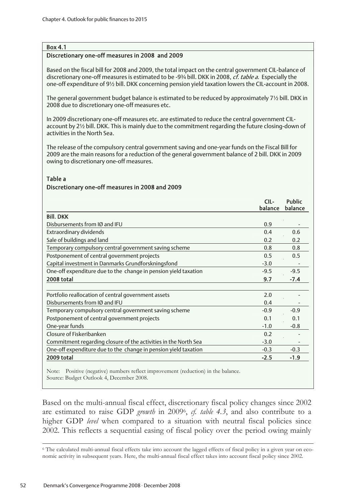#### Box 4.1

#### Discretionary one-off measures in 2008 and 2009

Based on the fiscal bill for 2008 and 2009, the total impact on the central government CIL-balance of discretionary one-off measures is estimated to be -9¾ bill. DKK in 2008, *cf. table a*. Especially the one-off expenditure of 9½ bill. DKK concerning pension yield taxation lowers the CIL-account in 2008.

The general government budget balance is estimated to be reduced by approximately 7½ bill. DKK in 2008 due to discretionary one-off measures etc.

In 2009 discretionary one-off measures etc. are estimated to reduce the central government CILaccount by 2½ bill. DKK. This is mainly due to the commitment regarding the future closing-down of activities in the North Sea.

The release of the compulsory central government saving and one-year funds on the Fiscal Bill for 2009 are the main reasons for a reduction of the general government balance of 2 bill. DKK in 2009 owing to discretionary one-off measures.

#### Table a

#### Discretionary one-off measures in 2008 and 2009

|                                                                 | CIL-<br>balance | <b>Public</b><br>balance |
|-----------------------------------------------------------------|-----------------|--------------------------|
| <b>Bill, DKK</b>                                                |                 |                          |
| Disbursements from IØ and IFU                                   | 0.9             |                          |
| Extraordinary dividends                                         | 0.4             | 0.6                      |
| Sale of buildings and land                                      | 0.2             | 0.2                      |
| Temporary compulsory central government saving scheme           | 0.8             | 0.8                      |
| Postponement of central government projects                     | 0.5             | 0.5                      |
| Capital investment in Danmarks Grundforskningsfond              | $-3.0$          |                          |
| One-off expenditure due to the change in pension yield taxation | $-9.5$          | $-9.5$                   |
| 2008 total                                                      | 9.7             | $-7.4$                   |
| Portfolio reallocation of central government assets             | 2.0             |                          |
| Disbursements from IØ and IFU                                   | 0.4             |                          |
| Temporary compulsory central government saving scheme           | $-0.9$          | $-0.9$                   |
| Postponement of central government projects                     | 0.1             | 0.1                      |
| One-year funds                                                  | $-1.0$          | $-0.8$                   |
| Closure of Fiskeribanken                                        | 0.2             |                          |
| Commitment regarding closure of the activities in the North Sea | $-3.0$          |                          |
| One-off expenditure due to the change in pension yield taxation | $-0.3$          | $-0.3$                   |
| 2009 total                                                      | $-2.5$          | $-1.9$                   |

Note: Positive (negative) numbers reflect improvement (reduction) in the balance. Source: Budget Outlook 4, December 2008.

Based on the multi-annual fiscal effect, discretionary fiscal policy changes since 2002 are estimated to raise GDP *growth* in 20096, *cf. table 4.3*, and also contribute to a higher GDP *level* when compared to a situation with neutral fiscal policies since 2002. This reflects a sequential easing of fiscal policy over the period owing mainly

<sup>6</sup> The calculated multi-annual fiscal effects take into account the lagged effects of fiscal policy in a given year on economic activity in subsequent years. Here, the multi-annual fiscal effect takes into account fiscal policy since 2002.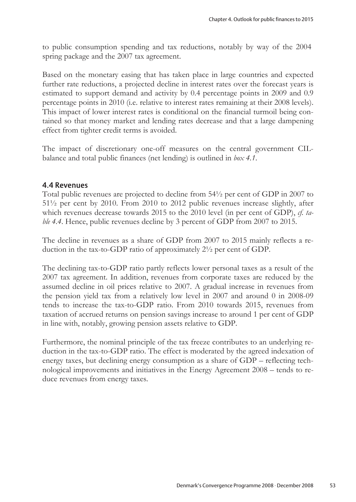to public consumption spending and tax reductions, notably by way of the 2004 spring package and the 2007 tax agreement.

Based on the monetary easing that has taken place in large countries and expected further rate reductions, a projected decline in interest rates over the forecast years is estimated to support demand and activity by 0.4 percentage points in 2009 and 0.9 percentage points in 2010 (i.e. relative to interest rates remaining at their 2008 levels). This impact of lower interest rates is conditional on the financial turmoil being contained so that money market and lending rates decrease and that a large dampening effect from tighter credit terms is avoided.

The impact of discretionary one-off measures on the central government CILbalance and total public finances (net lending) is outlined in *box 4.1*.

### 4.4 Revenues

Total public revenues are projected to decline from 54½ per cent of GDP in 2007 to 51½ per cent by 2010. From 2010 to 2012 public revenues increase slightly, after which revenues decrease towards 2015 to the 2010 level (in per cent of GDP), *cf. table 4.4*. Hence, public revenues decline by 3 percent of GDP from 2007 to 2015.

The decline in revenues as a share of GDP from 2007 to 2015 mainly reflects a reduction in the tax-to-GDP ratio of approximately 2½ per cent of GDP.

The declining tax-to-GDP ratio partly reflects lower personal taxes as a result of the 2007 tax agreement. In addition, revenues from corporate taxes are reduced by the assumed decline in oil prices relative to 2007. A gradual increase in revenues from the pension yield tax from a relatively low level in 2007 and around 0 in 2008-09 tends to increase the tax-to-GDP ratio. From 2010 towards 2015, revenues from taxation of accrued returns on pension savings increase to around 1 per cent of GDP in line with, notably, growing pension assets relative to GDP.

Furthermore, the nominal principle of the tax freeze contributes to an underlying reduction in the tax-to-GDP ratio. The effect is moderated by the agreed indexation of energy taxes, but declining energy consumption as a share of GDP – reflecting technological improvements and initiatives in the Energy Agreement 2008 – tends to reduce revenues from energy taxes.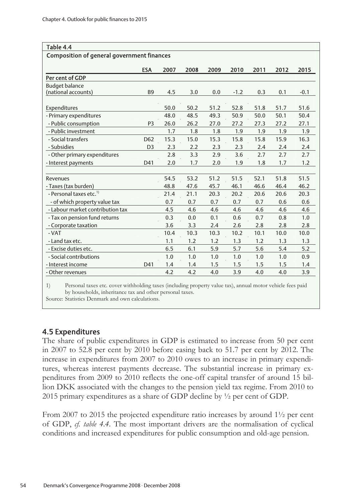| Table 4.4                                         |                 |      |      |      |        |      |      |        |
|---------------------------------------------------|-----------------|------|------|------|--------|------|------|--------|
| <b>Composition of general government finances</b> |                 |      |      |      |        |      |      |        |
|                                                   |                 |      |      |      |        |      |      |        |
|                                                   | <b>ESA</b>      | 2007 | 2008 | 2009 | 2010   | 2011 | 2012 | 2015   |
| Per cent of GDP                                   |                 |      |      |      |        |      |      |        |
| <b>Budget balance</b>                             |                 |      |      |      |        |      |      |        |
| (national accounts)                               | <b>B9</b>       | 4.5  | 3.0  | 0.0  | $-1.2$ | 0.3  | 0.1  | $-0.1$ |
| Expenditures                                      |                 | 50.0 | 50.2 | 51.2 | 52.8   | 51.8 | 51.7 | 51.6   |
| - Primary expenditures                            |                 | 48.0 | 48.5 | 49.3 | 50.9   | 50.0 | 50.1 | 50.4   |
| - Public consumption                              | P <sub>3</sub>  | 26.0 | 26.2 | 27.0 | 27.2   | 27.3 | 27.2 | 27.1   |
| - Public investment                               |                 | 1.7  | 1.8  | 1.8  | 1.9    | 1.9  | 1.9  | 1.9    |
| - Social transfers                                | D <sub>62</sub> | 15.3 | 15.0 | 15.3 | 15.8   | 15.8 | 15.9 | 16.3   |
| - Subsidies                                       | D <sub>3</sub>  | 2.3  | 2.2  | 2.3  | 2.3    | 2.4  | 2.4  | 2.4    |
| - Other primary expenditures                      |                 | 2.8  | 3.3  | 2.9  | 3.6    | 2.7  | 2.7  | 2.7    |
| - Interest payments                               | D41             | 2.0  | 1.7  | 2.0  | 1.9    | 1.8  | 1.7  | 1.2    |
|                                                   |                 |      |      |      |        |      |      |        |
| Revenues                                          |                 | 54.5 | 53.2 | 51.2 | 51.5   | 52.1 | 51.8 | 51.5   |
| - Taxes (tax burden)                              |                 | 48.8 | 47.6 | 45.7 | 46.1   | 46.6 | 46.4 | 46.2   |
| - Personal taxes etc. <sup>1)</sup>               |                 | 21.4 | 21.1 | 20.3 | 20.2   | 20.6 | 20.6 | 20.3   |
| - of which property value tax                     |                 | 0.7  | 0.7  | 0.7  | 0.7    | 0.7  | 0.6  | 0.6    |
| - Labour market contribution tax                  |                 | 4.5  | 4.6  | 4.6  | 4.6    | 4.6  | 4.6  | 4.6    |
| - Tax on pension fund returns                     |                 | 0.3  | 0.0  | 0.1  | 0.6    | 0.7  | 0.8  | 1.0    |
| - Corporate taxation                              |                 | 3.6  | 3.3  | 2.4  | 2.6    | 2.8  | 2.8  | 2.8    |
| - VAT                                             |                 | 10.4 | 10.3 | 10.3 | 10.2   | 10.1 | 10.0 | 10.0   |
| - Land tax etc.                                   |                 | 1.1  | 1.2  | 1.2  | 1.3    | 1.2  | 1.3  | 1.3    |
| - Excise duties etc.                              |                 | 6.5  | 6.1  | 5.9  | 5.7    | 5.6  | 5.4  | 5.2    |
| - Social contributions                            |                 | 1.0  | 1.0  | 1.0  | 1.0    | 1.0  | 1.0  | 0.9    |
| - Interest income                                 | D41             | 1.4  | 1.4  | 1.5  | 1.5    | 1.5  | 1.5  | 1.4    |
| - Other revenues                                  |                 | 4.2  | 4.2  | 4.0  | 3.9    | 4.0  | 4.0  | 3.9    |
|                                                   |                 |      |      |      |        |      |      |        |

1) Personal taxes etc. cover withholding taxes (including property value tax), annual motor vehicle fees paid by households, inheritance tax and other personal taxes.

Source: Statistics Denmark and own calculations.

### 4.5 Expenditures

The share of public expenditures in GDP is estimated to increase from 50 per cent in 2007 to 52.8 per cent by 2010 before easing back to 51.7 per cent by 2012. The increase in expenditures from 2007 to 2010 owes to an increase in primary expenditures, whereas interest payments decrease. The substantial increase in primary expenditures from 2009 to 2010 reflects the one-off capital transfer of around 15 billion DKK associated with the changes to the pension yield tax regime. From 2010 to 2015 primary expenditures as a share of GDP decline by ½ per cent of GDP.

From 2007 to 2015 the projected expenditure ratio increases by around 1½ per cent of GDP, *cf. table 4.4*. The most important drivers are the normalisation of cyclical conditions and increased expenditures for public consumption and old-age pension.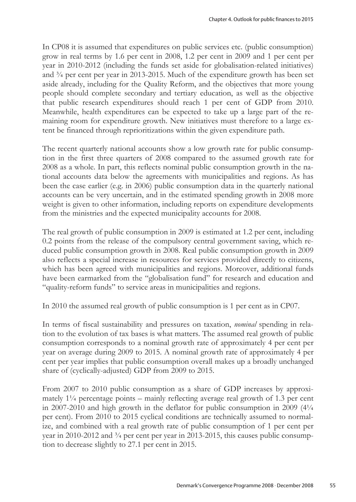In CP08 it is assumed that expenditures on public services etc. (public consumption) grow in real terms by 1.6 per cent in 2008, 1.2 per cent in 2009 and 1 per cent per year in 2010-2012 (including the funds set aside for globalisation-related initiatives) and ¾ per cent per year in 2013-2015. Much of the expenditure growth has been set aside already, including for the Quality Reform, and the objectives that more young people should complete secondary and tertiary education, as well as the objective that public research expenditures should reach 1 per cent of GDP from 2010. Meanwhile, health expenditures can be expected to take up a large part of the remaining room for expenditure growth. New initiatives must therefore to a large extent be financed through reprioritizations within the given expenditure path.

The recent quarterly national accounts show a low growth rate for public consumption in the first three quarters of 2008 compared to the assumed growth rate for 2008 as a whole. In part, this reflects nominal public consumption growth in the national accounts data below the agreements with municipalities and regions. As has been the case earlier (e.g. in 2006) public consumption data in the quarterly national accounts can be very uncertain, and in the estimated spending growth in 2008 more weight is given to other information, including reports on expenditure developments from the ministries and the expected municipality accounts for 2008.

The real growth of public consumption in 2009 is estimated at 1.2 per cent, including 0.2 points from the release of the compulsory central government saving, which reduced public consumption growth in 2008. Real public consumption growth in 2009 also reflects a special increase in resources for services provided directly to citizens, which has been agreed with municipalities and regions. Moreover, additional funds have been earmarked from the "globalisation fund" for research and education and "quality-reform funds" to service areas in municipalities and regions.

In 2010 the assumed real growth of public consumption is 1 per cent as in CP07.

In terms of fiscal sustainability and pressures on taxation, *nominal* spending in relation to the evolution of tax bases is what matters. The assumed real growth of public consumption corresponds to a nominal growth rate of approximately 4 per cent per year on average during 2009 to 2015. A nominal growth rate of approximately 4 per cent per year implies that public consumption overall makes up a broadly unchanged share of (cyclically-adjusted) GDP from 2009 to 2015.

From 2007 to 2010 public consumption as a share of GDP increases by approximately  $1\frac{1}{4}$  percentage points – mainly reflecting average real growth of 1.3 per cent in 2007-2010 and high growth in the deflator for public consumption in 2009  $(4\frac{1}{4})$ per cent). From 2010 to 2015 cyclical conditions are technically assumed to normalize, and combined with a real growth rate of public consumption of 1 per cent per year in 2010-2012 and  $\frac{3}{4}$  per cent per year in 2013-2015, this causes public consumption to decrease slightly to 27.1 per cent in 2015.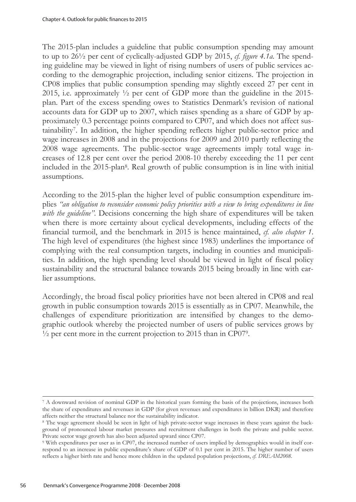The 2015-plan includes a guideline that public consumption spending may amount to up to 26½ per cent of cyclically-adjusted GDP by 2015, *cf. figure 4.1a*. The spending guideline may be viewed in light of rising numbers of users of public services according to the demographic projection, including senior citizens. The projection in CP08 implies that public consumption spending may slightly exceed 27 per cent in 2015, i.e. approximately ½ per cent of GDP more than the guideline in the 2015 plan. Part of the excess spending owes to Statistics Denmark's revision of national accounts data for GDP up to 2007, which raises spending as a share of GDP by approximately 0.3 percentage points compared to CP07, and which does not affect sustainability7. In addition, the higher spending reflects higher public-sector price and wage increases in 2008 and in the projections for 2009 and 2010 partly reflecting the 2008 wage agreements. The public-sector wage agreements imply total wage increases of 12.8 per cent over the period 2008-10 thereby exceeding the 11 per cent included in the 2015-plan8. Real growth of public consumption is in line with initial assumptions.

According to the 2015-plan the higher level of public consumption expenditure implies *"an obligation to reconsider economic policy priorities with a view to bring expenditures in line with the guideline"*. Decisions concerning the high share of expenditures will be taken when there is more certainty about cyclical developments, including effects of the financial turmoil, and the benchmark in 2015 is hence maintained, *cf. also chapter 1*. The high level of expenditures (the highest since 1983) underlines the importance of complying with the real consumption targets, including in counties and municipalities. In addition, the high spending level should be viewed in light of fiscal policy sustainability and the structural balance towards 2015 being broadly in line with earlier assumptions.

Accordingly, the broad fiscal policy priorities have not been altered in CP08 and real growth in public consumption towards 2015 is essentially as in CP07. Meanwhile, the challenges of expenditure prioritization are intensified by changes to the demographic outlook whereby the projected number of users of public services grows by  $\frac{1}{2}$  per cent more in the current projection to 2015 than in CP079.

<sup>7</sup> A downward revision of nominal GDP in the historical years forming the basis of the projections, increases both the share of expenditures and revenues in GDP (for given revenues and expenditures in billion DKR) and therefore affects neither the structural balance nor the sustainability indicator.

<sup>8</sup> The wage agreement should be seen in light of high private-sector wage increases in these years against the background of pronounced labour market pressures and recruitment challenges in both the private and public sector. Private sector wage growth has also been adjusted upward since CP07.

<sup>9</sup> With expenditures per user as in CP07, the increased number of users implied by demographics would in itself correspond to an increase in public expenditure's share of GDP of 0.1 per cent in 2015. The higher number of users reflects a higher birth rate and hence more children in the updated population projections, *cf. DREAM2008*.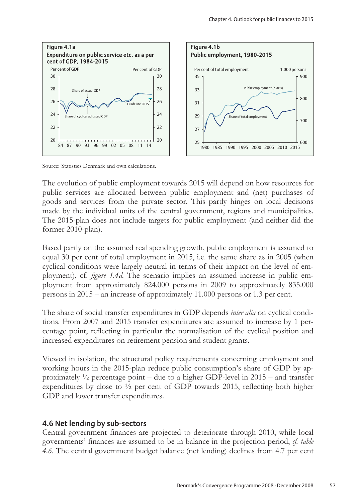

Source: Statistics Denmark and own calculations.

The evolution of public employment towards 2015 will depend on how resources for public services are allocated between public employment and (net) purchases of goods and services from the private sector. This partly hinges on local decisions made by the individual units of the central government, regions and municipalities. The 2015-plan does not include targets for public employment (and neither did the former 2010-plan).

Based partly on the assumed real spending growth, public employment is assumed to equal 30 per cent of total employment in 2015, i.e. the same share as in 2005 (when cyclical conditions were largely neutral in terms of their impact on the level of employment), cf. *figure 1.4d*. The scenario implies an assumed increase in public employment from approximately 824.000 persons in 2009 to approximately 835.000 persons in 2015 – an increase of approximately 11.000 persons or 1.3 per cent.

The share of social transfer expenditures in GDP depends *inter alia* on cyclical conditions. From 2007 and 2015 transfer expenditures are assumed to increase by 1 percentage point, reflecting in particular the normalisation of the cyclical position and increased expenditures on retirement pension and student grants.

Viewed in isolation, the structural policy requirements concerning employment and working hours in the 2015-plan reduce public consumption's share of GDP by approximately  $\frac{1}{2}$  percentage point – due to a higher GDP-level in 2015 – and transfer expenditures by close to  $\frac{1}{2}$  per cent of GDP towards 2015, reflecting both higher GDP and lower transfer expenditures.

# 4.6 Net lending by sub-sectors

Central government finances are projected to deteriorate through 2010, while local governments' finances are assumed to be in balance in the projection period, *cf. table 4.6*. The central government budget balance (net lending) declines from 4.7 per cent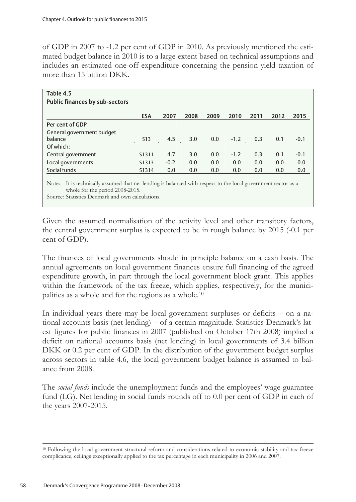of GDP in 2007 to -1.2 per cent of GDP in 2010. As previously mentioned the estimated budget balance in 2010 is to a large extent based on technical assumptions and includes an estimated one-off expenditure concerning the pension yield taxation of more than 15 billion DKK.

| Table 4.5<br><b>Public finances by sub-sectors</b>                                                               |                 |        |      |      |        |      |      |        |
|------------------------------------------------------------------------------------------------------------------|-----------------|--------|------|------|--------|------|------|--------|
|                                                                                                                  | <b>ESA</b>      | 2007   | 2008 | 2009 | 2010   | 2011 | 2012 | 2015   |
| Per cent of GDP                                                                                                  |                 |        |      |      |        |      |      |        |
| General government budget<br>balance                                                                             | S <sub>13</sub> | 4.5    | 3.0  | 0.0  | $-1.2$ | 0.3  | 0.1  | $-0.1$ |
| Of which:                                                                                                        |                 |        |      |      |        |      |      |        |
| Central government                                                                                               | S1311           | 4.7    | 3.0  | 0.0  | $-1.2$ | 0.3  | 0.1  | $-0.1$ |
| Local governments                                                                                                | S1313           | $-0.2$ | 0.0  | 0.0  | 0.0    | 0.0  | 0.0  | 0.0    |
| Social funds                                                                                                     | S1314           | 0.0    | 0.0  | 0.0  | 0.0    | 0.0  | 0.0  | 0.0    |
| It is technically assumed that net lending is balanced with respect to the local government sector as a<br>Note: |                 |        |      |      |        |      |      |        |

# whole for the period 2008-2015.

Source: Statistics Denmark and own calculations.

Given the assumed normalisation of the activity level and other transitory factors, the central government surplus is expected to be in rough balance by 2015 (-0.1 per cent of GDP).

The finances of local governments should in principle balance on a cash basis. The annual agreements on local government finances ensure full financing of the agreed expenditure growth, in part through the local government block grant. This applies within the framework of the tax freeze, which applies, respectively, for the municipalities as a whole and for the regions as a whole.10

In individual years there may be local government surpluses or deficits – on a national accounts basis (net lending) – of a certain magnitude. Statistics Denmark's latest figures for public finances in 2007 (published on October 17th 2008) implied a deficit on national accounts basis (net lending) in local governments of 3.4 billion DKK or 0.2 per cent of GDP. In the distribution of the government budget surplus across sectors in table 4.6, the local government budget balance is assumed to balance from 2008.

The *social funds* include the unemployment funds and the employees' wage guarantee fund (LG). Net lending in social funds rounds off to 0.0 per cent of GDP in each of the years 2007-2015.

<sup>&</sup>lt;sup>10</sup> Following the local government structural reform and considerations related to economic stability and tax freeze complicance, ceilings exceptionally applied to the tax percentage in each municipality in 2006 and 2007.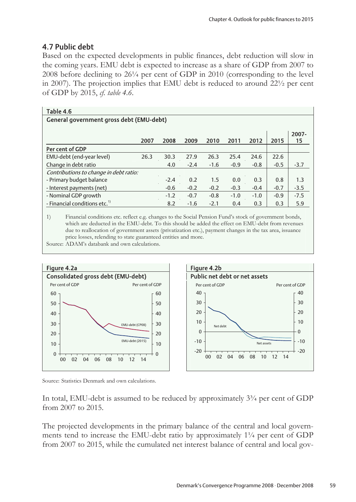# 4.7 Public debt

Based on the expected developments in public finances, debt reduction will slow in the coming years. EMU debt is expected to increase as a share of GDP from 2007 to 2008 before declining to 26¼ per cent of GDP in 2010 (corresponding to the level in 2007). The projection implies that EMU debt is reduced to around 22½ per cent of GDP by 2015, *cf. table 4.6*.

| Table 4.6                                 |      |        |        |        |        |        |        |             |
|-------------------------------------------|------|--------|--------|--------|--------|--------|--------|-------------|
| General government gross debt (EMU-debt)  |      |        |        |        |        |        |        |             |
|                                           | 2007 | 2008   | 2009   | 2010   | 2011   | 2012   | 2015   | 2007-<br>15 |
| Per cent of GDP                           |      |        |        |        |        |        |        |             |
| EMU-debt (end-year level)                 | 26.3 | 30.3   | 27.9   | 26.3   | 25.4   | 24.6   | 22.6   |             |
| Change in debt ratio                      |      | 4.0    | $-2.4$ | $-1.6$ | $-0.9$ | $-0.8$ | $-0.5$ | $-3.7$      |
| Contributions to change in debt ratio:    |      |        |        |        |        |        |        |             |
| - Primary budget balance                  |      | $-2.4$ | 0.2    | 1.5    | 0.0    | 0.3    | 0.8    | 1.3         |
| - Interest payments (net)                 |      | $-0.6$ | $-0.2$ | $-0.2$ | $-0.3$ | $-0.4$ | $-0.7$ | $-3.5$      |
| - Nominal GDP growth                      |      | $-1.2$ | $-0.7$ | $-0.8$ | $-1.0$ | $-1.0$ | $-0.9$ | $-7.5$      |
| - Financial conditions etc. <sup>1)</sup> |      | 8.2    | $-1.6$ | $-2.1$ | 0.4    | 0.3    | 0.3    | 5.9         |

1) Financial conditions etc. reflect e.g. changes to the Social Pension Fund's stock of government bonds, which are deducted in the EMU-debt. To this should be added the effect on EMU-debt from revenues due to reallocation of government assets (privatization etc.), payment changes in the tax area, issuance price losses, relending to state guaranteed entities and more.

Source: ADAM's databank and own calculations.





Source: Statistics Denmark and own calculations.

In total, EMU-debt is assumed to be reduced by approximately  $3<sup>3</sup>/<sub>4</sub>$  per cent of GDP from 2007 to 2015.

The projected developments in the primary balance of the central and local governments tend to increase the EMU-debt ratio by approximately  $1\frac{1}{4}$  per cent of GDP from 2007 to 2015, while the cumulated net interest balance of central and local gov-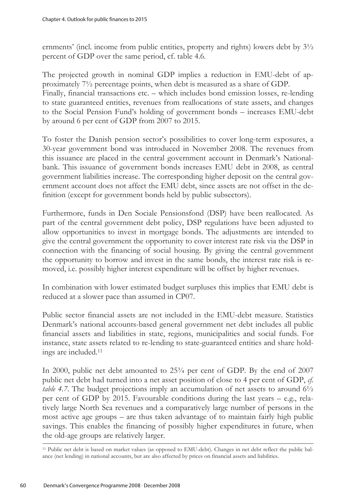ernments' (incl. income from public entities, property and rights) lowers debt by 3½ percent of GDP over the same period, cf. table 4.6.

The projected growth in nominal GDP implies a reduction in EMU-debt of approximately 7½ percentage points, when debt is measured as a share of GDP. Finally, financial transactions etc. – which includes bond emission losses, re-lending to state guaranteed entities, revenues from reallocations of state assets, and changes to the Social Pension Fund's holding of government bonds – increases EMU-debt by around 6 per cent of GDP from 2007 to 2015.

To foster the Danish pension sector's possibilities to cover long-term exposures, a 30-year government bond was introduced in November 2008. The revenues from this issuance are placed in the central government account in Denmark's Nationalbank. This issuance of government bonds increases EMU debt in 2008, as central government liabilities increase. The corresponding higher deposit on the central government account does not affect the EMU debt, since assets are not offset in the definition (except for government bonds held by public subsectors).

Furthermore, funds in Den Sociale Pensionsfond (DSP) have been reallocated. As part of the central government debt policy, DSP regulations have been adjusted to allow opportunities to invest in mortgage bonds. The adjustments are intended to give the central government the opportunity to cover interest rate risk via the DSP in connection with the financing of social housing. By giving the central government the opportunity to borrow and invest in the same bonds, the interest rate risk is removed, i.e. possibly higher interest expenditure will be offset by higher revenues.

In combination with lower estimated budget surpluses this implies that EMU debt is reduced at a slower pace than assumed in CP07.

Public sector financial assets are not included in the EMU-debt measure. Statistics Denmark's national accounts-based general government net debt includes all public financial assets and liabilities in state, regions, municipalities and social funds. For instance, state assets related to re-lending to state-guaranteed entities and share holdings are included.11

In 2000, public net debt amounted to 25¾ per cent of GDP. By the end of 2007 public net debt had turned into a net asset position of close to 4 per cent of GDP, *cf. table 4.7*. The budget projections imply an accumulation of net assets to around 6½ per cent of GDP by 2015. Favourable conditions during the last years – e.g., relatively large North Sea revenues and a comparatively large number of persons in the most active age groups – are thus taken advantage of to maintain fairly high public savings. This enables the financing of possibly higher expenditures in future, when the old-age groups are relatively larger.

<sup>11</sup> Public net debt is based on market values (as opposed to EMU-debt). Changes in net debt reflect the public balance (net lending) in national accounts, but are also affected by prices on financial assets and liabilities.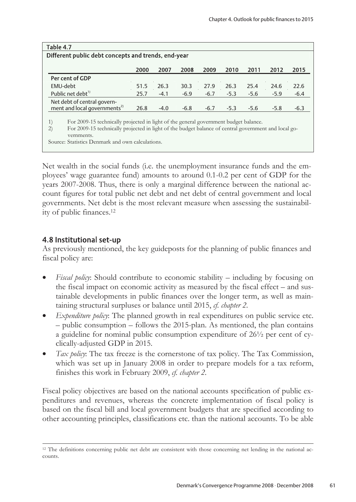| Table 4.7                                                                                                                               |      |        |        |        |        |        |        |        |
|-----------------------------------------------------------------------------------------------------------------------------------------|------|--------|--------|--------|--------|--------|--------|--------|
| Different public debt concepts and trends, end-year                                                                                     |      |        |        |        |        |        |        |        |
|                                                                                                                                         |      |        |        |        |        |        |        |        |
|                                                                                                                                         | 2000 | 2007   | 2008   | 2009   | 2010   | 2011   | 2012   | 2015   |
| Per cent of GDP                                                                                                                         |      |        |        |        |        |        |        |        |
| EMU-debt                                                                                                                                | 51.5 | 26.3   | 30.3   | 27.9   | 26.3   | 25.4   | 24.6   | 22.6   |
| Public net debt <sup>1)</sup>                                                                                                           | 25.7 | $-4.1$ | $-6.9$ | $-6.7$ | $-5.3$ | $-5.6$ | $-5.9$ | $-6.4$ |
| Net debt of central govern-                                                                                                             |      |        |        |        |        |        |        |        |
| ment and local governments <sup>2)</sup>                                                                                                | 26.8 | $-4.0$ | $-6.8$ | $-6.7$ | $-5.3$ | $-5.6$ | $-5.8$ | $-6.3$ |
|                                                                                                                                         |      |        |        |        |        |        |        |        |
| 1)<br>For 2009-15 technically projected in light of the general government budget balance.                                              |      |        |        |        |        |        |        |        |
| $\left( 2\right)$<br>For 2009-15 technically projected in light of the budget balance of central government and local go-<br>vernments. |      |        |        |        |        |        |        |        |
| Source: Statistics Denmark and own calculations.                                                                                        |      |        |        |        |        |        |        |        |

Net wealth in the social funds (i.e. the unemployment insurance funds and the employees' wage guarantee fund) amounts to around 0.1-0.2 per cent of GDP for the years 2007-2008. Thus, there is only a marginal difference between the national account figures for total public net debt and net debt of central government and local governments. Net debt is the most relevant measure when assessing the sustainability of public finances.12

# 4.8 Institutional set-up

As previously mentioned, the key guideposts for the planning of public finances and fiscal policy are:

- *Fiscal policy*: Should contribute to economic stability including by focusing on the fiscal impact on economic activity as measured by the fiscal effect – and sustainable developments in public finances over the longer term, as well as maintaining structural surpluses or balance until 2015, *cf. chapter 2*.
- *Expenditure policy*: The planned growth in real expenditures on public service etc. – public consumption – follows the 2015-plan. As mentioned, the plan contains a guideline for nominal public consumption expenditure of 26½ per cent of cyclically-adjusted GDP in 2015.
- *Tax policy*: The tax freeze is the cornerstone of tax policy. The Tax Commission, which was set up in January 2008 in order to prepare models for a tax reform, finishes this work in February 2009, *cf. chapter 2*.

Fiscal policy objectives are based on the national accounts specification of public expenditures and revenues, whereas the concrete implementation of fiscal policy is based on the fiscal bill and local government budgets that are specified according to other accounting principles, classifications etc. than the national accounts. To be able

 $\overline{a}$ <sup>12</sup> The definitions concerning public net debt are consistent with those concerning net lending in the national accounts.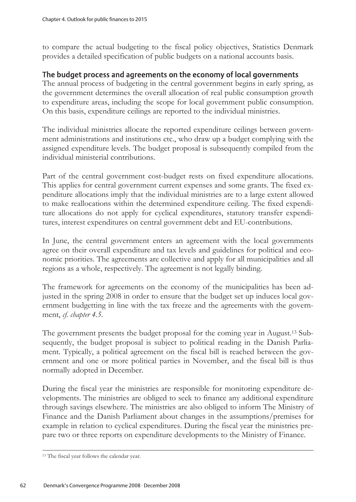to compare the actual budgeting to the fiscal policy objectives, Statistics Denmark provides a detailed specification of public budgets on a national accounts basis.

## The budget process and agreements on the economy of local governments

The annual process of budgeting in the central government begins in early spring, as the government determines the overall allocation of real public consumption growth to expenditure areas, including the scope for local government public consumption. On this basis, expenditure ceilings are reported to the individual ministries.

The individual ministries allocate the reported expenditure ceilings between government administrations and institutions etc., who draw up a budget complying with the assigned expenditure levels. The budget proposal is subsequently compiled from the individual ministerial contributions.

Part of the central government cost-budget rests on fixed expenditure allocations. This applies for central government current expenses and some grants. The fixed expenditure allocations imply that the individual ministries are to a large extent allowed to make reallocations within the determined expenditure ceiling. The fixed expenditure allocations do not apply for cyclical expenditures, statutory transfer expenditures, interest expenditures on central government debt and EU-contributions.

In June, the central government enters an agreement with the local governments agree on their overall expenditure and tax levels and guidelines for political and economic priorities. The agreements are collective and apply for all municipalities and all regions as a whole, respectively. The agreement is not legally binding.

The framework for agreements on the economy of the municipalities has been adjusted in the spring 2008 in order to ensure that the budget set up induces local government budgetting in line with the tax freeze and the agreements with the government, *cf. chapter 4.5*.

The government presents the budget proposal for the coming year in August.13 Subsequently, the budget proposal is subject to political reading in the Danish Parliament. Typically, a political agreement on the fiscal bill is reached between the government and one or more political parties in November, and the fiscal bill is thus normally adopted in December.

During the fiscal year the ministries are responsible for monitoring expenditure developments. The ministries are obliged to seek to finance any additional expenditure through savings elsewhere. The ministries are also obliged to inform The Ministry of Finance and the Danish Parliament about changes in the assumptions/premises for example in relation to cyclical expenditures. During the fiscal year the ministries prepare two or three reports on expenditure developments to the Ministry of Finance.

<sup>13</sup> The fiscal year follows the calendar year.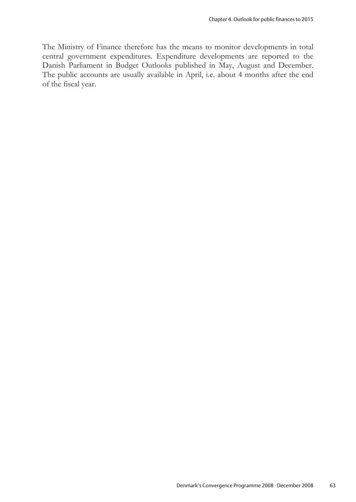The Ministry of Finance therefore has the means to monitor developments in total central government expenditures. Expenditure developments are reported to the Danish Parliament in Budget Outlooks published in May, August and December. The public accounts are usually available in April, i.e. about 4 months after the end of the fiscal year.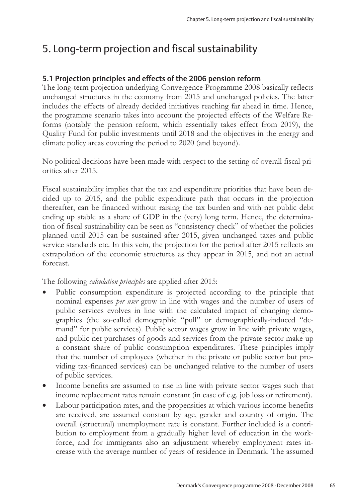# 5. Long-term projection and fiscal sustainability

# 5.1 Projection principles and effects of the 2006 pension reform

The long-term projection underlying Convergence Programme 2008 basically reflects unchanged structures in the economy from 2015 and unchanged policies. The latter includes the effects of already decided initiatives reaching far ahead in time. Hence, the programme scenario takes into account the projected effects of the Welfare Reforms (notably the pension reform, which essentially takes effect from 2019), the Quality Fund for public investments until 2018 and the objectives in the energy and climate policy areas covering the period to 2020 (and beyond).

No political decisions have been made with respect to the setting of overall fiscal priorities after 2015.

Fiscal sustainability implies that the tax and expenditure priorities that have been decided up to 2015, and the public expenditure path that occurs in the projection thereafter, can be financed without raising the tax burden and with net public debt ending up stable as a share of GDP in the (very) long term. Hence, the determination of fiscal sustainability can be seen as "consistency check" of whether the policies planned until 2015 can be sustained after 2015, given unchanged taxes and public service standards etc. In this vein, the projection for the period after 2015 reflects an extrapolation of the economic structures as they appear in 2015, and not an actual forecast.

The following *calculation principles* are applied after 2015:

- Public consumption expenditure is projected according to the principle that nominal expenses *per user* grow in line with wages and the number of users of public services evolves in line with the calculated impact of changing demographics (the so-called demographic "pull" or demographically-induced "demand" for public services). Public sector wages grow in line with private wages, and public net purchases of goods and services from the private sector make up a constant share of public consumption expenditures. These principles imply that the number of employees (whether in the private or public sector but providing tax-financed services) can be unchanged relative to the number of users of public services.
- Income benefits are assumed to rise in line with private sector wages such that income replacement rates remain constant (in case of e.g. job loss or retirement).
- Labour participation rates, and the propensities at which various income benefits are received, are assumed constant by age, gender and country of origin. The overall (structural) unemployment rate is constant. Further included is a contribution to employment from a gradually higher level of education in the workforce, and for immigrants also an adjustment whereby employment rates increase with the average number of years of residence in Denmark. The assumed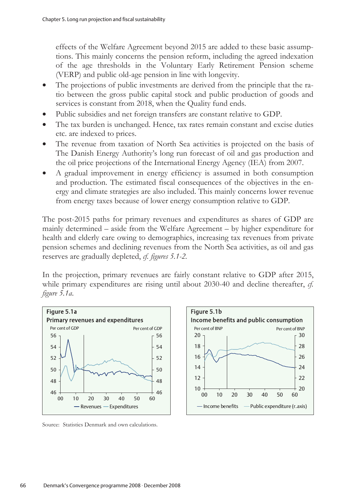effects of the Welfare Agreement beyond 2015 are added to these basic assumptions. This mainly concerns the pension reform, including the agreed indexation of the age thresholds in the Voluntary Early Retirement Pension scheme (VERP) and public old-age pension in line with longevity.

- The projections of public investments are derived from the principle that the ratio between the gross public capital stock and public production of goods and services is constant from 2018, when the Quality fund ends.
- Public subsidies and net foreign transfers are constant relative to GDP.
- The tax burden is unchanged. Hence, tax rates remain constant and excise duties etc. are indexed to prices.
- The revenue from taxation of North Sea activities is projected on the basis of The Danish Energy Authority's long run forecast of oil and gas production and the oil price projections of the International Energy Agency (IEA) from 2007.
- A gradual improvement in energy efficiency is assumed in both consumption and production. The estimated fiscal consequences of the objectives in the energy and climate strategies are also included. This mainly concerns lower revenue from energy taxes because of lower energy consumption relative to GDP.

The post-2015 paths for primary revenues and expenditures as shares of GDP are mainly determined – aside from the Welfare Agreement – by higher expenditure for health and elderly care owing to demographics, increasing tax revenues from private pension schemes and declining revenues from the North Sea activities, as oil and gas reserves are gradually depleted, *cf. figures 5.1-2.* 

In the projection, primary revenues are fairly constant relative to GDP after 2015, while primary expenditures are rising until about 2030-40 and decline thereafter, *cf. figure 5.1a*.



Source: Statistics Denmark and own calculations.

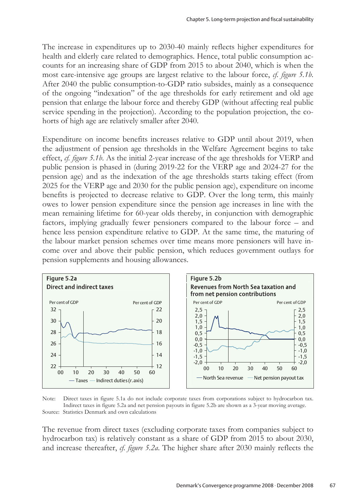The increase in expenditures up to 2030-40 mainly reflects higher expenditures for health and elderly care related to demographics. Hence, total public consumption accounts for an increasing share of GDP from 2015 to about 2040, which is when the most care-intensive age groups are largest relative to the labour force, *cf. figure 5.1b*. After 2040 the public consumption-to-GDP ratio subsides, mainly as a consequence of the ongoing "indexation" of the age thresholds for early retirement and old age pension that enlarge the labour force and thereby GDP (without affecting real public service spending in the projection). According to the population projection, the cohorts of high age are relatively smaller after 2040.

Expenditure on income benefits increases relative to GDP until about 2019, when the adjustment of pension age thresholds in the Welfare Agreement begins to take effect, *cf. figure 5.1b*. As the initial 2-year increase of the age thresholds for VERP and public pension is phased in (during 2019-22 for the VERP age and 2024-27 for the pension age) and as the indexation of the age thresholds starts taking effect (from 2025 for the VERP age and 2030 for the public pension age), expenditure on income benefits is projected to decrease relative to GDP. Over the long term, this mainly owes to lower pension expenditure since the pension age increases in line with the mean remaining lifetime for 60-year olds thereby, in conjunction with demographic factors, implying gradually fewer pensioners compared to the labour force – and hence less pension expenditure relative to GDP. At the same time, the maturing of the labour market pension schemes over time means more pensioners will have income over and above their public pension, which reduces government outlays for pension supplements and housing allowances.





The revenue from direct taxes (excluding corporate taxes from companies subject to hydrocarbon tax) is relatively constant as a share of GDP from 2015 to about 2030, and increase thereafter, *cf. figure 5.2a*. The higher share after 2030 mainly reflects the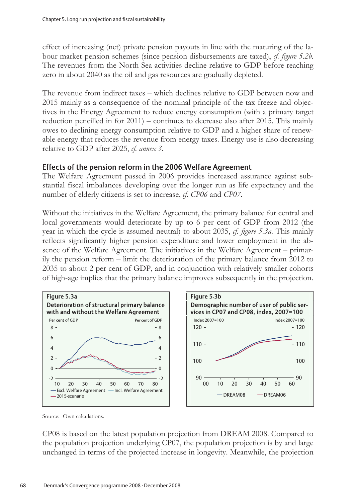effect of increasing (net) private pension payouts in line with the maturing of the labour market pension schemes (since pension disbursements are taxed), *cf. figure 5.2b*. The revenues from the North Sea activities decline relative to GDP before reaching zero in about 2040 as the oil and gas resources are gradually depleted.

The revenue from indirect taxes – which declines relative to GDP between now and 2015 mainly as a consequence of the nominal principle of the tax freeze and objectives in the Energy Agreement to reduce energy consumption (with a primary target reduction pencilled in for 2011) – continues to decrease also after 2015. This mainly owes to declining energy consumption relative to GDP and a higher share of renewable energy that reduces the revenue from energy taxes. Energy use is also decreasing relative to GDP after 2025, *cf. annex 3*.

### Effects of the pension reform in the 2006 Welfare Agreement

The Welfare Agreement passed in 2006 provides increased assurance against substantial fiscal imbalances developing over the longer run as life expectancy and the number of elderly citizens is set to increase, *cf. CP06* and *CP07*.

Without the initiatives in the Welfare Agreement, the primary balance for central and local governments would deteriorate by up to 6 per cent of GDP from 2012 (the year in which the cycle is assumed neutral) to about 2035, *cf. figure 5.3a*. This mainly reflects significantly higher pension expenditure and lower employment in the absence of the Welfare Agreement. The initiatives in the Welfare Agreement – primarily the pension reform – limit the deterioration of the primary balance from 2012 to 2035 to about 2 per cent of GDP, and in conjunction with relatively smaller cohorts of high-age implies that the primary balance improves subsequently in the projection.



Source: Own calculations.

CP08 is based on the latest population projection from DREAM 2008. Compared to the population projection underlying CP07, the population projection is by and large unchanged in terms of the projected increase in longevity. Meanwhile, the projection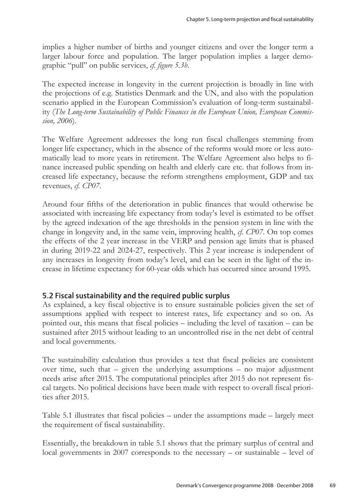implies a higher number of births and younger citizens and over the longer term a larger labour force and population. The larger population implies a larger demographic "pull" on public services, *cf. figure 5.3b*.

The expected increase in longevity in the current projection is broadly in line with the projections of e.g. Statistics Denmark and the UN, and also with the population scenario applied in the European Commission's evaluation of long-term sustainability (*The Long-term Sustainability of Public Finances in the European Union, European Commission, 2006*).

The Welfare Agreement addresses the long run fiscal challenges stemming from longer life expectancy, which in the absence of the reforms would more or less automatically lead to more years in retirement. The Welfare Agreement also helps to finance increased public spending on health and elderly care etc. that follows from increased life expectancy, because the reform strengthens employment, GDP and tax revenues, *cf. CP07*.

Around four fifths of the deterioration in public finances that would otherwise be associated with increasing life expectancy from today's level is estimated to be offset by the agreed indexation of the age thresholds in the pension system in line with the change in longevity and, in the same vein, improving health, *cf. CP07*. On top comes the effects of the 2 year increase in the VERP and pension age limits that is phased in during 2019-22 and 2024-27, respectively. This 2 year increase is independent of any increases in longevity from today's level, and can be seen in the light of the increase in lifetime expectancy for 60-year olds which has occurred since around 1995.

# 5.2 Fiscal sustainability and the required public surplus

As explained, a key fiscal objective is to ensure sustainable policies given the set of assumptions applied with respect to interest rates, life expectancy and so on. As pointed out, this means that fiscal policies – including the level of taxation – can be sustained after 2015 without leading to an uncontrolled rise in the net debt of central and local governments.

The sustainability calculation thus provides a test that fiscal policies are consistent over time, such that – given the underlying assumptions – no major adjustment needs arise after 2015. The computational principles after 2015 do not represent fiscal targets. No political decisions have been made with respect to overall fiscal priorities after 2015.

Table 5.1 illustrates that fiscal policies – under the assumptions made – largely meet the requirement of fiscal sustainability.

Essentially, the breakdown in table 5.1 shows that the primary surplus of central and local governments in 2007 corresponds to the necessary – or sustainable – level of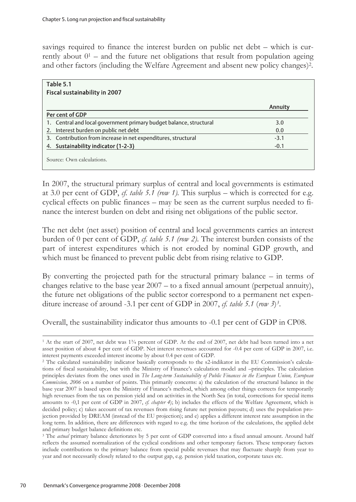savings required to finance the interest burden on public net debt – which is currently about  $0<sup>1</sup>$  – and the future net obligations that result from population ageing and other factors (including the Welfare Agreement and absent new policy changes)2.

| Table 5.1                                                          |         |
|--------------------------------------------------------------------|---------|
| <b>Fiscal sustainability in 2007</b>                               |         |
|                                                                    | Annuity |
| Per cent of GDP                                                    |         |
| 1. Central and local government primary budget balance, structural | 3.0     |
| 2. Interest burden on public net debt                              | 0.0     |
| 3. Contribution from increase in net expenditures, structural      | $-3.1$  |
| 4. Sustainability indicator (1-2-3)                                | $-0.1$  |

In 2007, the structural primary surplus of central and local governments is estimated at 3.0 per cent of GDP,  $cf.$  table 5.1 (row 1). This surplus – which is corrected for e.g. cyclical effects on public finances – may be seen as the current surplus needed to finance the interest burden on debt and rising net obligations of the public sector.

The net debt (net asset) position of central and local governments carries an interest burden of 0 per cent of GDP, *cf. table 5.1 (row 2)*. The interest burden consists of the part of interest expenditures which is not eroded by nominal GDP growth, and which must be financed to prevent public debt from rising relative to GDP.

By converting the projected path for the structural primary balance – in terms of changes relative to the base year 2007 – to a fixed annual amount (perpetual annuity), the future net obligations of the public sector correspond to a permanent net expenditure increase of around -3.1 per cent of GDP in 2007, *cf. table 5.1* (*row 3*)*3*.

Overall, the sustainability indicator thus amounts to -0.1 per cent of GDP in CP08.

<sup>1</sup> At the start of 2007, net debt was 1¾ percent of GDP. At the end of 2007, net debt had been turned into a net asset position of about 4 per cent of GDP. Net interest revenues accounted for -0.4 per cent of GDP in 2007, i.e. interest payments exceeded interest income by about 0.4 per cent of GDP.

<sup>2</sup> The calculated sustainability indicator basically corresponds to the s2-indikator in the EU Commission's calculations of fiscal sustainability, but with the Ministry of Finance's calculation model and –principles. The calculation principles deviates from the ones used in *The Long-term Sustainability of Public Finances in the European Union, European Commission, 2006* on a number of points. This primarily concerns: a) the calculation of the structural balance in the base year 2007 is based upon the Ministry of Finance's method, which among other things corrects for temporarily high revenues from the tax on pension yield and on activities in the North Sea (in total, corrections for special items amounts to -0,1 per cent of GDP in 2007, *cf. chapter 4*); b) includes the effects of the Welfare Agreement, which is decided policy; c) takes account of tax revenues from rising future net pension payouts; d) uses the population projection provided by DREAM (instead of the EU projection); and e) applies a different interest rate assumption in the long term. In addition, there are differences with regard to e.g. the time horizon of the calculations, the applied debt and primary budget balance definitions etc.

<sup>3</sup> The *actual* primary balance deteriorates by 5 per cent of GDP converted into a fixed annual amount. Around half reflects the assumed normalization of the cyclical conditions and other temporary factors. These temporary factors include contributions to the primary balance from special public revenues that may fluctuate sharply from year to year and not necessarily closely related to the output gap, e.g. pension yield taxation, corporate taxes etc.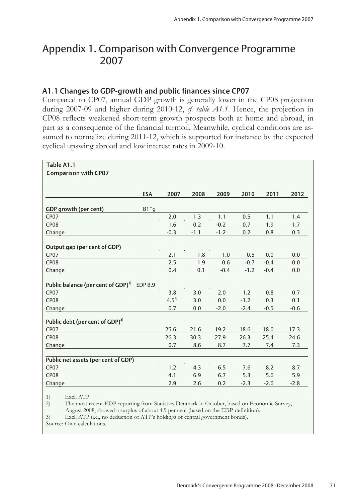# Appendix 1. Comparison with Convergence Programme 2007

# A1.1 Changes to GDP-growth and public finances since CP07

Compared to CP07, annual GDP growth is generally lower in the CP08 projection during 2007-09 and higher during 2010-12, *cf. table A1.1*. Hence, the projection in CP08 reflects weakened short-term growth prospects both at home and abroad, in part as a consequence of the financial turmoil. Meanwhile, cyclical conditions are assumed to normalize during 2011-12, which is supported for instance by the expected cyclical upswing abroad and low interest rates in 2009-10.

| Table A1.1                                     |            |           |        |                  |        |            |        |  |
|------------------------------------------------|------------|-----------|--------|------------------|--------|------------|--------|--|
| <b>Comparison with CP07</b>                    |            |           |        |                  |        |            |        |  |
|                                                |            |           |        |                  |        |            |        |  |
|                                                | <b>ESA</b> | 2007      | 2008   | 2009             | 2010   | 2011       | 2012   |  |
|                                                |            |           |        |                  |        |            |        |  |
| GDP growth (per cent)<br>CP07                  | $B1^*g$    | 2.0       | 1.3    | 1.1              | 0.5    | 1.1        | 1.4    |  |
| CP <sub>08</sub>                               |            | 1.6       | 0.2    |                  | 0.7    |            |        |  |
|                                                |            | $-0.3$    |        | $-0.2$<br>$-1.2$ |        | 1.9<br>0.8 | 1.7    |  |
| Change                                         |            |           | $-1.1$ |                  | 0.2    |            | 0.3    |  |
| Output gap (per cent of GDP)                   |            |           |        |                  |        |            |        |  |
| CP <sub>07</sub>                               |            | 2.1       | 1.8    | 1.0              | 0.5    | 0.0        | 0.0    |  |
| CP <sub>08</sub>                               |            | 2.5       | 1.9    | 0.6              | $-0.7$ | $-0.4$     | 0.0    |  |
| Change                                         |            | 0.4       | 0.1    | $-0.4$           | $-1.2$ | $-0.4$     | 0.0    |  |
|                                                |            |           |        |                  |        |            |        |  |
| Public balance (per cent of GDP) <sup>11</sup> | EDP B.9    |           |        |                  |        |            |        |  |
| CP07                                           |            | 3.8       | 3.0    | 2.0              | 1.2    | 0.8        | 0.7    |  |
| CP <sub>08</sub>                               |            | $4.5^{2}$ | 3.0    | 0.0              | $-1.2$ | 0.3        | 0.1    |  |
| Change                                         |            | 0.7       | 0.0    | $-2.0$           | $-2.4$ | $-0.5$     | $-0.6$ |  |
| Public debt (per cent of GDP) <sup>3)</sup>    |            |           |        |                  |        |            |        |  |
| <b>CP07</b>                                    |            | 25.6      | 21.6   | 19.2             | 18.6   | 18.0       | 17.3   |  |
| CP <sub>08</sub>                               |            | 26.3      | 30.3   | 27.9             | 26.3   | 25.4       | 24.6   |  |
| Change                                         |            | 0.7       | 8.6    | 8.7              | 7.7    | 7.4        | 7.3    |  |
| Public net assets (per cent of GDP)            |            |           |        |                  |        |            |        |  |
| CP <sub>07</sub>                               |            | 1.2       | 4.3    | 6.5              | 7.6    | 8.2        | 8.7    |  |
| CP <sub>08</sub>                               |            | 4.1       | 6.9    | 6.7              | 5.3    | 5.6        | 5.9    |  |
| Change                                         |            | 2.9       | 2.6    | 0.2              | $-2.3$ | $-2.6$     | $-2.8$ |  |

1) Excl. ATP.<br>2) The most re 2) The most recent EDP-reporting from Statistics Denmark in October, based on Economic Survey, August 2008, showed a surplus of about 4.9 per cent (based on the EDP-definition).<br>
Solution 1.1 Excl. ATP (i.e., no deduction of ATP's holdings of central government bonds).

Excl. ATP (i.e., no deduction of ATP's holdings of central government bonds).

Source: Own calculations.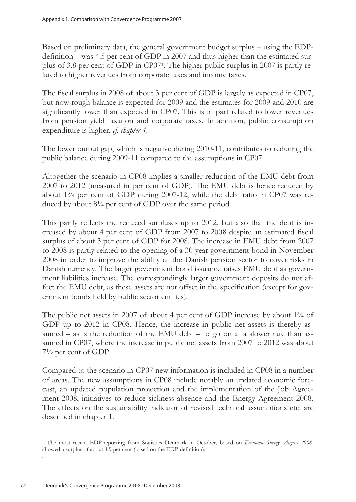Based on preliminary data, the general government budget surplus – using the EDPdefinition – was 4.5 per cent of GDP in 2007 and thus higher than the estimated surplus of 3.8 per cent of GDP in CP071. The higher public surplus in 2007 is partly related to higher revenues from corporate taxes and income taxes.

The fiscal surplus in 2008 of about 3 per cent of GDP is largely as expected in CP07, but now rough balance is expected for 2009 and the estimates for 2009 and 2010 are significantly lower than expected in CP07. This is in part related to lower revenues from pension yield taxation and corporate taxes. In addition, public consumption expenditure is higher, *cf. chapter 4*.

The lower output gap, which is negative during 2010-11, contributes to reducing the public balance during 2009-11 compared to the assumptions in CP07.

Altogether the scenario in CP08 implies a smaller reduction of the EMU debt from 2007 to 2012 (measured in per cent of GDP). The EMU debt is hence reduced by about  $1\frac{3}{4}$  per cent of GDP during 2007-12, while the debt ratio in CP07 was reduced by about  $8\frac{1}{4}$  per cent of GDP over the same period.

This partly reflects the reduced surpluses up to 2012, but also that the debt is increased by about 4 per cent of GDP from 2007 to 2008 despite an estimated fiscal surplus of about 3 per cent of GDP for 2008. The increase in EMU debt from 2007 to 2008 is partly related to the opening of a 30-year government bond in November 2008 in order to improve the ability of the Danish pension sector to cover risks in Danish currency. The larger government bond issuance raises EMU debt as government liabilities increase. The correspondingly larger government deposits do not affect the EMU debt, as these assets are not offset in the specification (except for government bonds held by public sector entities).

The public net assets in 2007 of about 4 per cent of GDP increase by about  $1\frac{3}{4}$  of GDP up to 2012 in CP08. Hence, the increase in public net assets is thereby assumed – as is the reduction of the EMU debt – to go on at a slower rate than assumed in CP07, where the increase in public net assets from 2007 to 2012 was about 7½ per cent of GDP.

Compared to the scenario in CP07 new information is included in CP08 in a number of areas. The new assumptions in CP08 include notably an updated economic forecast, an updated population projection and the implementation of the Job Agreement 2008, initiatives to reduce sickness absence and the Energy Agreement 2008. The effects on the sustainability indicator of revised technical assumptions etc. are described in chapter 1.

 $\overline{a}$ 

.

<sup>1</sup> The most recent EDP-reporting from Statistics Denmark in October, based on *Economic Survey, August 2008,* showed a surplus of about 4.9 per cent (based on the EDP-definition).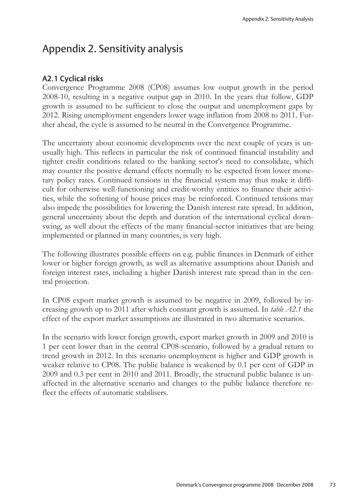# Appendix 2. Sensitivity analysis

## A2.1 Cyclical risks

Convergence Programme 2008 (CP08) assumes low output growth in the period 2008-10, resulting in a negative output gap in 2010. In the years that follow, GDP growth is assumed to be sufficient to close the output and unemployment gaps by 2012. Rising unemployment engenders lower wage inflation from 2008 to 2011. Further ahead, the cycle is assumed to be neutral in the Convergence Programme.

The uncertainty about economic developments over the next couple of years is unusually high. This reflects in particular the risk of continued financial instability and tighter credit conditions related to the banking sector's need to consolidate, which may counter the positive demand effects normally to be expected from lower monetary policy rates. Continued tensions in the financial system may thus make it difficult for otherwise well-functioning and credit-worthy entities to finance their activities, while the softening of house prices may be reinforced. Continued tensions may also impede the possibilities for lowering the Danish interest rate spread. In addition, general uncertainty about the depth and duration of the international cyclical downswing, as well about the effects of the many financial-sector initiatives that are being implemented or planned in many countries, is very high.

The following illustrates possible effects on e.g. public finances in Denmark of either lower or higher foreign growth, as well as alternative assumptions about Danish and foreign interest rates, including a higher Danish interest rate spread than in the central projection.

In CP08 export market growth is assumed to be negative in 2009, followed by increasing growth up to 2011 after which constant growth is assumed. In *table A2.1* the effect of the export market assumptions are illustrated in two alternative scenarios.

In the scenario with lower foreign growth, export market growth in 2009 and 2010 is 1 per cent lower than in the central CP08-scenario, followed by a gradual return to trend growth in 2012. In this scenario unemployment is higher and GDP growth is weaker relative to CP08. The public balance is weakened by 0.1 per cent of GDP in 2009 and 0.3 per cent in 2010 and 2011. Broadly, the structural public balance is unaffected in the alternative scenario and changes to the public balance therefore reflect the effects of automatic stabilisers.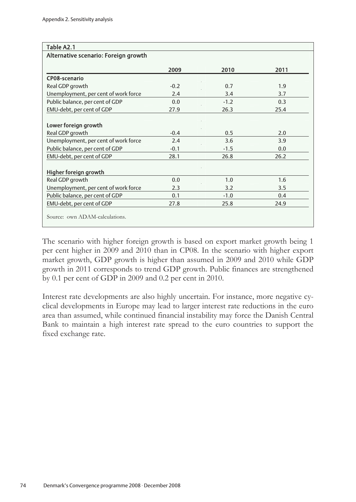| Table A2.1                           |        |        |      |
|--------------------------------------|--------|--------|------|
| Alternative scenario: Foreign growth |        |        |      |
|                                      | 2009   | 2010   | 2011 |
| CP08-scenario                        |        |        |      |
| Real GDP growth                      | $-0.2$ | 0.7    | 1.9  |
| Unemployment, per cent of work force | 2.4    | 3.4    | 3.7  |
| Public balance, per cent of GDP      | 0.0    | $-1.2$ | 0.3  |
| EMU-debt, per cent of GDP            | 27.9   | 26.3   | 25.4 |
|                                      |        |        |      |
| Lower foreign growth                 |        |        |      |
| Real GDP growth                      | $-0.4$ | 0.5    | 2.0  |
| Unemployment, per cent of work force | 2.4    | 3.6    | 3.9  |
| Public balance, per cent of GDP      | $-0.1$ | $-1.5$ | 0.0  |
| EMU-debt, per cent of GDP            | 28.1   | 26.8   | 26.2 |
|                                      |        |        |      |
| Higher foreign growth                |        |        |      |
| Real GDP growth                      | 0.0    | 1.0    | 1.6  |
| Unemployment, per cent of work force | 2.3    | 3.2    | 3.5  |
| Public balance, per cent of GDP      | 0.1    | $-1.0$ | 0.4  |
| EMU-debt, per cent of GDP            | 27.8   | 25.8   | 24.9 |
| Source: own ADAM-calculations.       |        |        |      |

The scenario with higher foreign growth is based on export market growth being 1 per cent higher in 2009 and 2010 than in CP08. In the scenario with higher export market growth, GDP growth is higher than assumed in 2009 and 2010 while GDP growth in 2011 corresponds to trend GDP growth. Public finances are strengthened by 0.1 per cent of GDP in 2009 and 0.2 per cent in 2010.

Interest rate developments are also highly uncertain. For instance, more negative cyclical developments in Europe may lead to larger interest rate reductions in the euro area than assumed, while continued financial instability may force the Danish Central Bank to maintain a high interest rate spread to the euro countries to support the fixed exchange rate.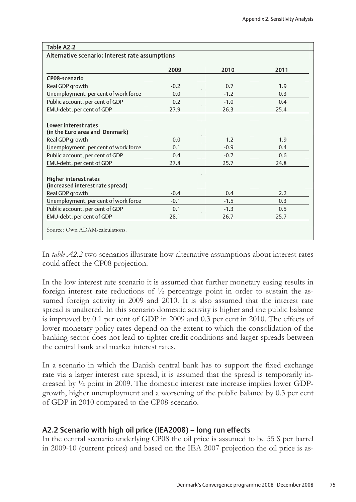| Table A2.2                                      |        |        |      |
|-------------------------------------------------|--------|--------|------|
| Alternative scenario: Interest rate assumptions |        |        |      |
|                                                 |        |        |      |
|                                                 | 2009   | 2010   | 2011 |
| CP08-scenario                                   |        |        |      |
| Real GDP growth                                 | $-0.2$ | 0.7    | 1.9  |
| Unemployment, per cent of work force            | 0.0    | $-1.2$ | 0.3  |
| Public account, per cent of GDP                 | 0.2    | $-1.0$ | 0.4  |
| EMU-debt, per cent of GDP                       | 27.9   | 26.3   | 25.4 |
|                                                 |        |        |      |
| <b>Lower interest rates</b>                     |        |        |      |
| (in the Euro area and Denmark)                  |        |        |      |
| Real GDP growth                                 | 0.0    | 1.2    | 1.9  |
| Unemployment, per cent of work force            | 0.1    | $-0.9$ | 0.4  |
| Public account, per cent of GDP                 | 0.4    | $-0.7$ | 0.6  |
| EMU-debt, per cent of GDP                       | 27.8   | 25.7   | 24.8 |
|                                                 |        |        |      |
| <b>Higher interest rates</b>                    |        |        |      |
| (increased interest rate spread)                |        |        |      |
| Real GDP growth                                 | $-0.4$ | 0.4    | 2.2  |
| Unemployment, per cent of work force            | $-0.1$ | $-1.5$ | 0.3  |
| Public account, per cent of GDP                 | 0.1    | $-1.3$ | 0.5  |
| EMU-debt, per cent of GDP                       | 28.1   | 26.7   | 25.7 |
|                                                 |        |        |      |
| Source: Own ADAM-calculations.                  |        |        |      |

In *table A2.2* two scenarios illustrate how alternative assumptions about interest rates could affect the CP08 projection.

In the low interest rate scenario it is assumed that further monetary easing results in foreign interest rate reductions of  $\frac{1}{2}$  percentage point in order to sustain the assumed foreign activity in 2009 and 2010. It is also assumed that the interest rate spread is unaltered. In this scenario domestic activity is higher and the public balance is improved by 0.1 per cent of GDP in 2009 and 0.3 per cent in 2010. The effects of lower monetary policy rates depend on the extent to which the consolidation of the banking sector does not lead to tighter credit conditions and larger spreads between the central bank and market interest rates.

In a scenario in which the Danish central bank has to support the fixed exchange rate via a larger interest rate spread, it is assumed that the spread is temporarily increased by ½ point in 2009. The domestic interest rate increase implies lower GDPgrowth, higher unemployment and a worsening of the public balance by 0.3 per cent of GDP in 2010 compared to the CP08-scenario.

## A2.2 Scenario with high oil price (IEA2008) – long run effects

In the central scenario underlying CP08 the oil price is assumed to be 55 \$ per barrel in 2009-10 (current prices) and based on the IEA 2007 projection the oil price is as-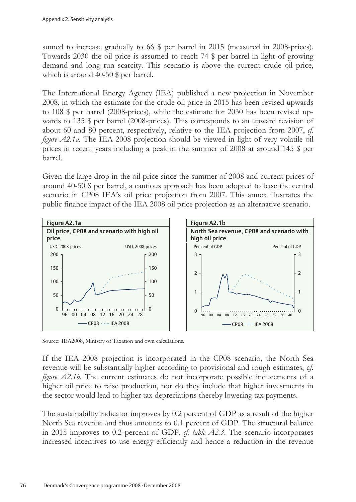sumed to increase gradually to 66  $\frac{6}{9}$  per barrel in 2015 (measured in 2008-prices). Towards 2030 the oil price is assumed to reach 74 \$ per barrel in light of growing demand and long run scarcity. This scenario is above the current crude oil price, which is around 40-50 \$ per barrel.

The International Energy Agency (IEA) published a new projection in November 2008, in which the estimate for the crude oil price in 2015 has been revised upwards to 108 \$ per barrel (2008-prices), while the estimate for 2030 has been revised upwards to 135 \$ per barrel (2008-prices). This corresponds to an upward revision of about 60 and 80 percent, respectively, relative to the IEA projection from 2007, *cf. figure A2.1a*. The IEA 2008 projection should be viewed in light of very volatile oil prices in recent years including a peak in the summer of 2008 at around 145 \$ per barrel.

Given the large drop in the oil price since the summer of 2008 and current prices of around 40-50 \$ per barrel, a cautious approach has been adopted to base the central scenario in CP08 IEA's oil price projection from 2007. This annex illustrates the public finance impact of the IEA 2008 oil price projection as an alternative scenario.



Source: IEA2008, Ministry of Taxation and own calculations.

If the IEA 2008 projection is incorporated in the CP08 scenario, the North Sea revenue will be substantially higher according to provisional and rough estimates, c*f. figure A2.1b*. The current estimates do not incorporate possible inducements of a higher oil price to raise production, nor do they include that higher investments in the sector would lead to higher tax depreciations thereby lowering tax payments.

The sustainability indicator improves by 0.2 percent of GDP as a result of the higher North Sea revenue and thus amounts to 0.1 percent of GDP. The structural balance in 2015 improves to 0.2 percent of GDP, *cf. table A2.3*. The scenario incorporates increased incentives to use energy efficiently and hence a reduction in the revenue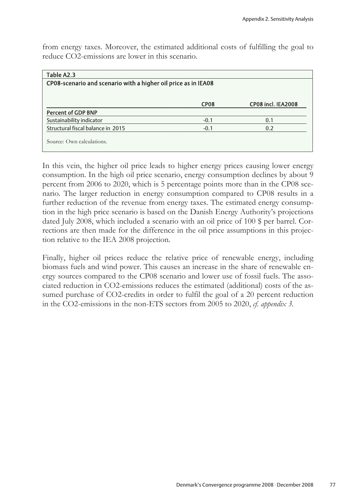from energy taxes. Moreover, the estimated additional costs of fulfilling the goal to reduce CO2-emissions are lower in this scenario.

| CP08-scenario and scenario with a higher oil price as in IEA08 |                    |
|----------------------------------------------------------------|--------------------|
|                                                                |                    |
| <b>CP08</b>                                                    | CP08 incl. IEA2008 |
|                                                                |                    |
| $-0.1$                                                         | 0.1                |
| $-0.1$                                                         | 0.2                |
|                                                                |                    |
|                                                                |                    |
|                                                                |                    |

In this vein, the higher oil price leads to higher energy prices causing lower energy consumption. In the high oil price scenario, energy consumption declines by about 9 percent from 2006 to 2020, which is 5 percentage points more than in the CP08 scenario. The larger reduction in energy consumption compared to CP08 results in a further reduction of the revenue from energy taxes. The estimated energy consumption in the high price scenario is based on the Danish Energy Authority's projections dated July 2008, which included a scenario with an oil price of 100 \$ per barrel. Corrections are then made for the difference in the oil price assumptions in this projection relative to the IEA 2008 projection.

Finally, higher oil prices reduce the relative price of renewable energy, including biomass fuels and wind power. This causes an increase in the share of renewable energy sources compared to the CP08 scenario and lower use of fossil fuels. The associated reduction in CO2-emissions reduces the estimated (additional) costs of the assumed purchase of CO2-credits in order to fulfil the goal of a 20 percent reduction in the CO2-emissions in the non-ETS sectors from 2005 to 2020, *cf. appendix 3.*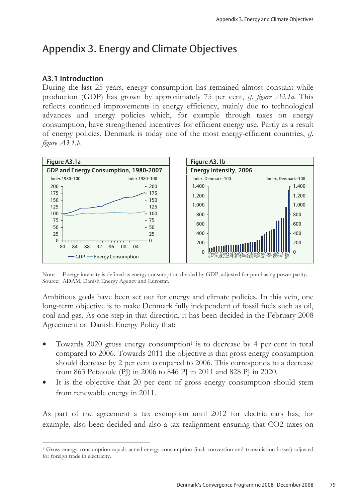# Appendix 3. Energy and Climate Objectives

### A3.1 Introduction

 $\overline{a}$ 

During the last 25 years, energy consumption has remained almost constant while production (GDP) has grown by approximately 75 per cent, *cf. figure A3.1a*. This reflects continued improvements in energy efficiency, mainly due to technological advances and energy policies which, for example through taxes on energy consumption, have strengthened incentives for efficient energy use. Partly as a result of energy policies, Denmark is today one of the most energy-efficient countries, *cf. figure A3.1.b*.



Note: Energy intensity is defined as energy consumption divided by GDP, adjusted for purchasing power parity. Source: ADAM, Danish Energy Agency and Eurostat.

Ambitious goals have been set out for energy and climate policies. In this vein, one long-term objective is to make Denmark fully independent of fossil fuels such as oil, coal and gas. As one step in that direction, it has been decided in the February 2008 Agreement on Danish Energy Policy that:

- Towards  $2020$  gross energy consumption<sup>1</sup> is to decrease by 4 per cent in total compared to 2006. Towards 2011 the objective is that gross energy consumption should decrease by 2 per cent compared to 2006. This corresponds to a decrease from 863 Petajoule (PJ) in 2006 to 846 PJ in 2011 and 828 PJ in 2020.
- It is the objective that 20 per cent of gross energy consumption should stem from renewable energy in 2011.

As part of the agreement a tax exemption until 2012 for electric cars has, for example, also been decided and also a tax realignment ensuring that CO2 taxes on

<sup>1</sup> Gross energy consumption equals actual energy consumption (incl. conversion and transmission losses) adjusted for foreign trade in electricity.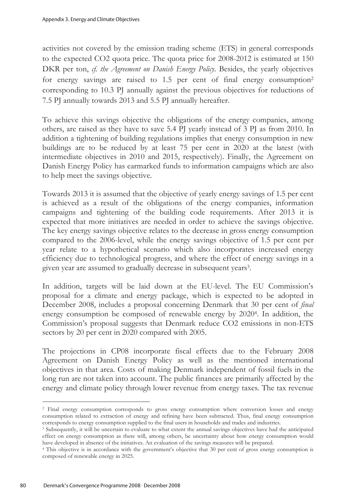activities not covered by the emission trading scheme (ETS) in general corresponds to the expected CO2 quota price. The quota price for 2008-2012 is estimated at 150 DKR per ton, *cf. the Agreement on Danish Energy Policy*. Besides, the yearly objectives for energy savings are raised to 1.5 per cent of final energy consumption<sup>2</sup> corresponding to 10.3 PJ annually against the previous objectives for reductions of 7.5 PJ annually towards 2013 and 5.5 PJ annually hereafter.

To achieve this savings objective the obligations of the energy companies, among others, are raised as they have to save 5.4 PJ yearly instead of 3 PJ as from 2010. In addition a tightening of building regulations implies that energy consumption in new buildings are to be reduced by at least 75 per cent in 2020 at the latest (with intermediate objectives in 2010 and 2015, respectively). Finally, the Agreement on Danish Energy Policy has earmarked funds to information campaigns which are also to help meet the savings objective.

Towards 2013 it is assumed that the objective of yearly energy savings of 1.5 per cent is achieved as a result of the obligations of the energy companies, information campaigns and tightening of the building code requirements. After 2013 it is expected that more initiatives are needed in order to achieve the savings objective. The key energy savings objective relates to the decrease in gross energy consumption compared to the 2006-level, while the energy savings objective of 1.5 per cent per year relate to a hypothetical scenario which also incorporates increased energy efficiency due to technological progress, and where the effect of energy savings in a given year are assumed to gradually decrease in subsequent years3.

In addition, targets will be laid down at the EU-level. The EU Commission's proposal for a climate and energy package, which is expected to be adopted in December 2008, includes a proposal concerning Denmark that 30 per cent of *final* energy consumption be composed of renewable energy by 20204. In addition, the Commission's proposal suggests that Denmark reduce CO2 emissions in non-ETS sectors by 20 per cent in 2020 compared with 2005.

The projections in CP08 incorporate fiscal effects due to the February 2008 Agreement on Danish Energy Policy as well as the mentioned international objectives in that area. Costs of making Denmark independent of fossil fuels in the long run are not taken into account. The public finances are primarily affected by the energy and climate policy through lower revenue from energy taxes. The tax revenue

 $\overline{a}$ 

<sup>2</sup> Final energy consumption corresponds to gross energy consumption where conversion losses and energy consumption related to extraction of energy and refining have been subtracted. Thus, final energy consumption corresponds to energy consumption supplied to the final users in households and trades and industries. 3 Subsequently, it will be uncertain to evaluate to what extent the annual savings objectives have had the anticipated

effect on energy consumption as there will, among others, be uncertainty about how energy consumption would have developed in absence of the initiatives. An evaluation of the savings measures will be prepared. 4 This objective is in accordance with the government's objective that 30 per cent of gross energy consumption is

composed of renewable energy in 2025.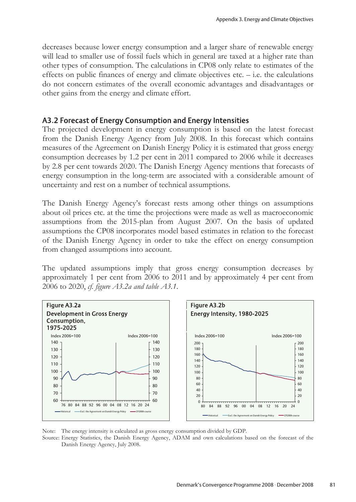decreases because lower energy consumption and a larger share of renewable energy will lead to smaller use of fossil fuels which in general are taxed at a higher rate than other types of consumption. The calculations in CP08 only relate to estimates of the effects on public finances of energy and climate objectives etc. – i.e. the calculations do not concern estimates of the overall economic advantages and disadvantages or other gains from the energy and climate effort.

### A3.2 Forecast of Energy Consumption and Energy Intensities

The projected development in energy consumption is based on the latest forecast from the Danish Energy Agency from July 2008. In this forecast which contains measures of the Agreement on Danish Energy Policy it is estimated that gross energy consumption decreases by 1.2 per cent in 2011 compared to 2006 while it decreases by 2.8 per cent towards 2020. The Danish Energy Agency mentions that forecasts of energy consumption in the long-term are associated with a considerable amount of uncertainty and rest on a number of technical assumptions.

The Danish Energy Agency's forecast rests among other things on assumptions about oil prices etc. at the time the projections were made as well as macroeconomic assumptions from the 2015-plan from August 2007. On the basis of updated assumptions the CP08 incorporates model based estimates in relation to the forecast of the Danish Energy Agency in order to take the effect on energy consumption from changed assumptions into account.

The updated assumptions imply that gross energy consumption decreases by approximately 1 per cent from 2006 to 2011 and by approximately 4 per cent from 2006 to 2020, *cf. figure A3.2a and table A3.1*.



Note: The energy intensity is calculated as gross energy consumption divided by GDP.

Source: Energy Statistics, the Danish Energy Agency, ADAM and own calculations based on the forecast of the Danish Energy Agency, July 2008.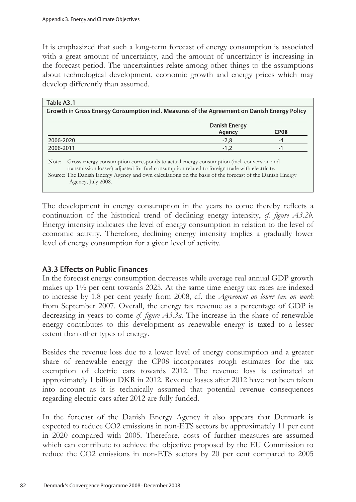It is emphasized that such a long-term forecast of energy consumption is associated with a great amount of uncertainty, and the amount of uncertainty is increasing in the forecast period. The uncertainties relate among other things to the assumptions about technological development, economic growth and energy prices which may develop differently than assumed.

| Table A3.1                                                                                                                                                                                                                                                                                                                         |                         |                  |
|------------------------------------------------------------------------------------------------------------------------------------------------------------------------------------------------------------------------------------------------------------------------------------------------------------------------------------|-------------------------|------------------|
| Growth in Gross Energy Consumption incl. Measures of the Agreement on Danish Energy Policy                                                                                                                                                                                                                                         |                         |                  |
|                                                                                                                                                                                                                                                                                                                                    | Danish Energy<br>Agency | CP <sub>08</sub> |
| 2006-2020                                                                                                                                                                                                                                                                                                                          | $-2,8$                  | -4               |
| 2006-2011                                                                                                                                                                                                                                                                                                                          | $-1.2$                  | -1               |
| Gross energy consumption corresponds to actual energy consumption (incl. conversion and<br>Note:<br>transmission losses) adjusted for fuel consumption related to foreign trade with electricity.<br>Source: The Danish Energy Agency and own calculations on the basis of the forecast of the Danish Energy<br>Agency, July 2008. |                         |                  |

The development in energy consumption in the years to come thereby reflects a continuation of the historical trend of declining energy intensity, *cf. figure A3.2b.* Energy intensity indicates the level of energy consumption in relation to the level of economic activity. Therefore, declining energy intensity implies a gradually lower level of energy consumption for a given level of activity.

## A3.3 Effects on Public Finances

In the forecast energy consumption decreases while average real annual GDP growth makes up 1½ per cent towards 2025. At the same time energy tax rates are indexed to increase by 1.8 per cent yearly from 2008, cf. the *Agreement on lower tax on work* from September 2007. Overall, the energy tax revenue as a percentage of GDP is decreasing in years to come *cf. figure A3.3a*. The increase in the share of renewable energy contributes to this development as renewable energy is taxed to a lesser extent than other types of energy.

Besides the revenue loss due to a lower level of energy consumption and a greater share of renewable energy the CP08 incorporates rough estimates for the tax exemption of electric cars towards 2012. The revenue loss is estimated at approximately 1 billion DKR in 2012. Revenue losses after 2012 have not been taken into account as it is technically assumed that potential revenue consequences regarding electric cars after 2012 are fully funded.

In the forecast of the Danish Energy Agency it also appears that Denmark is expected to reduce CO2 emissions in non-ETS sectors by approximately 11 per cent in 2020 compared with 2005. Therefore, costs of further measures are assumed which can contribute to achieve the objective proposed by the EU Commission to reduce the CO2 emissions in non-ETS sectors by 20 per cent compared to 2005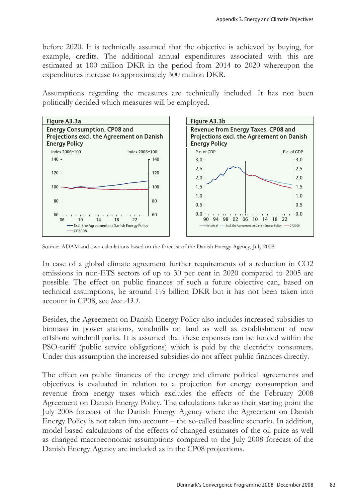before 2020. It is technically assumed that the objective is achieved by buying, for example, credits. The additional annual expenditures associated with this are estimated at 100 million DKR in the period from 2014 to 2020 whereupon the expenditures increase to approximately 300 million DKR.

Assumptions regarding the measures are technically included. It has not been politically decided which measures will be employed.



Source: ADAM and own calculations based on the forecast of the Danish Energy Agency, July 2008.

In case of a global climate agreement further requirements of a reduction in CO2 emissions in non-ETS sectors of up to 30 per cent in 2020 compared to 2005 are possible. The effect on public finances of such a future objective can, based on technical assumptions, be around 1½ billion DKR but it has not been taken into account in CP08, see *box A3.1.*

Besides, the Agreement on Danish Energy Policy also includes increased subsidies to biomass in power stations, windmills on land as well as establishment of new offshore windmill parks. It is assumed that these expenses can be funded within the PSO-tariff (public service obligations) which is paid by the electricity consumers. Under this assumption the increased subsidies do not affect public finances directly.

The effect on public finances of the energy and climate political agreements and objectives is evaluated in relation to a projection for energy consumption and revenue from energy taxes which excludes the effects of the February 2008 Agreement on Danish Energy Policy. The calculations take as their starting point the July 2008 forecast of the Danish Energy Agency where the Agreement on Danish Energy Policy is not taken into account – the so-called baseline scenario. In addition, model based calculations of the effects of changed estimates of the oil price as well as changed macroeconomic assumptions compared to the July 2008 forecast of the Danish Energy Agency are included as in the CP08 projections.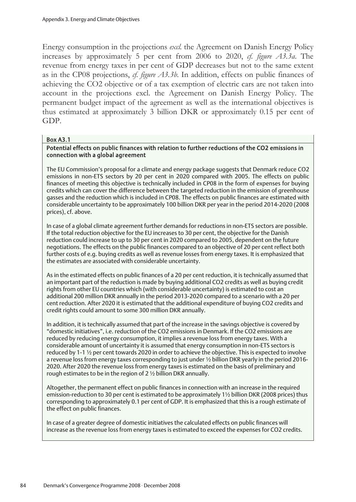Energy consumption in the projections *excl.* the Agreement on Danish Energy Policy increases by approximately 5 per cent from 2006 to 2020, *cf. figure A3.3a*. The revenue from energy taxes in per cent of GDP decreases but not to the same extent as in the CP08 projections, *cf. figure A3.3b*. In addition, effects on public finances of achieving the CO2 objective or of a tax exemption of electric cars are not taken into account in the projections excl. the Agreement on Danish Energy Policy. The permanent budget impact of the agreement as well as the international objectives is thus estimated at approximately 3 billion DKR or approximately 0.15 per cent of GDP.

#### Box A3.1

#### Potential effects on public finances with relation to further reductions of the CO2 emissions in connection with a global agreement

The EU Commission's proposal for a climate and energy package suggests that Denmark reduce CO2 emissions in non-ETS sectors by 20 per cent in 2020 compared with 2005. The effects on public finances of meeting this objective is technically included in CP08 in the form of expenses for buying credits which can cover the difference between the targeted reduction in the emission of greenhouse gasses and the reduction which is included in CP08. The effects on public finances are estimated with considerable uncertainty to be approximately 100 billion DKR per year in the period 2014-2020 (2008 prices), cf. above.

In case of a global climate agreement further demands for reductions in non-ETS sectors are possible. If the total reduction objective for the EU increases to 30 per cent, the objective for the Danish reduction could increase to up to 30 per cent in 2020 compared to 2005, dependent on the future negotiations. The effects on the public finances compared to an objective of 20 per cent reflect both further costs of e.g. buying credits as well as revenue losses from energy taxes. It is emphasized that the estimates are associated with considerable uncertainty.

As in the estimated effects on public finances of a 20 per cent reduction, it is technically assumed that an important part of the reduction is made by buying additional CO2 credits as well as buying credit rights from other EU countries which (with considerable uncertainty) is estimated to cost an additional 200 million DKR annually in the period 2013-2020 compared to a scenario with a 20 per cent reduction. After 2020 it is estimated that the additional expenditure of buying CO2 credits and credit rights could amount to some 300 million DKR annually.

In addition, it is technically assumed that part of the increase in the savings objective is covered by "domestic initiatives", i.e. reduction of the CO2 emissions in Denmark. If the CO2 emissions are reduced by reducing energy consumption, it implies a revenue loss from energy taxes. With a considerable amount of uncertainty it is assumed that energy consumption in non-ETS sectors is reduced by 1-1 ½ per cent towards 2020 in order to achieve the objective. This is expected to involve a revenue loss from energy taxes corresponding to just under ½ billion DKR yearly in the period 2016- 2020. After 2020 the revenue loss from energy taxes is estimated on the basis of preliminary and rough estimates to be in the region of 2 ½ billion DKR annually.

Altogether, the permanent effect on public finances in connection with an increase in the required emission-reduction to 30 per cent is estimated to be approximately 1½ billion DKR (2008 prices) thus corresponding to approximately 0.1 per cent of GDP. It is emphasized that this is a rough estimate of the effect on public finances.

In case of a greater degree of domestic initiatives the calculated effects on public finances will increase as the revenue loss from energy taxes is estimated to exceed the expenses for CO2 credits.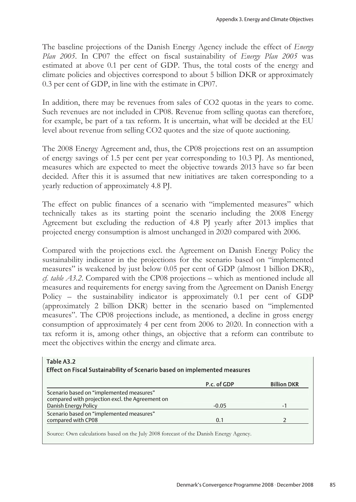The baseline projections of the Danish Energy Agency include the effect of *Energy Plan 2005*. In CP07 the effect on fiscal sustainability of *Energy Plan 2005* was estimated at above 0.1 per cent of GDP. Thus, the total costs of the energy and climate policies and objectives correspond to about 5 billion DKR or approximately 0.3 per cent of GDP, in line with the estimate in CP07.

In addition, there may be revenues from sales of CO2 quotas in the years to come. Such revenues are not included in CP08. Revenue from selling quotas can therefore, for example, be part of a tax reform. It is uncertain, what will be decided at the EU level about revenue from selling CO2 quotes and the size of quote auctioning.

The 2008 Energy Agreement and, thus, the CP08 projections rest on an assumption of energy savings of 1.5 per cent per year corresponding to 10.3 PJ. As mentioned, measures which are expected to meet the objective towards 2013 have so far been decided. After this it is assumed that new initiatives are taken corresponding to a yearly reduction of approximately 4.8 PJ.

The effect on public finances of a scenario with "implemented measures" which technically takes as its starting point the scenario including the 2008 Energy Agreement but excluding the reduction of 4.8 PJ yearly after 2013 implies that projected energy consumption is almost unchanged in 2020 compared with 2006.

Compared with the projections excl. the Agreement on Danish Energy Policy the sustainability indicator in the projections for the scenario based on "implemented measures" is weakened by just below 0.05 per cent of GDP (almost 1 billion DKR), *cf. table A3.2*. Compared with the CP08 projections – which as mentioned include all measures and requirements for energy saving from the Agreement on Danish Energy Policy – the sustainability indicator is approximately 0.1 per cent of GDP (approximately 2 billion DKR) better in the scenario based on "implemented measures". The CP08 projections include, as mentioned, a decline in gross energy consumption of approximately 4 per cent from 2006 to 2020. In connection with a tax reform it is, among other things, an objective that a reform can contribute to meet the objectives within the energy and climate area.

| Table A3.2                                                                                  |             |                    |
|---------------------------------------------------------------------------------------------|-------------|--------------------|
| Effect on Fiscal Sustainability of Scenario based on implemented measures                   |             |                    |
|                                                                                             | P.c. of GDP | <b>Billion DKR</b> |
| Scenario based on "implemented measures"<br>compared with projection excl. the Agreement on |             |                    |
| Danish Energy Policy                                                                        | $-0.05$     | -1                 |
| Scenario based on "implemented measures"                                                    |             |                    |
| compared with CP08                                                                          | 0.1         |                    |
| Source: Own calculations based on the July 2008 forecast of the Danish Energy Agency.       |             |                    |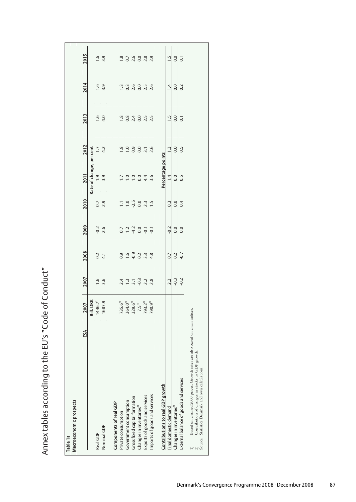| Rate of change, per cent<br>Percentage points<br>$\sim$<br>2011<br>$\frac{1}{3}$ .9<br>$\frac{0}{0.0}$<br>$4.4$<br>3.6<br>1.4<br>$\frac{7}{1.0}$<br>2010<br>$-2.5$<br>0.0<br>$0.7$<br>2.9<br>$2.3$<br>1.5<br>$\begin{array}{c} 0.3 \\ 0.0 \end{array}$<br>$\overline{1.0}$<br>$\Xi$<br>2009<br>$-0.2$<br>2.6<br>$-4.2$<br>0.0<br>$0.0 - 0.0$<br>$-0.1$<br>$0.7$<br>1.2<br>2008<br>$-0.9$<br>0.2<br>$rac{2}{4}$<br>$0.9$<br>1.6<br>$3.\overline{3}$<br>4.8<br>$\frac{2}{9}$<br>$\frac{2}{9}$<br>2007<br>$\frac{16}{3.6}$<br>$\frac{1}{2}$ . 3<br>$2.2$<br>$-0.3$<br>$2.4$<br>1.3<br>$2.\overline{2}$<br>2.8<br>Bill. DKK<br>1687.9<br>1446.7<br>793.2 <sup>1)</sup><br>790.9 <sup>1)</sup><br>$364.0^{1}$<br>$329.6^{11}$<br><b>2007</b><br>$735.6^{1}$<br>$7.5^{\circ}$<br>$\lambda$<br>$\alpha$<br>ន៍<br>Contributions to real GDP growth<br>Imports of goods and services<br>Exports of goods and services<br>Gross fixed capital formation<br>Macroeconomic prospects<br>Government consumption<br>Components of real GDP<br>Changes in inventories <sup>2)</sup><br>Final domestic demand<br>Private consumption<br>Nominal GDP<br>Real GDP | 2013<br>$-4.0$<br>$2.4$<br>0.0<br>$1.8$<br>0.8<br>2012<br>$\frac{1}{4}$<br>0.0<br>$\frac{3}{1}$ . 0 | 2014<br>$1.6$<br>3.9<br>$\frac{2.6}{0.0}$<br>$1.8$<br>0.8 |  |
|-------------------------------------------------------------------------------------------------------------------------------------------------------------------------------------------------------------------------------------------------------------------------------------------------------------------------------------------------------------------------------------------------------------------------------------------------------------------------------------------------------------------------------------------------------------------------------------------------------------------------------------------------------------------------------------------------------------------------------------------------------------------------------------------------------------------------------------------------------------------------------------------------------------------------------------------------------------------------------------------------------------------------------------------------------------------------------------------------------------------------------------------------|-----------------------------------------------------------------------------------------------------|-----------------------------------------------------------|--|
|                                                                                                                                                                                                                                                                                                                                                                                                                                                                                                                                                                                                                                                                                                                                                                                                                                                                                                                                                                                                                                                                                                                                                 |                                                                                                     |                                                           |  |
|                                                                                                                                                                                                                                                                                                                                                                                                                                                                                                                                                                                                                                                                                                                                                                                                                                                                                                                                                                                                                                                                                                                                                 |                                                                                                     |                                                           |  |
|                                                                                                                                                                                                                                                                                                                                                                                                                                                                                                                                                                                                                                                                                                                                                                                                                                                                                                                                                                                                                                                                                                                                                 |                                                                                                     |                                                           |  |
|                                                                                                                                                                                                                                                                                                                                                                                                                                                                                                                                                                                                                                                                                                                                                                                                                                                                                                                                                                                                                                                                                                                                                 |                                                                                                     |                                                           |  |
|                                                                                                                                                                                                                                                                                                                                                                                                                                                                                                                                                                                                                                                                                                                                                                                                                                                                                                                                                                                                                                                                                                                                                 |                                                                                                     |                                                           |  |
|                                                                                                                                                                                                                                                                                                                                                                                                                                                                                                                                                                                                                                                                                                                                                                                                                                                                                                                                                                                                                                                                                                                                                 |                                                                                                     |                                                           |  |
|                                                                                                                                                                                                                                                                                                                                                                                                                                                                                                                                                                                                                                                                                                                                                                                                                                                                                                                                                                                                                                                                                                                                                 |                                                                                                     |                                                           |  |
|                                                                                                                                                                                                                                                                                                                                                                                                                                                                                                                                                                                                                                                                                                                                                                                                                                                                                                                                                                                                                                                                                                                                                 |                                                                                                     |                                                           |  |
|                                                                                                                                                                                                                                                                                                                                                                                                                                                                                                                                                                                                                                                                                                                                                                                                                                                                                                                                                                                                                                                                                                                                                 |                                                                                                     |                                                           |  |
|                                                                                                                                                                                                                                                                                                                                                                                                                                                                                                                                                                                                                                                                                                                                                                                                                                                                                                                                                                                                                                                                                                                                                 |                                                                                                     |                                                           |  |
|                                                                                                                                                                                                                                                                                                                                                                                                                                                                                                                                                                                                                                                                                                                                                                                                                                                                                                                                                                                                                                                                                                                                                 |                                                                                                     |                                                           |  |
|                                                                                                                                                                                                                                                                                                                                                                                                                                                                                                                                                                                                                                                                                                                                                                                                                                                                                                                                                                                                                                                                                                                                                 | $2.5$<br>$2.5$<br>$3.1$<br>2.6                                                                      | $2.5$<br>2.6                                              |  |
|                                                                                                                                                                                                                                                                                                                                                                                                                                                                                                                                                                                                                                                                                                                                                                                                                                                                                                                                                                                                                                                                                                                                                 |                                                                                                     |                                                           |  |
|                                                                                                                                                                                                                                                                                                                                                                                                                                                                                                                                                                                                                                                                                                                                                                                                                                                                                                                                                                                                                                                                                                                                                 |                                                                                                     |                                                           |  |
|                                                                                                                                                                                                                                                                                                                                                                                                                                                                                                                                                                                                                                                                                                                                                                                                                                                                                                                                                                                                                                                                                                                                                 |                                                                                                     |                                                           |  |
|                                                                                                                                                                                                                                                                                                                                                                                                                                                                                                                                                                                                                                                                                                                                                                                                                                                                                                                                                                                                                                                                                                                                                 | $\frac{1.5}{0.0}$<br>$\frac{1}{3}$ 0.0                                                              | $\frac{1}{4}$ 0.0                                         |  |
| 0.5<br>0.4<br>0.0<br>$-0.2$<br>Changes in inventories <sup>2)</sup><br>External balance of goods and services                                                                                                                                                                                                                                                                                                                                                                                                                                                                                                                                                                                                                                                                                                                                                                                                                                                                                                                                                                                                                                   | $\overline{0}$ .<br>0.5                                                                             | 0.2                                                       |  |
| Based on chained 2000-prices. Growth rates are also based on chain indices.<br>Contribution of changes in stocks to GDP growth.<br>$\begin{array}{c}\n1 \\ 2 \\ \text{Source:}\n\end{array}$                                                                                                                                                                                                                                                                                                                                                                                                                                                                                                                                                                                                                                                                                                                                                                                                                                                                                                                                                    |                                                                                                     |                                                           |  |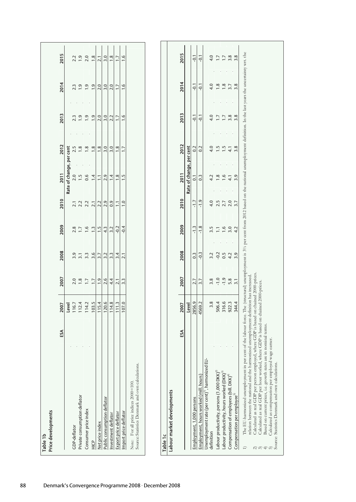| Price developments<br>Table 1b                                                           |     |       |                  |                  |                |       |                          |                  |                  |                  |                                                 |
|------------------------------------------------------------------------------------------|-----|-------|------------------|------------------|----------------|-------|--------------------------|------------------|------------------|------------------|-------------------------------------------------|
|                                                                                          |     |       |                  |                  |                |       |                          |                  |                  |                  |                                                 |
|                                                                                          | ESA | 2007  | 2007             | 2008             | 2009           | 2010  | 2011                     | 2012             | 2013             | 2014             | 2015                                            |
|                                                                                          |     | Level |                  |                  |                |       | Rate of change, per cent |                  |                  |                  |                                                 |
| <b>CDP-deflator</b>                                                                      |     | 116.7 | 2.0              | 3.9              | 2.8            | 2.1   | 2.0                      | 2.5              | 2.3              | 2.3              | 2.2                                             |
| Private consumption deflator                                                             |     | 112.4 | $\frac{8}{1}$    |                  | $\overline{1}$ | 2.2   | 1.5                      | $\frac{8}{1}$    | $\ddot{ }$       | $\frac{1}{2}$    | 1.9                                             |
| Consumer price index                                                                     |     | 114.2 | $\overline{1.7}$ | 3.3              | 1.6            | 2.2   | 0.6                      | $\frac{8}{1}$    | $\ddot{ }$ .     | $\ddot{0}$       | 2.0                                             |
| 안<br>보                                                                                   |     | 103.5 |                  | 3.6              | $\ddot{ }$ :   | 2.1   | $\overline{1}$           | $\frac{8}{1}$    | $\ddot{ }$ .     | 1.9              |                                                 |
| Net price index                                                                          |     | 115.4 | $\ddot{0}$       | 3.7              | 1.5            | 2.2   | $\Xi$                    | 1.8              | 2.0              | 2.0              | $\frac{3}{2}$<br>$\frac{1}{2}$<br>$\frac{3}{2}$ |
| Public consumption deflator                                                              |     | 120.6 | 2.6              | 3.2              | 4.3            | 2.9   | 2.9                      | $\overline{3.0}$ | 3.0              | $\overline{3.0}$ |                                                 |
| Investment deflator                                                                      |     | 114.8 | 4.4              | 3.3              | 3.2            | 0.9   | $\overline{14}$          | 3.0              | 2.2              | 2.0              | $\frac{1.8}{1.7}$                               |
| Export price deflator                                                                    |     | 111.3 | 2.1              | 3.4              | $-0.2$         | $\Xi$ | 1.8                      | $\frac{8}{1}$    | $\overline{1}$ . | $\overline{1}$ . |                                                 |
| Import price deflator                                                                    |     | 107.0 | 3.3              | $\overline{2.1}$ | $-0.4$         |       | $\frac{5}{1}$            |                  | ڢ                | $\frac{6}{1}$    | 1.6                                             |
| Source: Statistics Denmark and own calculations<br>Note: For all price indices 2000=100. |     |       |                  |                  |                |       |                          |                  |                  |                  |                                                 |

| Table 1c                                                 |     |        |        |      |        |      |                          |      |        |               |      |
|----------------------------------------------------------|-----|--------|--------|------|--------|------|--------------------------|------|--------|---------------|------|
| Labour market developments                               |     |        |        |      |        |      |                          |      |        |               |      |
|                                                          | ESA | 2007   | 2007   | 2008 | 2009   | 2010 | 2011                     | 2012 | 2013   | 2014          | 2015 |
|                                                          |     | Level  |        |      |        |      | Rate of change, per cent |      |        |               |      |
| Employment, 1,000 persons                                |     | 2856.9 |        | 0.3  | $-1.3$ |      |                          |      | $-0.1$ | $-0.1$        | Ģ.   |
| hours.<br>imployment, hours worked (mill.                |     | 4569.2 |        |      |        |      | 0.3                      |      | $-0.1$ |               |      |
| harmoi<br>Unemployment rate (per cent)", l<br>definition |     |        |        |      |        |      |                          |      |        |               |      |
|                                                          |     |        |        |      |        |      |                          |      |        |               |      |
| 00 DKK)<br>Labour productivity, persons (1,0             |     | 506.4  |        |      |        |      | ≌                        |      |        | $\frac{8}{1}$ |      |
| (DKK)<br>Labour productivity, hours worke                |     | 316.6  | $-1.9$ | 0.5  |        |      | $\frac{6}{1}$            |      |        | $\frac{8}{1}$ |      |
| $DKK)^{4}$<br>Compensation of employees (bill            |     | 922.3  | 5.8    | 4.2  |        |      | 4                        | 4    | 3.8    |               | 3.8  |
| Compensation per employee <sup>3)</sup>                  |     | 344.4  |        |      |        |      | 2 Q                      |      | 3.8    | 3.8           | 3.8  |
|                                                          |     |        |        |      |        |      |                          |      |        |               |      |

2015

The EU-harmonized unemployment in per cent of the labour force. The (structural) unemployment is 31⁄2 per cent from 2012 based on the national unemployment definition. In the last years the uncertainty wrt. the 1) The EU-harmonized unemployment in per cent of the labour force. The (structural) unemployment is 3½ per cent from 2012 based on the national unemployment definition. In the last years the uncertainty wrt. the relation between the national and the harmonized unemployment definition has increased. relation between the national and the harmonized unemployment definition has increased.  $\ominus$ 

Calculated as real GDP per person employed, where GDP is based on chained 2000-pices.<br>Calculated as real GDP per hour worked, where GDP is based on chained 2000-pices.<br>Calculated as comen priess, i.e. growth rates are in n 2) Calculated as real GDP per person employed, where GDP is based on chained 2000-prices.

3) Calculated as real GDP per hour worked, where GDP is based on chained 2000-prices.

4) Based on current prices, i.e. growth rates are in nominal terms.  $\begin{pmatrix} 2 & 3 & 3 \ 2 & 3 & 3 \end{pmatrix}$ 

5) Calculated as compensation per employed wage earner.

Source: Statistics Denmark and own calculations.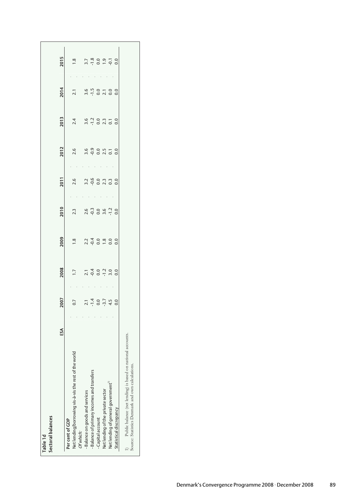| Sectoral balances<br>Table <sub>1d</sub>                                                                 |    |        |        |               |        |                |        |      |      |               |
|----------------------------------------------------------------------------------------------------------|----|--------|--------|---------------|--------|----------------|--------|------|------|---------------|
|                                                                                                          | SA | 2007   | 2008   | 2009          | 2010   | <b>2011</b>    | 2012   | 2013 | 2014 | 2015          |
| Per cent of GDP                                                                                          |    |        |        |               |        |                |        |      |      |               |
| of the work<br>Net lending/borrowing vis-à-vis the rest                                                  |    | 0.7    | $-1.7$ | ∞ฺ            | 23     | 2.6            | 2.6    | 2.4  |      | œ             |
| Of which:                                                                                                |    |        |        |               |        |                |        |      |      |               |
| - Balance on goods and services                                                                          |    | 2.1    |        |               | 2.6    | 3.2            | 3.6    | 3.6  | 3.6  |               |
| - Balance of primary incomes and transfers                                                               |    | $-1.4$ |        |               | $-0.3$ | $-0.6$         | $-0.9$ |      |      | $-1.8$        |
| - Capital account                                                                                        |    | 0.0    | 0.0    | 0.0           | 0.0    | 0.0            | 0.0    | 0.0  | 0.0  | 0.0           |
| Net lending of the private sector                                                                        |    | $-3.7$ |        | $\frac{8}{1}$ |        | 2.3            | 2.5    |      |      | $\frac{1}{9}$ |
| Net lending of general government"                                                                       |    | 4.5    |        | 0.0           | $-1.2$ | $\overline{0}$ |        |      |      |               |
| Statistical discrepancy                                                                                  |    | 0.0    | 0.0    | 0.0           | 0.0    | 0.0            | 0.0    | 0.0  | 0.0  | 0.0           |
| Public balance (net lending) is based on national accounts.<br>Source: Statistics Denmark and own calcul |    |        |        |               |        |                |        |      |      |               |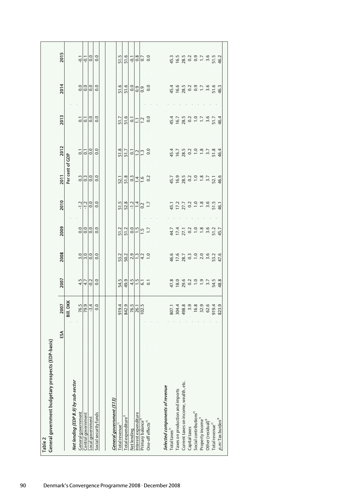|                                                               | 2015        |                 | $-0.1$                                                    | $-0.1$             | 0.0                 | 0.0                   |                          | 51.5                        |                                                                                                                                 |             |                      | $\frac{6}{5}$ $\frac{1}{9}$ $\frac{1}{9}$ $\frac{1}{9}$ $\frac{1}{9}$ $\frac{1}{9}$               |                               |                                |                          |                                 |                                       |               | $45.3$<br>$16.5$<br>$78.3$<br>$0.2$<br>$0.7$<br>$1.7$                                                                                                                                                                                                                                                                 |                              | $3.5$<br>51.5                  |                             | 46.2                            |
|---------------------------------------------------------------|-------------|-----------------|-----------------------------------------------------------|--------------------|---------------------|-----------------------|--------------------------|-----------------------------|---------------------------------------------------------------------------------------------------------------------------------|-------------|----------------------|---------------------------------------------------------------------------------------------------|-------------------------------|--------------------------------|--------------------------|---------------------------------|---------------------------------------|---------------|-----------------------------------------------------------------------------------------------------------------------------------------------------------------------------------------------------------------------------------------------------------------------------------------------------------------------|------------------------------|--------------------------------|-----------------------------|---------------------------------|
|                                                               | 2014        |                 | 0.0                                                       |                    | 0.0                 | 0.0                   |                          |                             | $\frac{16}{15}$ $\frac{16}{15}$ $\frac{16}{15}$ $\frac{16}{15}$ $\frac{16}{15}$ $\frac{16}{15}$ $\frac{16}{15}$ $\frac{16}{15}$ |             |                      |                                                                                                   |                               |                                |                          |                                 |                                       |               | $45.6$<br>$45.8$ $3$ $3$ $3$ $5$ $1$<br>$5$ $5$ $5$                                                                                                                                                                                                                                                                   |                              |                                |                             | 46.3                            |
|                                                               | 2013        |                 | 5                                                         |                    | $\frac{1}{0.0}$     | 0.0                   |                          | 51.7                        |                                                                                                                                 |             |                      | $\frac{51.6}{51.1}$ 0.0                                                                           |                               |                                |                          |                                 |                                       |               | $45.7$ $\frac{16.7}{28.3}$ $\frac{16.7}{28.3}$ $\frac{16.7}{28.3}$ $\frac{16.7}{28.3}$                                                                                                                                                                                                                                |                              |                                |                             | 46.4                            |
|                                                               | 2012        |                 | $\overline{\textbf{c}}$                                   | 5                  | 0.0                 | 0.0                   |                          | 51.8                        |                                                                                                                                 |             |                      | $\frac{5}{5}$ $\frac{1}{2}$ $\frac{1}{2}$ $\frac{1}{2}$ $\frac{3}{2}$ $\frac{3}{2}$ $\frac{1}{2}$ |                               |                                |                          |                                 |                                       |               | $45.7$<br>$98.2$<br>$-1.8$<br>$-1.8$                                                                                                                                                                                                                                                                                  |                              | 3.7                            | 51.8                        | 46.4                            |
|                                                               | 2011        | Per cent of GDP | 0.3                                                       | 0.3                | 0.0                 | 0.0                   |                          |                             | $\frac{521}{51.8}$ $\frac{314}{1.6}$ $\frac{32}{1.6}$                                                                           |             |                      |                                                                                                   |                               |                                |                          |                                 |                                       |               | $45.9$<br>$\frac{16.9}{28.3}$ $\frac{3}{2}$ $\frac{1}{2}$ $\frac{3}{2}$ $\frac{3}{2}$ $\frac{3}{2}$ $\frac{3}{2}$ $\frac{3}{2}$ $\frac{3}{2}$ $\frac{3}{2}$ $\frac{3}{2}$ $\frac{3}{2}$ $\frac{3}{2}$ $\frac{3}{2}$ $\frac{3}{2}$ $\frac{3}{2}$ $\frac{3}{2}$ $\frac{3}{2}$ $\frac{3}{2}$ $\frac{3}{2}$ $\frac{3}{2}$ |                              |                                |                             | 46.6                            |
|                                                               | 2010        |                 | $-1.2$                                                    | $-1.2$             | 0.0                 | 0.0                   |                          | 51.5                        |                                                                                                                                 |             |                      | $52.8$<br>$7.14$<br>$-1.7$<br>$-1.7$                                                              |                               |                                |                          |                                 |                                       |               | $45.7$<br>$75.2$<br>$-1.2$<br>$-1.2$<br>$-1.2$<br>$-1.2$                                                                                                                                                                                                                                                              |                              | $3.5$<br>51.5                  |                             | 46.1                            |
|                                                               | 2009        |                 | 0.0                                                       | 0.0                | 0.0                 | 0.0                   |                          |                             | $\frac{2}{5}$ $\frac{2}{5}$ $\frac{8}{5}$ $\frac{6}{5}$ $\frac{1}{2}$ $\frac{1}{2}$ $\frac{5}{2}$                               |             |                      |                                                                                                   |                               |                                |                          |                                 |                                       |               | $44.7$<br>$17.4$<br>$0.2$<br>$1.8$<br>$1.4$<br>$1.3$<br>$1.8$                                                                                                                                                                                                                                                         |                              | $3.6$<br>51.2                  |                             | 45.7                            |
|                                                               | 2008        |                 | 3.0                                                       |                    | $\frac{0.0}{0.0}$   | 0.0                   |                          |                             | $\frac{1}{2}$ $\frac{1}{2}$ $\frac{1}{2}$ $\frac{1}{2}$ $\frac{1}{2}$ $\frac{1}{2}$ $\frac{1}{2}$ $\frac{1}{2}$                 |             |                      |                                                                                                   |                               |                                |                          |                                 |                                       |               | $46.6$<br>$12.7$<br>$-12.3$<br>$-12.5$<br>$-12.5$                                                                                                                                                                                                                                                                     |                              | 3.6<br>53.2                    |                             | 47.6                            |
|                                                               | 2007        |                 | 4.5                                                       | 4.7                | $-0.2$              | 0.0                   |                          | 54.5                        |                                                                                                                                 |             |                      | $9.59$<br>$9.59$<br>$-6.5$<br>$-6.5$                                                              |                               |                                |                          |                                 |                                       |               | $\frac{4780}{290}$<br>$\frac{6}{2}$<br>$\frac{10}{2}$<br>$\frac{10}{2}$<br>$\frac{10}{2}$                                                                                                                                                                                                                             |                              | $3.7$<br>54.5                  |                             | 48.8                            |
|                                                               | <b>Z007</b> | Bill. DKK       |                                                           |                    | $\frac{76.5}{79.4}$ | 0.0                   |                          |                             | $\begin{array}{c}\n 919.4 \\  - 194.5 \\  - 194.5 \\  - 192.5\n \end{array}$                                                    |             |                      |                                                                                                   |                               |                                |                          | 807.1<br>304.4                  |                                       |               | $\begin{array}{r} 498.8 \\ 3.9 \\ 16.8 \\ 32.9 \end{array}$                                                                                                                                                                                                                                                           |                              | 62.6                           | 919.4                       | 823.9                           |
|                                                               | ЕÃ          |                 |                                                           |                    |                     |                       |                          |                             |                                                                                                                                 |             |                      |                                                                                                   |                               |                                |                          |                                 |                                       |               |                                                                                                                                                                                                                                                                                                                       |                              |                                |                             |                                 |
| General government budgetary prospects (EDP-basis)<br>Table 2 |             |                 | Net lending (EDP B.9) by sub-sector<br>General government | Central government | ocal government     | Social security funds | General government (S13) | Total revenue <sup>1)</sup> | Total expenditure <sup>21</sup>                                                                                                 | Net lending | Interest expenditure | Primary balance <sup>3)</sup>                                                                     | One-off effects <sup>4)</sup> | Selected components of revenue | Total taxes <sup>5</sup> | Taxes on production and imports | Current taxes on income, wealth, etc. | Capital taxes | Social contributions <sup>6)</sup>                                                                                                                                                                                                                                                                                    | Property income <sup>"</sup> | Other (residual) <sup>8)</sup> | Total revenue <sup>2)</sup> | $p.m:$ Tax burden <sup>9)</sup> |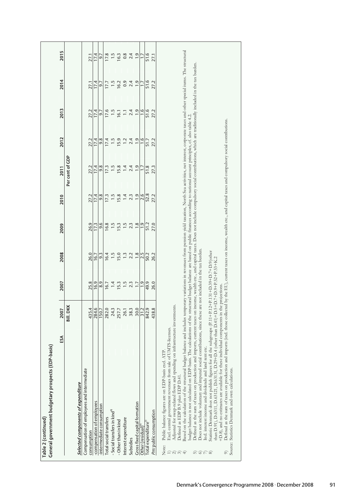| Based on the calculation of the structural budget balance and includes temporary variations in revenues from pension yield taxation, North Sea activities, net interest, corporate taxes and other special items. The structur<br>Defined as the sum of taxes on production and imports, current taxes on income, wealth etc., and capital taxes. Does not include compulsory social contributions, which are traditionally included in the tax burden.<br>2013<br>17.6<br>1.5<br>2.4<br>1.9<br>1.6<br>51.6<br>27.2<br>27.2<br>17.4<br>$\overline{1}$<br>5.J<br>16.1<br>budget balance is not calculated on EDP-basis. The calculations of the structural budget balance are based on public finances according to national account principles, cf. also table 4.2<br>Defined as the sum of taxes on production and imports (incl. those collected by the EU), current taxes on income, wealth etc., and capital taxes and compulsory social contributions.<br>2012<br>9.8<br>1.5<br>$\overline{1}$ .<br>2.4<br>$\ddot{0}$<br>1.6<br>27.2<br>17.4<br>15.9<br>27.2<br>17.4<br>51.7<br>Per cent of GDP<br>9.8<br>1.5<br>15.8<br>$\overline{1}$<br>2.4<br>$\ddot{0}$<br>27.3<br>27.2<br>17.4<br>17.3<br>51.8<br>$\ddot{ }$<br>2011<br>52.8<br>2.6<br>9.8<br>1.5<br>$\frac{1}{9}$<br>27.2<br>2010<br>27.2<br>17.4<br>17.3<br>15.8<br>1.4<br>2.3<br>$\frac{8}{1}$<br>27.0<br>26.9<br>16.8<br>$\frac{15}{1}$<br>1.5<br>$\ddot{0}$<br>51.2<br>9.6<br>2009<br>17.3<br>15.3<br>2.3<br>Does not include voluntary and imputed social contributions, since these are not included in the tax burden.<br>Statistic Denmark does not publish figures for all the subgroups (P.11+P.12+P.131+D.39+D.7+D.9(other<br>2008<br>1.5<br>$\ddot{.}$<br>26.0<br>16.4<br>15.0<br>$\frac{8}{1}$<br>2.5<br>26.2<br>9.3<br>2.2<br>50.2<br>16.7<br>131, D.29+D.4 (other than D.41)+D.5+D.7+D.9+P.52+P.53+K.2<br>2007<br>25.8<br>1.5<br>$\ddot{ }$ .<br>26.0<br>16.9<br>8.9<br>$\overline{14}$<br>15.3<br>2.3<br>$\overline{1}$ .<br>49.9<br>16.7<br>for these individual components in the projections.<br>Bill. DKK<br>spending on infrastructure investments.<br>2007<br>438.8<br>30.0<br>842.9<br>435.4<br>284.6<br>282.0<br>24.3<br>38.3<br>31.2<br>257.7<br>26.1<br>150.7<br>Excl. central government revenues from sale of UMTS-licenses.<br>SÃ<br>General government budgetary prospects (EDP-basis)<br>Incl. interest income and dividends and land rent etc.<br>Public balance figures are on EDP-basis excl. ATP<br>liate<br>Compensation of employees and intermed<br>Adjusted for swap-related flows and<br>Defined as EDP B.9 plus EDP D.41<br>than D.91), D.6311, D.63121, D.631<br>+D.8), and no estimates are available<br>Selected components of expenditure<br>-compensation of employees<br>Gross fixed capital formation<br>-intermediate consumption<br>· Social transfers in kind <sup>8)</sup><br>Pm: public consumption<br>otal social transfers<br>Interest expenditure<br>Table 2 (continued)<br>- Other than in kind<br>[otal expenditure <sup>2</sup><br>Other (residual)<br>consumption<br>Subsidies<br>Note:<br>$\widehat{\alpha}$<br>$\oplus$<br>5<br>676 |
|---------------------------------------------------------------------------------------------------------------------------------------------------------------------------------------------------------------------------------------------------------------------------------------------------------------------------------------------------------------------------------------------------------------------------------------------------------------------------------------------------------------------------------------------------------------------------------------------------------------------------------------------------------------------------------------------------------------------------------------------------------------------------------------------------------------------------------------------------------------------------------------------------------------------------------------------------------------------------------------------------------------------------------------------------------------------------------------------------------------------------------------------------------------------------------------------------------------------------------------------------------------------------------------------------------------------------------------------------------------------------------------------------------------------------------------------------------------------------------------------------------------------------------------------------------------------------------------------------------------------------------------------------------------------------------------------------------------------------------------------------------------------------------------------------------------------------------------------------------------------------------------------------------------------------------------------------------------------------------------------------------------------------------------------------------------------------------------------------------------------------------------------------------------------------------------------------------------------------------------------------------------------------------------------------------------------------------------------------------------------------------------------------------------------------------------------------------------------------------------------------------------------------------------------------------------------------------------------------------------------------------------------------------------------------------------------------------------------------------------------------------------------------------------------------------------------------------------------------------------------------------------------------------------------------------------------------------------------------------------------------------------------------------------------------------------------------------------------------------------------------------------------------------------|
|---------------------------------------------------------------------------------------------------------------------------------------------------------------------------------------------------------------------------------------------------------------------------------------------------------------------------------------------------------------------------------------------------------------------------------------------------------------------------------------------------------------------------------------------------------------------------------------------------------------------------------------------------------------------------------------------------------------------------------------------------------------------------------------------------------------------------------------------------------------------------------------------------------------------------------------------------------------------------------------------------------------------------------------------------------------------------------------------------------------------------------------------------------------------------------------------------------------------------------------------------------------------------------------------------------------------------------------------------------------------------------------------------------------------------------------------------------------------------------------------------------------------------------------------------------------------------------------------------------------------------------------------------------------------------------------------------------------------------------------------------------------------------------------------------------------------------------------------------------------------------------------------------------------------------------------------------------------------------------------------------------------------------------------------------------------------------------------------------------------------------------------------------------------------------------------------------------------------------------------------------------------------------------------------------------------------------------------------------------------------------------------------------------------------------------------------------------------------------------------------------------------------------------------------------------------------------------------------------------------------------------------------------------------------------------------------------------------------------------------------------------------------------------------------------------------------------------------------------------------------------------------------------------------------------------------------------------------------------------------------------------------------------------------------------------------------------------------------------------------------------------------------------------------|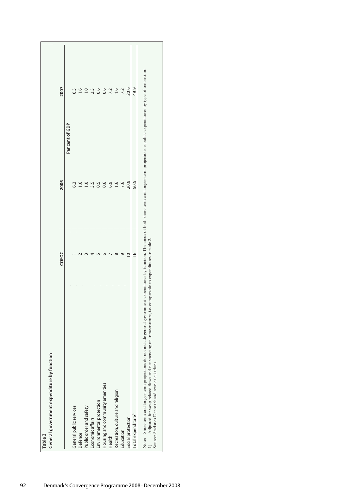| Table <sub>3</sub>                                                                                                                                                                                                                                                                                                                                                                         |           |                 |               |
|--------------------------------------------------------------------------------------------------------------------------------------------------------------------------------------------------------------------------------------------------------------------------------------------------------------------------------------------------------------------------------------------|-----------|-----------------|---------------|
| General government expenditure by function                                                                                                                                                                                                                                                                                                                                                 |           |                 |               |
|                                                                                                                                                                                                                                                                                                                                                                                            | COFOG     | 2006            | 2007          |
|                                                                                                                                                                                                                                                                                                                                                                                            |           | Per cent of GDP |               |
| General public services                                                                                                                                                                                                                                                                                                                                                                    |           | 6.3             | 6.3           |
| Defence                                                                                                                                                                                                                                                                                                                                                                                    |           | $\frac{6}{1}$   |               |
| Public order and safety                                                                                                                                                                                                                                                                                                                                                                    |           | $\frac{0}{1}$   | $-1.0$        |
| Economic affairs                                                                                                                                                                                                                                                                                                                                                                           |           | 3.5             |               |
| Environmental protection                                                                                                                                                                                                                                                                                                                                                                   |           | 0.5             | 0.6           |
| Housing and community amenities                                                                                                                                                                                                                                                                                                                                                            |           | 0.6             | 0.6           |
| Health                                                                                                                                                                                                                                                                                                                                                                                     |           | 6.9             | 7.2           |
| Recreation, culture and religion                                                                                                                                                                                                                                                                                                                                                           |           | $\frac{6}{1}$   | $\frac{6}{1}$ |
| Education                                                                                                                                                                                                                                                                                                                                                                                  |           | 7.6             | 7.2           |
| Social protection                                                                                                                                                                                                                                                                                                                                                                          | $\approx$ | 20.9            | 20.6          |
| Total expenditure <sup>1</sup>                                                                                                                                                                                                                                                                                                                                                             | ٣         | 50.5            | 49.9          |
| Note: Short-term and longer-term projections do not include general government expenditures by function. The focus of both short-term and longer-term projections is public expenditures by type of transaction.<br>and net spending on infrastructure, i.e. comparable to expenditures in table 2.<br>Source: Statistics Denmark and own calculations.<br>Adjusted for swap-related flows |           |                 |               |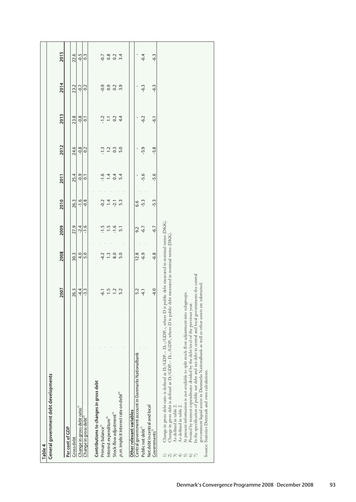| General government debt developments | <b>2011</b><br>2010<br>2009<br>2008<br>2007 | 25.4<br>26.3<br>27.9<br>30.3<br>26.3 | $-0.9$<br>$-1.6$<br>$-2.4$<br>4.0<br>$-4.4$ | $\overline{0}$<br>$-0.8$<br>$-1.6$<br>5.0<br>$-3.3$ | Contributions to changes in gross debt | $-1.6$<br>$-0.2$<br>-1.5<br>$-4.2$<br>$-6.1$ | $\overline{14}$<br>$\overline{14}$<br>$\frac{1}{2}$<br>$\ddot{ }$ :<br>1.5 | 0.4<br>$-2.1$<br>$-1.6$<br>8.0<br>$\overline{1}$ | 5.4<br>5.3<br>5.1<br>5.0<br>5.2 | 6.6<br>9.2<br>12.8<br>5.2<br>Nationalbank<br>Central qovernment account in Danmarks | $-5.6$<br>$-5.3$<br>$-6.7$<br>$-6.9$<br>$-4.1$ | $-5.6$<br>$-5.3$<br>$-6.7$<br>$-6.8$<br>$-4.0$ | Change in gross debt ratio is defined as D <sub>1</sub> /GDP, – D <sub>1</sub> ./GDP, , where D is public debt measured in nominal terms (DKK).<br>Change in gross debt is defined as $D_0$ /GDP <sub>t</sub> – $D_{t-1}$ /GDP <sub>t</sub> , where D is public debt measured in nominal terms (DKK).<br>In the specification of public net debt and net debt in central and local governments the central<br>government liquid assets in Danmarks Nationalbank as well as other assets are subtracted.<br>At present information is not available to split stock-flow adjustment into subgroups.<br>Proxied by interest expenditures divided by the debt level of the previous year.<br>Source: Statistics Denmark and own calculations. |
|--------------------------------------|---------------------------------------------|--------------------------------------|---------------------------------------------|-----------------------------------------------------|----------------------------------------|----------------------------------------------|----------------------------------------------------------------------------|--------------------------------------------------|---------------------------------|-------------------------------------------------------------------------------------|------------------------------------------------|------------------------------------------------|-------------------------------------------------------------------------------------------------------------------------------------------------------------------------------------------------------------------------------------------------------------------------------------------------------------------------------------------------------------------------------------------------------------------------------------------------------------------------------------------------------------------------------------------------------------------------------------------------------------------------------------------------------------------------------------------------------------------------------------------|
|                                      | 2013<br>2012                                | 23.8<br>24.6                         | $-0.8$<br>$-0.8$                            | $\overline{0}$<br>0.2                               |                                        | $-1.2$<br>$-1.3$                             | Ξ<br>$\overline{12}$                                                       | 0.2<br>$0.\overline{3}$                          | 4.4<br>5.0                      |                                                                                     | $-6.2$<br>$-5.9$                               | $-6.1$<br>$-5.8$                               |                                                                                                                                                                                                                                                                                                                                                                                                                                                                                                                                                                                                                                                                                                                                           |
|                                      | 2014                                        | 23.2                                 | $-0.7$                                      | 0.2                                                 |                                        | $-0.9$                                       | 0.9                                                                        | 0.2                                              | 3.9                             |                                                                                     | $-6.3$                                         | $-6.3$                                         |                                                                                                                                                                                                                                                                                                                                                                                                                                                                                                                                                                                                                                                                                                                                           |
| 2015                                 |                                             | 22.6                                 |                                             |                                                     |                                        |                                              |                                                                            |                                                  |                                 |                                                                                     |                                                |                                                |                                                                                                                                                                                                                                                                                                                                                                                                                                                                                                                                                                                                                                                                                                                                           |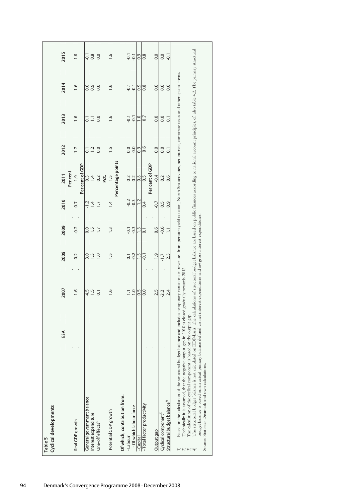| Table 5                                                                                                                                                                                                                                                                                                                                                                                                                                                                                                                                                                                                                                                                                                                                                                                                                                                                      |    |                |                |                  |                  |                   |                  |                  |               |               |
|------------------------------------------------------------------------------------------------------------------------------------------------------------------------------------------------------------------------------------------------------------------------------------------------------------------------------------------------------------------------------------------------------------------------------------------------------------------------------------------------------------------------------------------------------------------------------------------------------------------------------------------------------------------------------------------------------------------------------------------------------------------------------------------------------------------------------------------------------------------------------|----|----------------|----------------|------------------|------------------|-------------------|------------------|------------------|---------------|---------------|
| Cyclical developments                                                                                                                                                                                                                                                                                                                                                                                                                                                                                                                                                                                                                                                                                                                                                                                                                                                        |    |                |                |                  |                  |                   |                  |                  |               |               |
|                                                                                                                                                                                                                                                                                                                                                                                                                                                                                                                                                                                                                                                                                                                                                                                                                                                                              | ЕÃ | 2007           | 2008           | 2009             | 2010             | 2011              | 2012             | 2013             | 2014          | 2015          |
|                                                                                                                                                                                                                                                                                                                                                                                                                                                                                                                                                                                                                                                                                                                                                                                                                                                                              |    |                |                |                  |                  | Per cent          |                  |                  |               |               |
| Real GDP growth                                                                                                                                                                                                                                                                                                                                                                                                                                                                                                                                                                                                                                                                                                                                                                                                                                                              |    | $\frac{6}{1}$  | 0.2            | $-0.2$           | 0.7              | $\frac{0}{1}$     | $\overline{1}$ . | $\frac{6}{1}$    | $\frac{6}{1}$ | $\frac{6}{1}$ |
|                                                                                                                                                                                                                                                                                                                                                                                                                                                                                                                                                                                                                                                                                                                                                                                                                                                                              |    |                |                |                  |                  | Per cent of GDP   |                  |                  |               |               |
| General government balance                                                                                                                                                                                                                                                                                                                                                                                                                                                                                                                                                                                                                                                                                                                                                                                                                                                   |    | 4.5            | 3.0            | 0.0              | $-1.2$           | $0.\overline{3}$  | $\overline{0}$   | $\overline{0}$   | 0.0           | $-0.1$        |
| Interest expenditure                                                                                                                                                                                                                                                                                                                                                                                                                                                                                                                                                                                                                                                                                                                                                                                                                                                         |    | $\frac{1}{2}$  | $\ddot{.}$     | $\frac{5}{1}$    | 4                | $\ddot{ }$        | 1.2              | Ξ                | 0.9           | 0.8           |
| One-off effects                                                                                                                                                                                                                                                                                                                                                                                                                                                                                                                                                                                                                                                                                                                                                                                                                                                              |    | $\overline{0}$ | $\ddot{ }$ .0  | $\overline{1}$ . | $\overline{1}$ . | 0.2               | 0.0              | 0.0              | 0.0           | 0.0           |
|                                                                                                                                                                                                                                                                                                                                                                                                                                                                                                                                                                                                                                                                                                                                                                                                                                                                              |    |                |                |                  |                  | t.                |                  |                  |               |               |
| Potential GDP growth                                                                                                                                                                                                                                                                                                                                                                                                                                                                                                                                                                                                                                                                                                                                                                                                                                                         |    | 1.6            | $\frac{1}{2}$  | 1.3              | 1.4              | $\frac{1}{2}$     | 1.5              | 1.6              | $\frac{6}{1}$ | 1.6           |
|                                                                                                                                                                                                                                                                                                                                                                                                                                                                                                                                                                                                                                                                                                                                                                                                                                                                              |    |                |                |                  |                  | Percentage points |                  |                  |               |               |
| Of which, contribution from:                                                                                                                                                                                                                                                                                                                                                                                                                                                                                                                                                                                                                                                                                                                                                                                                                                                 |    |                |                |                  |                  |                   |                  |                  |               |               |
| -Labour                                                                                                                                                                                                                                                                                                                                                                                                                                                                                                                                                                                                                                                                                                                                                                                                                                                                      |    | Ξ              | $\overline{0}$ | $-0.1$           | $-0.2$           | 0.2               | 0.0              | $-0.1$           | Γρ.           | $-0.1$        |
| - Of which labour force                                                                                                                                                                                                                                                                                                                                                                                                                                                                                                                                                                                                                                                                                                                                                                                                                                                      |    | $\overline{0}$ | $-0.2$         | $-0.3$           | $-0.3$           | 0.2               | 0.0              | Ş                | Ģ             | $-0.1$        |
| -Capital                                                                                                                                                                                                                                                                                                                                                                                                                                                                                                                                                                                                                                                                                                                                                                                                                                                                     |    | 0.5            | $\frac{1}{1}$  | $\frac{1}{2}$    | $\overline{1}$   | 0.8               | 0.9              | 1.0              | 0.9           | 0.9           |
| -Total factor productivity                                                                                                                                                                                                                                                                                                                                                                                                                                                                                                                                                                                                                                                                                                                                                                                                                                                   |    | 0.0            | $-0.1$         | ៑                | 0.4              | 0.5               | 0.6              | 0.7              | $\frac{8}{2}$ | $\frac{8}{2}$ |
|                                                                                                                                                                                                                                                                                                                                                                                                                                                                                                                                                                                                                                                                                                                                                                                                                                                                              |    |                |                |                  |                  | Per cent of GDP   |                  |                  |               |               |
| Output gap                                                                                                                                                                                                                                                                                                                                                                                                                                                                                                                                                                                                                                                                                                                                                                                                                                                                   |    | 2.5            | $\frac{0}{1}$  | 0.6              | $-0.7$           | $-0.4$            | 0.0              | 0.0              | 0.0           | 0.0           |
| Cyclical component <sup>3)</sup>                                                                                                                                                                                                                                                                                                                                                                                                                                                                                                                                                                                                                                                                                                                                                                                                                                             |    | -2.2           | $-1.7$         | $-0.6$           | 0.5              | 0.2               | 0.0              | 0.0              | 0.0           | 0.0           |
| Structural budget balance <sup>4)</sup>                                                                                                                                                                                                                                                                                                                                                                                                                                                                                                                                                                                                                                                                                                                                                                                                                                      |    | 2.4            | 2.3            | $\Xi$            | 0.9              | 0.6               | $\overline{0}$ . | $\overline{0}$ . | 0.0           | $-0.1$        |
| The structural budget balance is not calculated on EDP-basis. The calculations of structural budget balance are based on public finances according to national account principles, cf. also table 4.2. The primary structural<br>Based on the calculation of the structural budget balance and includes temporary variations in revenues from pension yield taxation, North Sea activities, net interest, corporate taxes and other special items.<br>budget balance is based on an actual primary balance defined via net interest expenditures and not gross interest expenditures.<br>Technically it is assumed, that the negative output gap in 2010 is closed gradually towards 2012.<br>The calculation of the cyclical component is based on the output gap.<br>Source: Statistics Denmark and own calculations<br>$\widehat{\alpha} \widehat{\sigma} \widehat{\tau}$ |    |                |                |                  |                  |                   |                  |                  |               |               |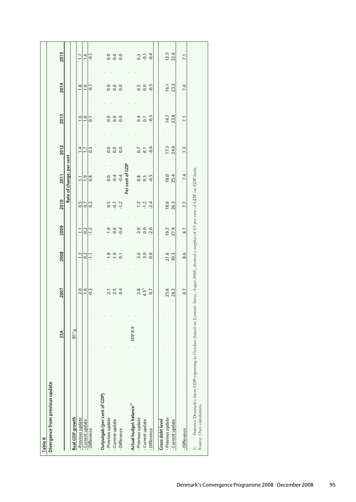| Divergence from previous update<br>Table 6                                                                                                                                       |                      |               |                  |                  |        |                          |                  |                  |        |                  |
|----------------------------------------------------------------------------------------------------------------------------------------------------------------------------------|----------------------|---------------|------------------|------------------|--------|--------------------------|------------------|------------------|--------|------------------|
|                                                                                                                                                                                  |                      |               |                  |                  |        |                          |                  |                  |        |                  |
|                                                                                                                                                                                  | ЕÃ                   | 2007          | 2008             | 2009             | 2010   | 2011                     | 2012             | 2013             | 2014   | 2015             |
|                                                                                                                                                                                  |                      |               |                  |                  |        | Rate of change, per cent |                  |                  |        |                  |
| Real GDP growth                                                                                                                                                                  | $B$ <sup>*</sup> $B$ |               |                  |                  |        |                          |                  |                  |        |                  |
| - Previous update                                                                                                                                                                |                      | 2.0           | $\ddot{ }$ :     | $\Xi$            | 0.5    | $\overline{1}$           | $\overline{14}$  | 1.6              | 1.8    | $\overline{1}$ . |
| -Current update                                                                                                                                                                  |                      | $\frac{6}{1}$ | 0.2              | $-0.2$           | 0.7    | $\frac{0}{1}$            | $\overline{1}$ . | $\frac{0}{1}$    | 1.6    | 1.6              |
| -Difference                                                                                                                                                                      |                      | $-0.3$        | $-1.1$           | $-1.2$           | 0.2    | 0.8                      | 0.3              | $\overline{0}$   | $-0.1$ | $-0.1$           |
| Outputgab (per cent of GDP)                                                                                                                                                      |                      |               |                  |                  |        |                          |                  |                  |        |                  |
| - Previous update                                                                                                                                                                |                      | 2.1           | 1.8              | $\overline{1.0}$ | 0.5    | 0.0                      | 0.0              | 0.0              | 0.0    | 0.0              |
| -Current update                                                                                                                                                                  |                      | 2.5           | $\frac{0}{1}$    | 0.6              | $-0.7$ | $-0.4$                   | 0.0              | 0.0              | 0.0    | 0.0              |
| - Difference                                                                                                                                                                     |                      | 0.4           | $\overline{0}$ . | $-0.4$           | $-1.2$ | $-0.4$                   | 0.0              | 0.0              | 0.0    | 0.0              |
|                                                                                                                                                                                  |                      |               |                  |                  |        | Per cent of GDP          |                  |                  |        |                  |
| Actual budget balance <sup>1)</sup>                                                                                                                                              | EDP <sub>B.9</sub>   |               |                  |                  |        |                          |                  |                  |        |                  |
| - Previous update                                                                                                                                                                |                      | 3.8           | 3.0              | 2.0              | 1.2    | 0.8                      | 0.7              | 0.4              | 0.5    | $0.\overline{3}$ |
| -Current update                                                                                                                                                                  |                      | $4.5^{11}$    | 3.0              | 0.0              | $-1.2$ | $0.\overline{3}$         | $\overline{0}$   | $\overline{0}$   | 0.0    | $-0.1$           |
| -Difference                                                                                                                                                                      |                      | 0.7           | 0.0              | $-2.0$           | $-2.4$ | $-0.5$                   | $-0.6$           | $-0.3$           | $-0.5$ | $-0.4$           |
| <b>Gross debt level</b>                                                                                                                                                          |                      |               |                  |                  |        |                          |                  |                  |        |                  |
| - Previous update                                                                                                                                                                |                      | 25.6          | 21.6             | 19.2             | 18.6   | 18.0                     | 17.3             | 16.7             | 16.1   | 15.5             |
| -Currentupdate                                                                                                                                                                   |                      | 26.3          | 30.3             | 27.9             | 26.3   | 25.4                     | 24.6             | 23.8             | 23.2   | 22.6             |
| -Difference                                                                                                                                                                      |                      | 0.7           | 8.6              | 8.7              | 7.7    | 7.4                      | 7.3              | $\overline{7.1}$ | 7.0    | $\overline{7.1}$ |
| Statistics Denmark's latest EDP-reporting in October (based on Economic Survey, August 2008), showed a surplus of 4.9 per cent of GDP on EDP-basis.<br>Source: Own calculations. |                      |               |                  |                  |        |                          |                  |                  |        |                  |
|                                                                                                                                                                                  |                      |               |                  |                  |        |                          |                  |                  |        |                  |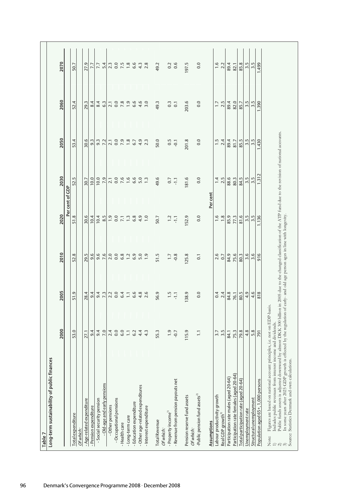| cfinances<br>Long-term sustainability of publi<br>Table 7                                                                                                                                                                                                                                                                                                                                                                        |                                                                                                                                  |                         |                                           |                   |                 |                    |                         |                                      |                                           |
|----------------------------------------------------------------------------------------------------------------------------------------------------------------------------------------------------------------------------------------------------------------------------------------------------------------------------------------------------------------------------------------------------------------------------------|----------------------------------------------------------------------------------------------------------------------------------|-------------------------|-------------------------------------------|-------------------|-----------------|--------------------|-------------------------|--------------------------------------|-------------------------------------------|
|                                                                                                                                                                                                                                                                                                                                                                                                                                  | 2000                                                                                                                             | 2005                    | 2010                                      | 2020              |                 | 2030               | 2050                    | 2060                                 | 2070                                      |
|                                                                                                                                                                                                                                                                                                                                                                                                                                  |                                                                                                                                  |                         |                                           |                   | Per cent of GDP |                    |                         |                                      |                                           |
| Total expenditure<br>Of which:                                                                                                                                                                                                                                                                                                                                                                                                   | 53.0                                                                                                                             | 51.9                    | 52.8                                      | 51.8              |                 | 52.5               | 53.4                    | 52.4                                 | 50.7                                      |
| - Age-related expenditure                                                                                                                                                                                                                                                                                                                                                                                                        |                                                                                                                                  |                         |                                           | 30.6              |                 | 30.7               |                         | 29.3                                 |                                           |
| - Pension expenditure                                                                                                                                                                                                                                                                                                                                                                                                            | $27.1$<br>9.4                                                                                                                    | $28.4$<br>9.4           | 29.5<br>9.6                               | 10.4              |                 | 10.0               | 30.6<br>9.3             | 8.4                                  | 27.9<br>7.7                               |
| - Social security pension                                                                                                                                                                                                                                                                                                                                                                                                        | $9.4$<br>7.0                                                                                                                     | $9.4$<br>7.3            | 9.6<br>7.6                                | $10.4$<br>8.5     |                 | $\frac{10.0}{7.9}$ | $9.3$<br>7.2            | $6.\overline{3}$                     | $7.7$<br>5.4                              |
| - Old-age and early pensions                                                                                                                                                                                                                                                                                                                                                                                                     |                                                                                                                                  |                         |                                           |                   |                 |                    |                         |                                      |                                           |
| - Other pensions                                                                                                                                                                                                                                                                                                                                                                                                                 |                                                                                                                                  | $2.2$<br>0.0            | $\begin{array}{c} 0.0 \\ 0.0 \end{array}$ | $\frac{0.9}{0.0}$ |                 | $\frac{7}{0}$ .0   | $\frac{2}{10}$ .0       |                                      |                                           |
| - Occupational pensions                                                                                                                                                                                                                                                                                                                                                                                                          | $2.4$<br>0.0                                                                                                                     |                         |                                           |                   |                 |                    |                         | $\overline{\phantom{0}}^{\,1}_{\,0}$ | $\begin{array}{c} 2.3 \\ 0.0 \end{array}$ |
| -Health care                                                                                                                                                                                                                                                                                                                                                                                                                     | 6.0                                                                                                                              |                         |                                           | $\frac{7}{1}$ .   |                 | $7.6$<br>1.6       | $7.\overline{9}$<br>1.8 | $7.8$<br>1.9                         |                                           |
| - Long-term care                                                                                                                                                                                                                                                                                                                                                                                                                 |                                                                                                                                  | 6.4                     | $6.8$<br>1.2                              |                   |                 |                    |                         |                                      | $7.5$<br>1.8                              |
| - Education expenditure                                                                                                                                                                                                                                                                                                                                                                                                          | 6.2                                                                                                                              |                         | 6.9                                       | 6.8               |                 |                    |                         |                                      |                                           |
| - Other age-related expenditures                                                                                                                                                                                                                                                                                                                                                                                                 | 4.4                                                                                                                              | $6.\overline{8}$<br>4.8 | 5.0                                       | 4.9               |                 | 6.6<br>5.0         | $6.7$<br>4.9            | 6.6<br>4.6                           | 6.6<br>4.3                                |
| - Interest expenditure                                                                                                                                                                                                                                                                                                                                                                                                           | 4.3                                                                                                                              | 2.6                     | $\ddot{0}$                                | $\ddot{ }$ .0     |                 | $\ddot{ }$ .       | 2.3                     | 3.0                                  | 2.8                                       |
| <b>Total Revenue</b>                                                                                                                                                                                                                                                                                                                                                                                                             | 55.3                                                                                                                             | 56.9                    | 51.5                                      | 50.7              |                 | 49.6               | 50.0                    | 49.3                                 | 49.2                                      |
| Of which:                                                                                                                                                                                                                                                                                                                                                                                                                        |                                                                                                                                  |                         |                                           |                   |                 |                    |                         |                                      |                                           |
| -Property income                                                                                                                                                                                                                                                                                                                                                                                                                 | $\overline{1}$ .9                                                                                                                | 1.5                     | $\overline{1}$ .                          | 1.2               |                 | 0.7                | 0.5                     | 0.3                                  | 0.2                                       |
| - Revenue from pension payouts net                                                                                                                                                                                                                                                                                                                                                                                               | $-0.7$                                                                                                                           | $-1.1$                  | $-0.8$                                    | Ę                 |                 | H                  | $-0.1$                  | $\overline{0}$                       | 0.6                                       |
| Pension reserve fund assets<br>Of which:                                                                                                                                                                                                                                                                                                                                                                                         | 115.9                                                                                                                            | 138.9                   | 125.8                                     | 152.9             |                 | 181.6              | 201.8                   | 203.6                                | 197.5                                     |
| -Public pension fund assets <sup>2)</sup>                                                                                                                                                                                                                                                                                                                                                                                        | $\Xi$                                                                                                                            | 0.0                     | $\overline{0}$                            | 0.0               |                 | 0.0                | 0.0                     | 0.0                                  | 0.0                                       |
| Assumptions                                                                                                                                                                                                                                                                                                                                                                                                                      |                                                                                                                                  |                         |                                           |                   | Per cent        |                    |                         |                                      |                                           |
| Labour productivity growth                                                                                                                                                                                                                                                                                                                                                                                                       | 3.7                                                                                                                              | 0.4                     | 2.6                                       | 1.6               |                 |                    | 1.5                     | 1.7                                  | 1.6                                       |
| Real GDP growth <sup>3)</sup>                                                                                                                                                                                                                                                                                                                                                                                                    | 3.5                                                                                                                              | 2.4                     | 0.7                                       | 1.8               |                 | 2.5                | 2.4                     | 2.5                                  | 2.2                                       |
| Participation rate males (aged 20-64)                                                                                                                                                                                                                                                                                                                                                                                            | 84.1                                                                                                                             | 84.8                    | 84.9                                      | 85.9              |                 | 88.6               | 89.4                    | 89.4                                 | 89.4                                      |
| Participation rate females (aged 20-64)                                                                                                                                                                                                                                                                                                                                                                                          | 75.3                                                                                                                             | 76.1                    | 75.6                                      | 77.3<br>81.6      |                 | 80.3<br>84.5       | 81.7<br>85.5            | 82.0<br>85.7                         | 82.1                                      |
| Total participation rate (aged 20-64)                                                                                                                                                                                                                                                                                                                                                                                            | 79.8                                                                                                                             | 80.5                    | 80.3                                      |                   |                 |                    |                         |                                      | 85.8                                      |
| Unemployment rate                                                                                                                                                                                                                                                                                                                                                                                                                | 4.8                                                                                                                              | 4.9                     | 3.6                                       | 3.5               |                 | 3.5                | 3.5                     | 3.5                                  | 3.5                                       |
| Structural unemployment                                                                                                                                                                                                                                                                                                                                                                                                          | 5.8                                                                                                                              | 4.6                     | 3.6                                       | 3.5               |                 | 3.5                | 3.5                     | 3.5                                  | 3.5                                       |
| Population aged 65+, 1,000 persons                                                                                                                                                                                                                                                                                                                                                                                               | 791                                                                                                                              | 818                     | 916                                       | 1.136             |                 | 1.312              | 1.430                   | 1.390                                | 1.499                                     |
| Public funds assets is adjusted downward by almost DKK 300 billion in 2005 due to the changed classification of the ATP fund due to the revision of national accounts.<br>Figures are based on national account principles, i.e. not on EDP-basis.<br>dculations.<br>1) Includes public revenues from<br>2) Public funds assets is adjusted<br>3) In some years after 2025 GDP<br>Source: Statistics Demmark and own ca<br>Note: | growth is effected by the regulation of early- and old age person ages in line with longevity.<br>interest income and dividends. |                         |                                           |                   |                 |                    |                         |                                      |                                           |
|                                                                                                                                                                                                                                                                                                                                                                                                                                  |                                                                                                                                  |                         |                                           |                   |                 |                    |                         |                                      |                                           |

96 Denmark's Convergence Programme 2008 · December 2008